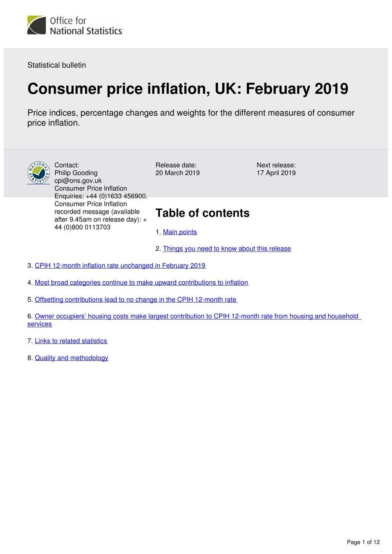

Statistical bulletin

# **Consumer price inflation, UK: February 2019**

Price indices, percentage changes and weights for the different measures of consumer price inflation.



Contact: Philip Gooding cpi@ons.gov.uk Consumer Price Inflation Enquiries: +44 (0)1633 456900. Consumer Price Inflation recorded message (available after 9.45am on release day): + 44 (0)800 0113703

Release date: 20 March 2019 Next release: 17 April 2019

# **Table of contents**

- 1. [Main points](#page-1-0)
- 2. [Things you need to know about this release](#page-1-1)

3. [CPIH 12-month inflation rate unchanged in February 2019](#page-2-0)

4. [Most broad categories continue to make upward contributions to inflation](#page-4-0)

5. [Offsetting contributions lead to no change in the CPIH 12-month rate](#page-7-0)

6. [Owner occupiers' housing costs make largest contribution to CPIH 12-month rate from housing and household](#page-9-0)  [services](#page-9-0)

7. [Links to related statistics](#page-10-0)

8. [Quality and methodology](#page-11-0)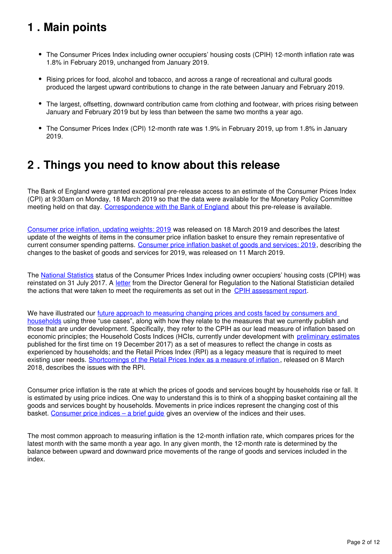# <span id="page-1-0"></span>**1 . Main points**

- The Consumer Prices Index including owner occupiers' housing costs (CPIH) 12-month inflation rate was 1.8% in February 2019, unchanged from January 2019.
- Rising prices for food, alcohol and tobacco, and across a range of recreational and cultural goods produced the largest upward contributions to change in the rate between January and February 2019.
- The largest, offsetting, downward contribution came from clothing and footwear, with prices rising between January and February 2019 but by less than between the same two months a year ago.
- The Consumer Prices Index (CPI) 12-month rate was 1.9% in February 2019, up from 1.8% in January 2019.

## <span id="page-1-1"></span>**2 . Things you need to know about this release**

The Bank of England were granted exceptional pre-release access to an estimate of the Consumer Prices Index (CPI) at 9:30am on Monday, 18 March 2019 so that the data were available for the Monetary Policy Committee meeting held on that day. [Correspondence with the Bank of England](https://www.ons.gov.uk/news/statementsandletters/exchangeoflettersbetweenjonathanathowandbenbroadbentregardingexceptionalprereleaseaccess2018) about this pre-release is available.

[Consumer price inflation, updating weights: 2019](https://www.ons.gov.uk/economy/inflationandpriceindices/articles/consumerpriceinflationupdatingweights/2019) was released on 18 March 2019 and describes the latest update of the weights of items in the consumer price inflation basket to ensure they remain representative of current consumer spending patterns. [Consumer price inflation basket of goods and services: 2019,](https://www.ons.gov.uk/economy/inflationandpriceindices/articles/ukconsumerpriceinflationbasketofgoodsandservices/2019) describing the changes to the basket of goods and services for 2019, was released on 11 March 2019.

The [National Statistics](https://www.statisticsauthority.gov.uk/national-statistician/types-of-official-statistics/) status of the Consumer Prices Index including owner occupiers' housing costs (CPIH) was reinstated on 31 July 2017. A [letter](https://www.statisticsauthority.gov.uk/correspondence/consumer-prices-index-including-owner-occupiers-housing-costs-cpih-re-designation/) from the Director General for Regulation to the National Statistician detailed the actions that were taken to meet the requirements as set out in the CPIH assessment report.

We have illustrated our future approach to measuring changing prices and costs faced by consumers and [households](https://www.ons.gov.uk/economy/inflationandpriceindices/articles/measuringchangingpricesandcostsforconsumersandhouseholds/march2018) using three "use cases", along with how they relate to the measures that we currently publish and those that are under development. Specifically, they refer to the CPIH as our lead measure of inflation based on economic principles; the Household Costs Indices (HCIs, currently under development with [preliminary estimates](https://www.ons.gov.uk/economy/inflationandpriceindices/bulletins/householdcostsindices/preliminaryestimates2005to2017) published for the first time on 19 December 2017) as a set of measures to reflect the change in costs as experienced by households; and the Retail Prices Index (RPI) as a legacy measure that is required to meet existing user needs. [Shortcomings of the Retail Prices Index as a measure of inflation](https://www.ons.gov.uk/economy/inflationandpriceindices/articles/shortcomingsoftheretailpricesindexasameasureofinflation/2018-03-08) , released on 8 March 2018, describes the issues with the RPI.

Consumer price inflation is the rate at which the prices of goods and services bought by households rise or fall. It is estimated by using price indices. One way to understand this is to think of a shopping basket containing all the goods and services bought by households. Movements in price indices represent the changing cost of this basket. [Consumer price indices – a brief guide](https://www.ons.gov.uk/economy/inflationandpriceindices/articles/consumerpriceindicesabriefguide/2017) gives an overview of the indices and their uses.

The most common approach to measuring inflation is the 12-month inflation rate, which compares prices for the latest month with the same month a year ago. In any given month, the 12-month rate is determined by the balance between upward and downward price movements of the range of goods and services included in the index.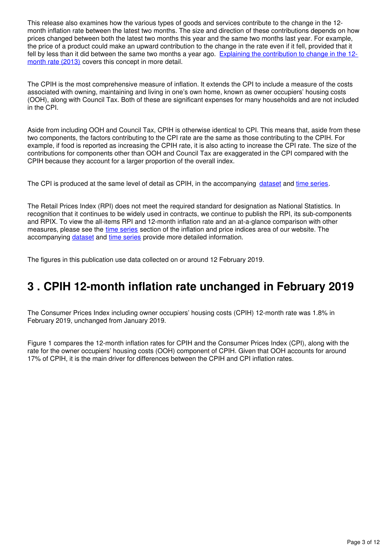This release also examines how the various types of goods and services contribute to the change in the 12 month inflation rate between the latest two months. The size and direction of these contributions depends on how prices changed between both the latest two months this year and the same two months last year. For example, the price of a product could make an upward contribution to the change in the rate even if it fell, provided that it fell by less than it did between the same two months a year ago. [Explaining the contribution to change in the 12](http://webarchive.nationalarchives.gov.uk/20160105160709/http:/www.ons.gov.uk/ons/guide-method/user-guidance/prices/cpi-and-rpi/index.html) [month rate \(2013\)](http://webarchive.nationalarchives.gov.uk/20160105160709/http:/www.ons.gov.uk/ons/guide-method/user-guidance/prices/cpi-and-rpi/index.html) covers this concept in more detail.

The CPIH is the most comprehensive measure of inflation. It extends the CPI to include a measure of the costs associated with owning, maintaining and living in one's own home, known as owner occupiers' housing costs (OOH), along with Council Tax. Both of these are significant expenses for many households and are not included in the CPI.

Aside from including OOH and Council Tax, CPIH is otherwise identical to CPI. This means that, aside from these two components, the factors contributing to the CPI rate are the same as those contributing to the CPIH. For example, if food is reported as increasing the CPIH rate, it is also acting to increase the CPI rate. The size of the contributions for components other than OOH and Council Tax are exaggerated in the CPI compared with the CPIH because they account for a larger proportion of the overall index.

The CPI is produced at the same level of detail as CPIH, in the accompanying dataset and time series[.](https://www.ons.gov.uk/economy/inflationandpriceindices/datasets/consumerpriceindices)

The Retail Prices Index (RPI) does not meet the required standard for designation as National Statistics. In recognition that it continues to be widely used in contracts, we continue to publish the RPI, its sub-components and RPIX. To view the all-items RPI and 12-month inflation rate and an at-a-glance comparison with other measures, please see the [time series](https://www.ons.gov.uk/economy/inflationandpriceindices#timeseries) section of the inflation and price indices area of our website. The accompanyingdataset and time series provide more detailed information.

The figures in this publication use data collected on or around 12 February 2019.

# <span id="page-2-0"></span>**3 . CPIH 12-month inflation rate unchanged in February 2019**

The Consumer Prices Index including owner occupiers' housing costs (CPIH) 12-month rate was 1.8% in February 2019, unchanged from January 2019.

Figure 1 compares the 12-month inflation rates for CPIH and the Consumer Prices Index (CPI), along with the rate for the owner occupiers' housing costs (OOH) component of CPIH. Given that OOH accounts for around 17% of CPIH, it is the main driver for differences between the CPIH and CPI inflation rates.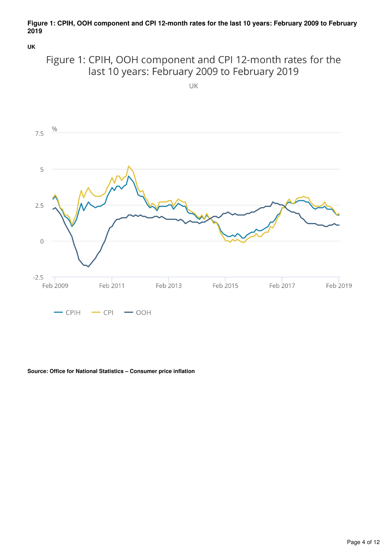## **Figure 1: CPIH, OOH component and CPI 12-month rates for the last 10 years: February 2009 to February 2019**

**UK**



UK



### **Source: Office for National Statistics – Consumer price inflation**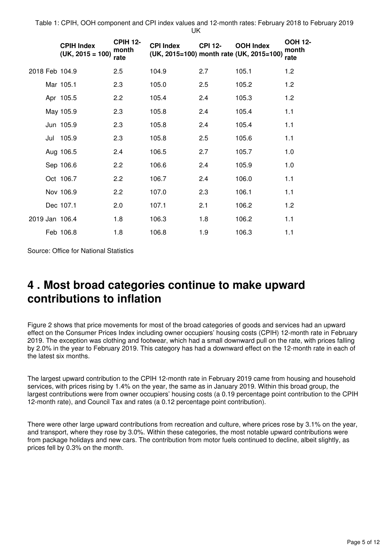Table 1: CPIH, OOH component and CPI index values and 12-month rates: February 2018 to February 2019 UK

|                | <b>CPIH Index</b><br>$(UK, 2015 = 100)$ | <b>CPIH 12-</b><br>month<br>rate | <b>CPI Index</b><br>(UK, 2015=100) month rate (UK, 2015=100) | <b>CPI 12-</b> | <b>OOH Index</b> | <b>OOH 12-</b><br>month<br>rate |
|----------------|-----------------------------------------|----------------------------------|--------------------------------------------------------------|----------------|------------------|---------------------------------|
| 2018 Feb 104.9 |                                         | 2.5                              | 104.9                                                        | 2.7            | 105.1            | 1.2                             |
|                | Mar 105.1                               | 2.3                              | 105.0                                                        | 2.5            | 105.2            | 1.2                             |
|                | Apr 105.5                               | 2.2                              | 105.4                                                        | 2.4            | 105.3            | 1.2                             |
|                | May 105.9                               | 2.3                              | 105.8                                                        | 2.4            | 105.4            | 1.1                             |
|                | Jun 105.9                               | 2.3                              | 105.8                                                        | 2.4            | 105.4            | 1.1                             |
|                | Jul 105.9                               | 2.3                              | 105.8                                                        | 2.5            | 105.6            | 1.1                             |
|                | Aug 106.5                               | 2.4                              | 106.5                                                        | 2.7            | 105.7            | 1.0                             |
|                | Sep 106.6                               | 2.2                              | 106.6                                                        | 2.4            | 105.9            | 1.0                             |
|                | Oct 106.7                               | 2.2                              | 106.7                                                        | 2.4            | 106.0            | 1.1                             |
|                | Nov 106.9                               | 2.2                              | 107.0                                                        | 2.3            | 106.1            | 1.1                             |
|                | Dec 107.1                               | 2.0                              | 107.1                                                        | 2.1            | 106.2            | 1.2                             |
| 2019 Jan 106.4 |                                         | 1.8                              | 106.3                                                        | 1.8            | 106.2            | 1.1                             |
|                | Feb 106.8                               | 1.8                              | 106.8                                                        | 1.9            | 106.3            | 1.1                             |

Source: Office for National Statistics

## <span id="page-4-0"></span>**4 . Most broad categories continue to make upward contributions to inflation**

Figure 2 shows that price movements for most of the broad categories of goods and services had an upward effect on the Consumer Prices Index including owner occupiers' housing costs (CPIH) 12-month rate in February 2019. The exception was clothing and footwear, which had a small downward pull on the rate, with prices falling by 2.0% in the year to February 2019. This category has had a downward effect on the 12-month rate in each of the latest six months.

The largest upward contribution to the CPIH 12-month rate in February 2019 came from housing and household services, with prices rising by 1.4% on the year, the same as in January 2019. Within this broad group, the largest contributions were from owner occupiers' housing costs (a 0.19 percentage point contribution to the CPIH 12-month rate), and Council Tax and rates (a 0.12 percentage point contribution).

There were other large upward contributions from recreation and culture, where prices rose by 3.1% on the year, and transport, where they rose by 3.0%. Within these categories, the most notable upward contributions were from package holidays and new cars. The contribution from motor fuels continued to decline, albeit slightly, as prices fell by 0.3% on the month.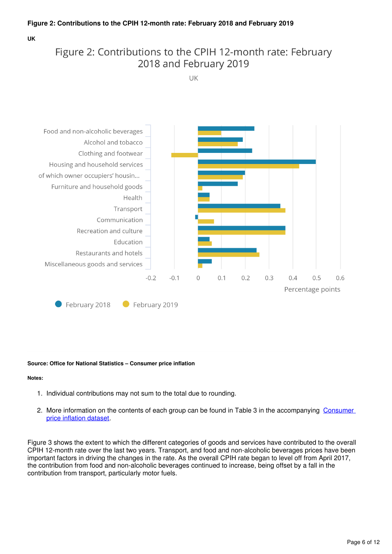## **Figure 2: Contributions to the CPIH 12-month rate: February 2018 and February 2019**

**UK**

## Figure 2: Contributions to the CPIH 12-month rate: February 2018 and February 2019

UK



## **Source: Office for National Statistics – Consumer price inflation**

### **Notes:**

- 1. Individual contributions may not sum to the total due to rounding.
- 2. More information on the contents of each group can be found in Table 3 in the accompanying Consumer [price inflation dataset](https://www.ons.gov.uk/economy/inflationandpriceindices/datasets/consumerpriceinflation).

Figure 3 shows the extent to which the different categories of goods and services have contributed to the overall CPIH 12-month rate over the last two years. Transport, and food and non-alcoholic beverages prices have been important factors in driving the changes in the rate. As the overall CPIH rate began to level off from April 2017, the contribution from food and non-alcoholic beverages continued to increase, being offset by a fall in the contribution from transport, particularly motor fuels.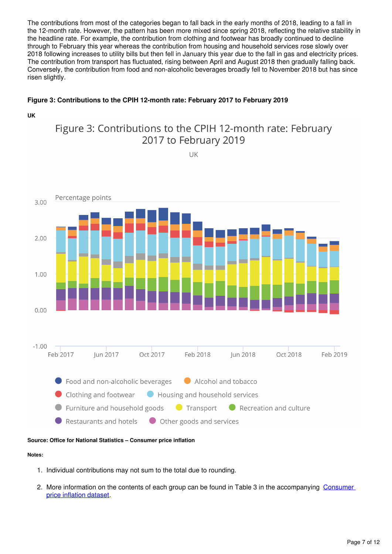The contributions from most of the categories began to fall back in the early months of 2018, leading to a fall in the 12-month rate. However, the pattern has been more mixed since spring 2018, reflecting the relative stability in the headline rate. For example, the contribution from clothing and footwear has broadly continued to decline through to February this year whereas the contribution from housing and household services rose slowly over 2018 following increases to utility bills but then fell in January this year due to the fall in gas and electricity prices. The contribution from transport has fluctuated, rising between April and August 2018 then gradually falling back. Conversely, the contribution from food and non-alcoholic beverages broadly fell to November 2018 but has since risen slightly.

## **Figure 3: Contributions to the CPIH 12-month rate: February 2017 to February 2019**

## **UK**

## Figure 3: Contributions to the CPIH 12-month rate: February 2017 to February 2019

UK



### **Source: Office for National Statistics – Consumer price inflation**

### **Notes:**

- 1. Individual contributions may not sum to the total due to rounding.
- 2. More information on the contents of each group can be found in Table 3 in the accompanying Consumer [price inflation dataset](https://www.ons.gov.uk/economy/inflationandpriceindices/datasets/consumerpriceinflation).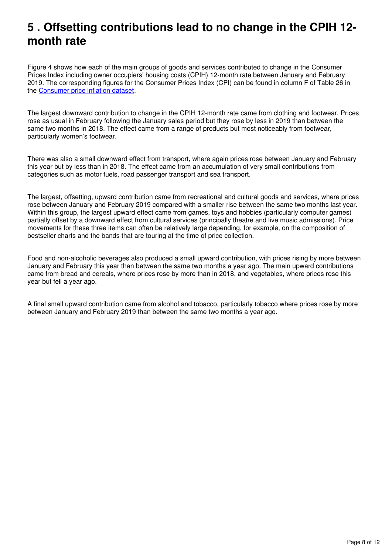# <span id="page-7-0"></span>**5 . Offsetting contributions lead to no change in the CPIH 12 month rate**

Figure 4 shows how each of the main groups of goods and services contributed to change in the Consumer Prices Index including owner occupiers' housing costs (CPIH) 12-month rate between January and February 2019. The corresponding figures for the Consumer Prices Index (CPI) can be found in column F of Table 26 in the Consumer price inflation dataset[.](https://www.ons.gov.uk/economy/inflationandpriceindices/datasets/consumerpriceinflation)

The largest downward contribution to change in the CPIH 12-month rate came from clothing and footwear. Prices rose as usual in February following the January sales period but they rose by less in 2019 than between the same two months in 2018. The effect came from a range of products but most noticeably from footwear, particularly women's footwear.

There was also a small downward effect from transport, where again prices rose between January and February this year but by less than in 2018. The effect came from an accumulation of very small contributions from categories such as motor fuels, road passenger transport and sea transport.

The largest, offsetting, upward contribution came from recreational and cultural goods and services, where prices rose between January and February 2019 compared with a smaller rise between the same two months last year. Within this group, the largest upward effect came from games, toys and hobbies (particularly computer games) partially offset by a downward effect from cultural services (principally theatre and live music admissions). Price movements for these three items can often be relatively large depending, for example, on the composition of bestseller charts and the bands that are touring at the time of price collection.

Food and non-alcoholic beverages also produced a small upward contribution, with prices rising by more between January and February this year than between the same two months a year ago. The main upward contributions came from bread and cereals, where prices rose by more than in 2018, and vegetables, where prices rose this year but fell a year ago.

A final small upward contribution came from alcohol and tobacco, particularly tobacco where prices rose by more between January and February 2019 than between the same two months a year ago.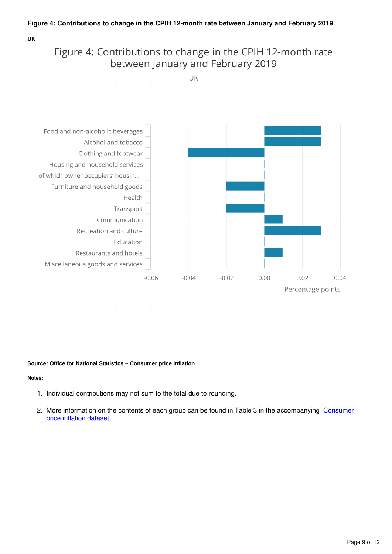## **Figure 4: Contributions to change in the CPIH 12-month rate between January and February 2019**

**UK**

## Figure 4: Contributions to change in the CPIH 12-month rate between January and February 2019

UK



## **Source: Office for National Statistics – Consumer price inflation**

### **Notes:**

- 1. Individual contributions may not sum to the total due to rounding.
- 2. More information on the contents of each group can be found in Table 3 in the accompanying Consumer [price inflation dataset](https://www.ons.gov.uk/economy/inflationandpriceindices/datasets/consumerpriceinflation).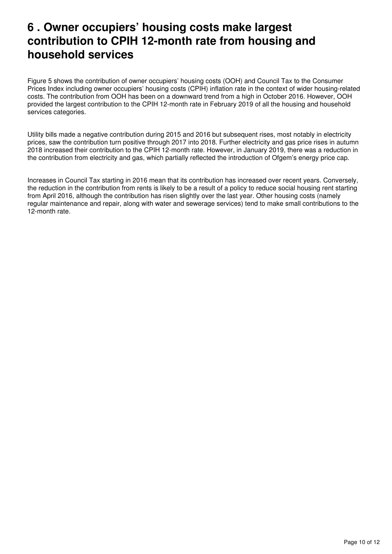## <span id="page-9-0"></span>**6 . Owner occupiers' housing costs make largest contribution to CPIH 12-month rate from housing and household services**

Figure 5 shows the contribution of owner occupiers' housing costs (OOH) and Council Tax to the Consumer Prices Index including owner occupiers' housing costs (CPIH) inflation rate in the context of wider housing-related costs. The contribution from OOH has been on a downward trend from a high in October 2016. However, OOH provided the largest contribution to the CPIH 12-month rate in February 2019 of all the housing and household services categories.

Utility bills made a negative contribution during 2015 and 2016 but subsequent rises, most notably in electricity prices, saw the contribution turn positive through 2017 into 2018. Further electricity and gas price rises in autumn 2018 increased their contribution to the CPIH 12-month rate. However, in January 2019, there was a reduction in the contribution from electricity and gas, which partially reflected the introduction of Ofgem's energy price cap.

Increases in Council Tax starting in 2016 mean that its contribution has increased over recent years. Conversely, the reduction in the contribution from rents is likely to be a result of a policy to reduce social housing rent starting from April 2016, although the contribution has risen slightly over the last year. Other housing costs (namely regular maintenance and repair, along with water and sewerage services) tend to make small contributions to the 12-month rate.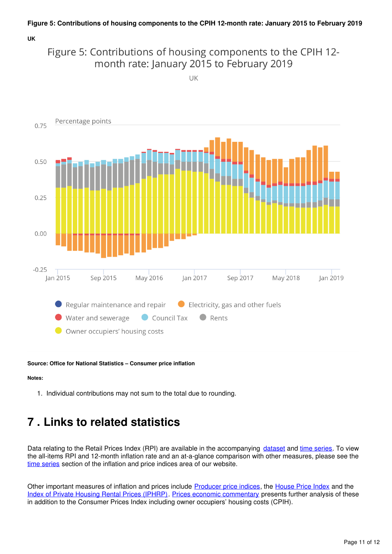## **UK**



UK



**Source: Office for National Statistics – Consumer price inflation**

### **Notes:**

1. Individual contributions may not sum to the total due to rounding.

# <span id="page-10-0"></span>**7 . Links to related statistics**

Data relating to the Retail Prices Index (RPI) are available in the accompanying dataset and time series[.](https://www.ons.gov.uk/economy/inflationandpriceindices/datasets/consumerpriceindices) To view the all-items RPI and 12-month inflation rate and an at-a-glance comparison with other measures, please see the [time series](https://www.ons.gov.uk/economy/inflationandpriceindices#timeseries) section of the inflation and price indices area of our website.

Other important measures of inflation and prices include [Producer price indices](https://www.ons.gov.uk/economy/inflationandpriceindices/bulletins/producerpriceinflation/previousReleases), the House Price Index and the [Index of Private Housing Rental Prices \(IPHRP\).](https://www.ons.gov.uk/economy/inflationandpriceindices/bulletins/indexofprivatehousingrentalprices/previousReleases)[Prices economic commentary](https://www.ons.gov.uk/economy/inflationandpriceindices/articles/priceseconomiccommentary/previousReleases) presents further analysis of these in addition to the Consumer Prices Index including owner occupiers' housing costs (CPIH).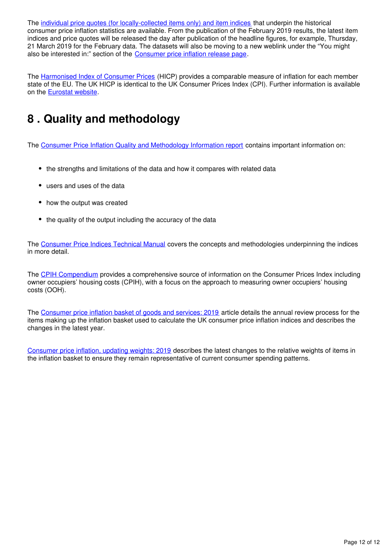The [individual price quotes \(for locally-collected items only\) and item indices](https://www.ons.gov.uk/economy/inflationandpriceindices/datasets/consumerpriceindicescpiandretailpricesindexrpiitemindicesandpricequotes) that underpin the historical consumer price inflation statistics are available. From the publication of the February 2019 results, the latest item indices and price quotes will be released the day after publication of the headline figures, for example, Thursday, 21 March 2019 for the February data. The datasets will also be moving to a new weblink under the "You might also be interested in:" section of the [Consumer price inflation release page](https://www.ons.gov.uk/economy/inflationandpriceindices/bulletins/consumerpriceinflation/latest).

The [Harmonised Index of Consumer Prices](http://ec.europa.eu/eurostat/tgm/refreshTableAction.do?tab=table&plugin=1&pcode=teicp000&language=en) (HICP) provides a comparable measure of inflation for each member state of the EU. The UK HICP is identical to the UK Consumer Prices Index (CPI). Further information is available on the Eurostat website[.](http://ec.europa.eu/eurostat/web/hicp/overview)

# <span id="page-11-0"></span>**8 . Quality and methodology**

The [Consumer Price Inflation Quality and Methodology Information report](https://www.ons.gov.uk/economy/inflationandpriceindices/methodologies/consumerpriceinflationincludesall3indicescpihcpiandrpiqmi) contains important information on:

- the strengths and limitations of the data and how it compares with related data
- users and uses of the data
- how the output was created
- the quality of the output including the accuracy of the data

The [Consumer Price Indices Technical Manual](http://webarchive.nationalarchives.gov.uk/20160105160709/http:/ons.gov.uk/ons/rel/cpi/consumer-price-indices---technical-manual/2014/index.html) covers the concepts and methodologies underpinning the indices in more detail.

The [CPIH Compendium](https://www.ons.gov.uk/economy/inflationandpriceindices/articles/cpihcompendium/2016-10-13) provides a comprehensive source of information on the Consumer Prices Index including owner occupiers' housing costs (CPIH), with a focus on the approach to measuring owner occupiers' housing costs (OOH).

The [Consumer price inflation basket of goods and services: 2019](https://www.ons.gov.uk/economy/inflationandpriceindices/articles/consumerpriceinflationupdatingweights/2019) article details the annual review process for the items making up the inflation basket used to calculate the UK consumer price inflation indices and describes the changes in the latest year.

[Consumer price inflation, updating weights: 2019](https://www.ons.gov.uk/releases/consumerpriceinflationupdatingweights2019) describes the latest changes to the relative weights of items in the inflation basket to ensure they remain representative of current consumer spending patterns.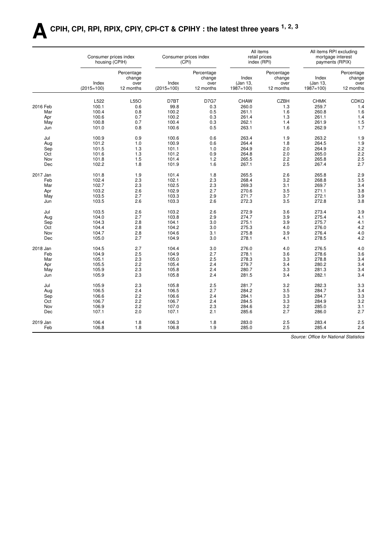# **ACPIH, CPI, RPI, RPIX, CPIY, CPI-CT & CPIHY : the latest three years 1, 2, 3**

|          | Consumer prices index<br>housing (CPIH) |                              |              | Consumer prices index<br>(CPI) |                   | All items<br>retail prices<br>index (RPI) |                   | All items RPI excluding<br>mortgage interest<br>payments (RPIX) |
|----------|-----------------------------------------|------------------------------|--------------|--------------------------------|-------------------|-------------------------------------------|-------------------|-----------------------------------------------------------------|
|          | Index                                   | Percentage<br>change<br>over | Index        | Percentage<br>change<br>over   | Index<br>(Jan 13, | Percentage<br>change<br>over              | Index<br>(Jan 13, | Percentage<br>change<br>over                                    |
|          | $(2015=100)$                            | 12 months                    | $(2015=100)$ | 12 months                      | $1987 = 100$      | 12 months                                 | $1987 = 100$      | 12 months                                                       |
|          | L522                                    | L55O                         | D7BT         | <b>D7G7</b>                    | <b>CHAW</b>       | <b>CZBH</b>                               | <b>CHMK</b>       | CDKQ                                                            |
| 2016 Feb | 100.1                                   | 0.6                          | 99.8         | 0.3                            | 260.0             | 1.3                                       | 259.7             | 1.4                                                             |
| Mar      | 100.4                                   | 0.8                          | 100.2        | 0.5                            | 261.1             | 1.6                                       | 260.8             | 1.6                                                             |
| Apr      | 100.6                                   | 0.7                          | 100.2        | 0.3                            | 261.4             | 1.3                                       | 261.1             | 1.4                                                             |
| May      | 100.8                                   | 0.7                          | 100.4        | 0.3                            | 262.1             | 1.4                                       | 261.9             | 1.5                                                             |
| Jun      | 101.0                                   | 0.8                          | 100.6        | 0.5                            | 263.1             | 1.6                                       | 262.9             | 1.7                                                             |
| Jul      | 100.9                                   | 0.9                          | 100.6        | 0.6                            | 263.4             | 1.9                                       | 263.2             | 1.9                                                             |
| Aug      | 101.2                                   | 1.0                          | 100.9        | 0.6                            | 264.4             | 1.8                                       | 264.5             | 1.9                                                             |
| Sep      | 101.5                                   | 1.3                          | 101.1        | 1.0                            | 264.9             | 2.0                                       | 264.9             | 2.2                                                             |
| Oct      | 101.6                                   | 1.3                          | 101.2        | 0.9                            | 264.8             | 2.0                                       | 265.0             | 2.2                                                             |
| Nov      | 101.8                                   | 1.5                          | 101.4        | 1.2                            | 265.5             | 2.2                                       | 265.8             | 2.5                                                             |
| Dec      | 102.2                                   | 1.8                          | 101.9        | 1.6                            | 267.1             | 2.5                                       | 267.4             | 2.7                                                             |
| 2017 Jan | 101.8                                   | 1.9                          | 101.4        | 1.8                            | 265.5             | 2.6                                       | 265.8             | 2.9                                                             |
| Feb      | 102.4                                   | 2.3                          | 102.1        | 2.3                            | 268.4             | 3.2                                       | 268.8             | 3.5                                                             |
| Mar      | 102.7                                   | 2.3                          | 102.5        | 2.3                            | 269.3             | 3.1                                       | 269.7             | 3.4                                                             |
| Apr      | 103.2                                   | 2.6                          | 102.9        | 2.7                            | 270.6             | 3.5                                       | 271.1             | 3.8                                                             |
| May      | 103.5                                   | 2.7                          | 103.3        | 2.9                            | 271.7             | 3.7                                       | 272.1             | 3.9                                                             |
| Jun      | 103.5                                   | 2.6                          | 103.3        | 2.6                            | 272.3             | 3.5                                       | 272.8             | 3.8                                                             |
|          |                                         |                              |              |                                |                   |                                           |                   |                                                                 |
| Jul      | 103.5                                   | 2.6                          | 103.2        | 2.6                            | 272.9             | 3.6                                       | 273.4             | 3.9                                                             |
| Aug      | 104.0                                   | 2.7                          | 103.8        | 2.9                            | 274.7             | 3.9                                       | 275.4             | 4.1                                                             |
| Sep      | 104.3                                   | 2.8                          | 104.1        | 3.0                            | 275.1             | 3.9                                       | 275.7             | 4.1                                                             |
| Oct      | 104.4                                   | 2.8                          | 104.2        | 3.0                            | 275.3             | 4.0                                       | 276.0             | 4.2                                                             |
| Nov      | 104.7                                   | 2.8                          | 104.6        | 3.1                            | 275.8             | 3.9                                       | 276.4             | 4.0                                                             |
| Dec      | 105.0                                   | 2.7                          | 104.9        | 3.0                            | 278.1             | 4.1                                       | 278.5             | 4.2                                                             |
| 2018 Jan | 104.5                                   | 2.7                          | 104.4        | 3.0                            | 276.0             | 4.0                                       | 276.5             | 4.0                                                             |
| Feb      | 104.9                                   | 2.5                          | 104.9        | 2.7                            | 278.1             | 3.6                                       | 278.6             | 3.6                                                             |
| Mar      | 105.1                                   | 2.3                          | 105.0        | 2.5                            | 278.3             | 3.3                                       | 278.8             | 3.4                                                             |
| Apr      | 105.5                                   | 2.2                          | 105.4        | 2.4                            | 279.7             | 3.4                                       | 280.2             | 3.4                                                             |
| May      | 105.9                                   | 2.3                          | 105.8        | 2.4                            | 280.7             | 3.3                                       | 281.3             | 3.4                                                             |
| Jun      | 105.9                                   | 2.3                          | 105.8        | 2.4                            | 281.5             | 3.4                                       | 282.1             | 3.4                                                             |
| Jul      | 105.9                                   | 2.3                          | 105.8        | 2.5                            | 281.7             | 3.2                                       | 282.3             | 3.3                                                             |
| Aug      | 106.5                                   | 2.4                          | 106.5        | 2.7                            | 284.2             | 3.5                                       | 284.7             | 3.4                                                             |
| Sep      | 106.6                                   | 2.2                          | 106.6        | 2.4                            | 284.1             | 3.3                                       | 284.7             | 3.3                                                             |
| Oct      | 106.7                                   | 2.2                          | 106.7        | 2.4                            | 284.5             | 3.3                                       | 284.9             | 3.2                                                             |
| Nov      | 106.9                                   | 2.2                          | 107.0        | 2.3                            | 284.6             | 3.2                                       | 285.0             | 3.1                                                             |
| Dec      | 107.1                                   | 2.0                          | 107.1        | 2.1                            | 285.6             | 2.7                                       | 286.0             | 2.7                                                             |
| 2019 Jan | 106.4                                   | 1.8                          | 106.3        | 1.8                            | 283.0             | 2.5                                       | 283.4             | 2.5                                                             |
| Feb      | 106.8                                   | 1.8                          | 106.8        | 1.9                            | 285.0             | 2.5                                       | 285.4             | 2.4                                                             |
|          |                                         |                              |              |                                |                   |                                           |                   |                                                                 |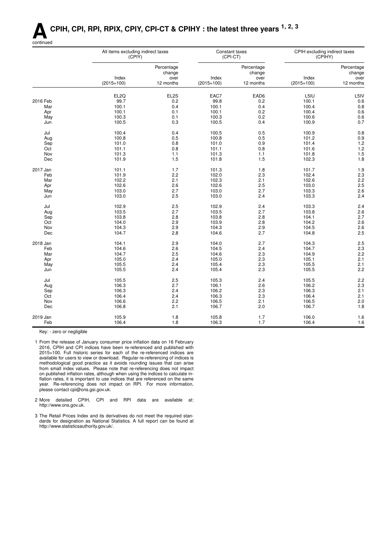# **ACPIH, CPI, RPI, RPIX, CPIY, CPI-CT & CPIHY : the latest three years 1, 2, 3**



|          | All items excluding indirect taxes<br>(CPIY) | $(CPI-CT)$           | Constant taxes | CPIH excluding indirect taxes<br>(CPIHY) |              |                      |
|----------|----------------------------------------------|----------------------|----------------|------------------------------------------|--------------|----------------------|
|          |                                              | Percentage<br>change |                | Percentage<br>change                     |              | Percentage<br>change |
|          | Index                                        | over                 | Index          | over                                     | Index        | over                 |
|          | $(2015=100)$                                 | 12 months            | $(2015=100)$   | 12 months                                | $(2015=100)$ | 12 months            |
|          | EL <sub>2Q</sub>                             | EL2S                 | EAC7           | EAD6                                     | L5IU         | L5IV                 |
| 2016 Feb | 99.7                                         | 0.2                  | 99.8           | 0.2                                      | 100.1        | 0.6                  |
| Mar      | 100.1                                        | 0.4                  | 100.1          | 0.4                                      | 100.4        | 0.8                  |
|          | 100.1                                        | 0.1                  | 100.1          | 0.2                                      | 100.4        | 0.6                  |
| Apr      |                                              |                      |                |                                          |              |                      |
| May      | 100.3                                        | 0.1                  | 100.3          | 0.2                                      | 100.6        | 0.6                  |
| Jun      | 100.5                                        | 0.3                  | 100.5          | 0.4                                      | 100.9        | 0.7                  |
| Jul      | 100.4                                        | 0.4                  | 100.5          | 0.5                                      | 100.9        | 0.8                  |
| Aug      | 100.8                                        | 0.5                  | 100.8          | 0.5                                      | 101.2        | 0.9                  |
| Sep      | 101.0                                        | 0.8                  | 101.0          | 0.9                                      | 101.4        | $1.2$                |
| Oct      | 101.1                                        | 0.8                  | 101.1          | 0.8                                      | 101.6        | 1.2                  |
| Nov      | 101.3                                        | 1.1                  | 101.3          | 1.1                                      | 101.8        | 1.5                  |
| Dec      | 101.9                                        | 1.5                  | 101.8          | 1.5                                      | 102.3        | 1.8                  |
|          |                                              |                      |                |                                          |              |                      |
| 2017 Jan | 101.1                                        | 1.7                  | 101.3          | 1.8                                      | 101.7        | 1.9                  |
| Feb      | 101.9                                        | 2.2                  | 102.0          | 2.3                                      | 102.4        | 2.3                  |
| Mar      | 102.2                                        | 2.1                  | 102.3          | 2.1                                      | 102.6        | 2.2                  |
| Apr      | 102.6                                        | 2.6                  | 102.6          | 2.5                                      | 103.0        | 2.5                  |
| May      | 103.0                                        | 2.7                  | 103.0          | 2.7                                      | 103.3        | 2.6                  |
| Jun      | 103.0                                        | 2.5                  | 103.0          | 2.4                                      | 103.3        | 2.4                  |
|          |                                              |                      |                |                                          |              |                      |
| Jul      | 102.9                                        | 2.5                  | 102.9          | 2.4                                      | 103.3        | 2.4                  |
| Aug      | 103.5                                        | 2.7                  | 103.5          | 2.7                                      | 103.8        | 2.6                  |
| Sep      | 103.8                                        | 2.8                  | 103.8          | 2.8                                      | 104.1        | 2.7                  |
| Oct      | 104.0                                        | 2.9                  | 103.9          | 2.8                                      | 104.2        | 2.6                  |
| Nov      | 104.3                                        | 2.9                  | 104.3          | 2.9                                      | 104.5        | 2.6                  |
| Dec      | 104.7                                        | 2.8                  | 104.6          | 2.7                                      | 104.8        | 2.5                  |
|          |                                              |                      |                |                                          |              |                      |
| 2018 Jan | 104.1                                        | 2.9                  | 104.0          | 2.7                                      | 104.3        | 2.5                  |
| Feb      | 104.6                                        | 2.6                  | 104.5          | 2.4                                      | 104.7        | 2.3                  |
| Mar      | 104.7                                        | 2.5                  | 104.6          | 2.3                                      | 104.9        | 2.2                  |
| Apr      | 105.0                                        | 2.4                  | 105.0          | 2.3                                      | 105.1        | 2.1                  |
| May      | 105.5                                        | 2.4                  | 105.4          | 2.3                                      | 105.5        | 2.1                  |
| Jun      | 105.5                                        | 2.4                  | 105.4          | 2.3                                      | 105.5        | 2.2                  |
|          | 105.5                                        | 2.5                  |                | 2.4                                      |              |                      |
| Jul      |                                              |                      | 105.3          |                                          | 105.5        | 2.2                  |
| Aug      | 106.3                                        | 2.7                  | 106.1          | 2.6                                      | 106.2        | 2.3                  |
| Sep      | 106.3                                        | 2.4                  | 106.2          | 2.3                                      | 106.3        | 2.1                  |
| Oct      | 106.4                                        | 2.4                  | 106.3          | 2.3                                      | 106.4        | 2.1                  |
| Nov      | 106.6                                        | 2.2                  | 106.5          | 2.1                                      | 106.5        | 2.0                  |
| Dec      | 106.8                                        | 2.1                  | 106.7          | 2.0                                      | 106.7        | 1.8                  |
| 2019 Jan | 105.9                                        | 1.8                  | 105.8          | 1.7                                      | 106.0        | 1.6                  |
| Feb      | 106.4                                        | 1.8                  | 106.3          | 1.7                                      | 106.4        | 1.6                  |
|          |                                              |                      |                |                                          |              |                      |

Key: - zero or negligible

1 From the release of January consumer price inflation data on 16 February 2016, CPIH and CPI indices have been re-referenced and published with 2015=100. Full historic series for each of the re-referenced indices are available for users to view or download. Regular re-referencing of indices is methodological good practice as it avoids rounding issues that can arise from small index values. Please note that re-referencing does not impact on published inflation rates, although when using the indices to calculate inflation rates, it is important to use indices that are referenced on the same year. Re-referencing does not impact on RPI. For more information, please contact cpi@ons.gsi.gov.uk.

- 2 More detailed CPIH, CPI and RPI data are available at: http://www.ons.gov.uk.
- 3 The Retail Prices Index and its derivatives do not meet the required standards for designation as National Statistics. A full report can be found at http://www.statisticsauthority.gov.uk/.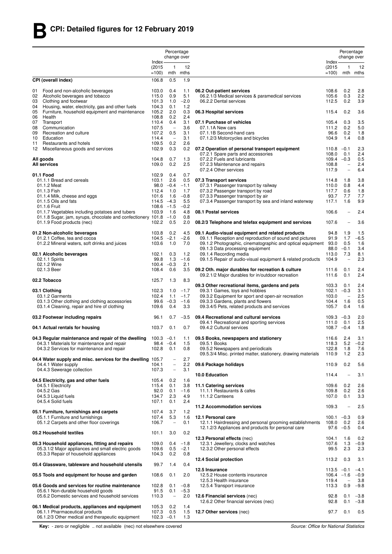|          |                                                                                                    |                        | Percentage                                           |                  |                                                                                                                |                               | Percentage                        |                  |
|----------|----------------------------------------------------------------------------------------------------|------------------------|------------------------------------------------------|------------------|----------------------------------------------------------------------------------------------------------------|-------------------------------|-----------------------------------|------------------|
|          |                                                                                                    | Index-                 | change over                                          |                  |                                                                                                                | Index-                        | change over                       |                  |
|          |                                                                                                    | (2015)<br>$=100$       | 1                                                    | 12<br>mth mths   |                                                                                                                | (2015)<br>$=100$              | 1                                 | 12<br>mth mths   |
|          | CPI (overall index)                                                                                | 106.8                  | 0.5                                                  | 1.9              |                                                                                                                |                               |                                   |                  |
|          |                                                                                                    |                        |                                                      |                  |                                                                                                                |                               |                                   |                  |
| 01<br>02 | Food and non-alcoholic beverages<br>Alcoholic beverages and tobacco                                | 103.0<br>115.0         | 0.4<br>0.9                                           | 1.1<br>5.1       | 06.2 Out-patient services<br>06.2.1/3 Medical services & paramedical services                                  | 108.6<br>105.6                | 0.2<br>0.3                        | 2.8<br>2.2       |
| 03       | Clothing and footwear                                                                              | 101.3                  | 1.0                                                  | $-2.0$           | 06.2.2 Dental services                                                                                         | 112.5                         | 0.2                               | 3.9              |
| 04<br>05 | Housing, water, electricity, gas and other fuels<br>Furniture, household equipment and maintenance | 104.3<br>105.2         | 0.1<br>2.0                                           | 1.2<br>0.3       | 06.3 Hospital services                                                                                         | 115.4                         | 0.2                               | 3.6              |
| 06       | Health                                                                                             | 108.8                  | 0.2                                                  | 2.4              |                                                                                                                |                               |                                   |                  |
| 07<br>08 | Transport<br>Communication                                                                         | 110.4<br>107.5         | 0.4<br>$\overline{\phantom{a}}$                      | 3.1<br>3.6       | 07.1 Purchase of vehicles<br>07.1.1A New cars                                                                  | 105.4<br>111.2                | 0.3<br>0.2                        | 3.5<br>5.0       |
| 09       | Recreation and culture                                                                             | 107.2                  | 0.5                                                  | 3.1              | 07.1.1B Second-hand cars                                                                                       | 96.6                          | 0.2                               | 1.8              |
| 10       | Education                                                                                          | 114.4                  | $\overline{\phantom{a}}$                             | 3.1              | 07.1.2/3 Motorcycles and bicycles                                                                              | 104.9                         | 1.4                               | 0.8              |
| 11<br>12 | Restaurants and hotels<br>Miscellaneous goods and services                                         | 109.5<br>102.9         | 0.2<br>0.3                                           | 2.6<br>0.2       | 07.2 Operation of personal transport equipment                                                                 | $110.8 - 0.1$                 |                                   | 2.3              |
|          |                                                                                                    |                        |                                                      |                  | 07.2.1 Spare parts and accessories                                                                             | 108.0                         | 0.1                               | 2.4              |
|          | All goods<br><b>All services</b>                                                                   | 104.8<br>109.0         | 0.7<br>0.2                                           | 1.3<br>2.5       | 07.2.2 Fuels and lubricants<br>07.2.3 Maintenance and repairs                                                  | $109.4 -0.3$<br>108.8         | $\overline{\phantom{a}}$          | 0.5<br>2.4       |
|          |                                                                                                    |                        |                                                      |                  | 07.2.4 Other services                                                                                          | 117.9                         | $\overline{\phantom{0}}$          | 6.4              |
|          | 01.1 Food                                                                                          | 102.9                  | 0.4                                                  | 0.7              |                                                                                                                |                               |                                   |                  |
|          | 01.1.1 Bread and cereals<br>01.1.2 Meat                                                            | 103.1<br>98.0          | 2.6<br>$-0.4$                                        | 0.5<br>$-1.1$    | 07.3 Transport services<br>07.3.1 Passenger transport by railway                                               | 114.8<br>110.0                | 1.8<br>0.8                        | 3.8<br>4.4       |
|          | 01.1.3 Fish                                                                                        | 112.4                  | 1.0                                                  | 1.7              | 07.3.2 Passenger transport by road                                                                             | 117.7                         | 0.6                               | 1.8              |
|          | 01.1.4 Milk, cheese and eggs<br>01.1.5 Oils and fats                                               | 101.6<br>$114.5 - 4.3$ | 1.6                                                  | $-0.8$<br>5.5    | 07.3.3 Passenger transport by air<br>07.3.4 Passenger transport by sea and inland waterway                     | 93.7<br>117.1                 | 7.7<br>1.6                        | 7.7<br>9.9       |
|          | 01.1.6 Fruit                                                                                       | 108.6                  | $-1.5$                                               | $-0.2$           |                                                                                                                |                               |                                   |                  |
|          | 01.1.7 Vegetables including potatoes and tubers                                                    | 103.9                  | 1.6                                                  | 4.8              | 08.1 Postal services                                                                                           | 106.6                         | $\overline{\phantom{a}}$          | 2.4              |
|          | 01.1.8 Sugar, jam, syrups, chocolate and confectionery 101.8<br>01.1.9 Food products (nec)         | 102.2                  | $-1.0$<br>0.5                                        | 0.8<br>2.0       | 08.2/3 Telephone and telefax equipment and services                                                            | 107.6                         |                                   | 3.6              |
|          |                                                                                                    |                        |                                                      |                  |                                                                                                                |                               |                                   |                  |
|          | 01.2 Non-alcoholic beverages<br>01.2.1 Coffee, tea and cocoa                                       | 103.8<br>104.5         | 0.2<br>$-2.1$                                        | 4.5<br>$-2.6$    | 09.1 Audio-visual equipment and related products<br>09.1.1 Reception and reproduction of sound and pictures    | 94.8<br>91.9                  | 1.9<br>1.7                        | 1.5<br>$-6.5$    |
|          | 01.2.2 Mineral waters, soft drinks and juices                                                      | 103.6                  | 1.0                                                  | 7.0              | 09.1.2 Photographic, cinematographic and optical equipment                                                     | 93.0                          | 0.5                               | 1.6              |
|          |                                                                                                    |                        |                                                      |                  | 09.1.3 Data processing equipment                                                                               | 88.0                          | $-0.1$                            | 3.4              |
|          | 02.1 Alcoholic beverages<br>02.1.1 Spirits                                                         | 102.1<br>99.8          | 0.3<br>1.3                                           | 1.2<br>$-1.6$    | 09.1.4 Recording media<br>09.1.5 Repair of audio-visual equipment & related products                           | 113.0<br>104.9                | 7.3<br>$\overline{\phantom{a}}$   | 8.1<br>2.3       |
|          | 02.1.2 Wine                                                                                        | $100.4 -0.3$           |                                                      | 2.1              |                                                                                                                |                               |                                   |                  |
|          | 02.1.3 Beer                                                                                        | 108.4                  | 0.6                                                  | 3.5              | 09.2 Oth. major durables for recreation & culture<br>09.2.1/2 Major durables for in/outdoor recreation         | 111.6<br>111.6                | 0.1<br>0.1                        | 2.4<br>2.4       |
|          | 02.2 Tobacco                                                                                       | 125.7                  | 1.3                                                  | 8.3              |                                                                                                                |                               |                                   |                  |
|          | 03.1 Clothing                                                                                      | 102.3                  | 1.0                                                  | $-1.7$           | 09.3 Other recreational items, gardens and pets<br>09.3.1 Games, toys and hobbies                              | 103.3<br>102.1                | 0.1<br>$-0.3$                     | 2.4<br>3.1       |
|          | 03.1.2 Garments                                                                                    | 102.4                  | 1.1                                                  | $-1.7$           | 09.3.2 Equipment for sport and open-air recreation                                                             | 103.0                         | $\hspace{1.0cm} - \hspace{1.0cm}$ | 2.5              |
|          | 03.1.3 Other clothing and clothing accessories                                                     | 99.6                   | $-0.3$                                               | $-1.6$           | 09.3.3 Gardens, plants and flowers                                                                             | 104.4                         | 1.6                               | 0.5              |
|          | 03.1.4 Cleaning, repair and hire of clothing                                                       | 109.6                  | 0.4                                                  | 3.3              | 09.3.4/5 Pets, related products and services                                                                   | 105.7                         | 0.4                               | 1.6              |
|          | 03.2 Footwear including repairs                                                                    | 96.1                   | 0.7                                                  | $-3.5$           | 09.4 Recreational and cultural services                                                                        | $109.3 -0.3$                  |                                   | 2.0              |
|          | 04.1 Actual rentals for housing                                                                    | 103.7                  | 0.1                                                  | 0.7              | 09.4.1 Recreational and sporting services<br>09.4.2 Cultural services                                          | 111.0<br>$108.7 -0.4$         | 0.1                               | 2.5<br>1.8       |
|          | 04.3 Regular maintenance and repair of the dwelling $100.3 -0.1$                                   |                        |                                                      | 1.1              | 09.5 Books, newspapers and stationery                                                                          | 116.6                         | 2.4                               | 3.1              |
|          | 04.3.1 Materials for maintenance and repair                                                        | 98.4                   | $-0.4$                                               | 1.5              | 09.5.1 BOOKS                                                                                                   | 118.3                         | 5.2                               | $-0.2$           |
|          | 04.3.2 Services for maintenance and repair                                                         | 102.8                  | 0.1                                                  | 0.8              | 09.5.2 Newspapers and periodicals<br>09.5.3/4 Misc. printed matter, stationery, drawing materials              | 122.8<br>110.9                | 1.8<br>1.2                        | 7.6<br>2.3       |
|          | 04.4 Water supply and misc. services for the dwelling 105.7                                        |                        | $\overline{\phantom{0}}$                             | 2.7              |                                                                                                                |                               |                                   |                  |
|          | 04.4.1 Water supply<br>04.4.3 Sewerage collection                                                  | 104.1<br>107.3         | $\overline{\phantom{0}}$<br>$\overline{\phantom{0}}$ | 2.2<br>3.1       | 09.6 Package holidays                                                                                          | 110.9                         | 0.2                               | 5.6              |
|          |                                                                                                    |                        |                                                      |                  | 10.0 Education                                                                                                 | 114.4                         | $\overline{\phantom{a}}$          | 3.1              |
|          | 04.5 Electricity, gas and other fuels                                                              | 105.4                  | 0.2                                                  | 1.6              |                                                                                                                |                               |                                   |                  |
|          | 04.5.1 Electricity<br>04.5.2 Gas                                                                   | 115.4<br>92.0          | 0.1<br>0.1                                           | 3.8<br>$-1.6$    | 11.1 Catering services<br>11.1.1 Restaurants & cafes                                                           | 109.6<br>109.8                | 0.2<br>0.2                        | 2.6<br>2.6       |
|          | 04.5.3 Liquid fuels                                                                                | 134.7                  | 2.3                                                  | 4.9              | 11.1.2 Canteens                                                                                                | 107.0                         | 0.1                               | 3.3              |
|          | 04.5.4 Solid fuels                                                                                 | 107.1                  | 0.1                                                  | 2.4              | 11.2 Accommodation services                                                                                    | 109.3                         | $\overline{\phantom{a}}$          | 2.5              |
|          | 05.1 Furniture, furnishings and carpets                                                            | 107.4                  | 3.7                                                  | 1.2              |                                                                                                                |                               |                                   |                  |
|          | 05.1.1 Furniture and furnishings                                                                   | 107.4<br>106.7         | 5.3<br>$\qquad \qquad -$                             | 1.6<br>0.1       | 12.1 Personal care                                                                                             | $100.1 - 0.3$<br>108.0        | 0.2                               | 0.9<br>2.6       |
|          | 05.1.2 Carpets and other floor coverings                                                           |                        |                                                      |                  | 12.1.1 Hairdressing and personal grooming establishments<br>12.1.2/3 Appliances and products for personal care |                               | $97.6 - 0.5$                      | 0.4              |
|          | 05.2 Household textiles                                                                            | 101.1                  | 3.0                                                  | 0.2              | 12.3 Personal effects (nec)                                                                                    | 104.1                         | 1.6                               | 0.2              |
|          | 05.3 Household appliances, fitting and repairs                                                     | 109.0                  | 0.4                                                  | $-1.8$           | 12.3.1 Jewellery, clocks and watches                                                                           | 107.6                         | 1.3                               | $-0.9$           |
|          | 05.3.1/2 Major appliances and small electric goods                                                 | 109.6                  | 0.5                                                  | $-2.1$           | 12.3.2 Other personal effects                                                                                  | 99.5                          | 2.3                               | 2.3              |
|          | 05.3.3 Repair of household appliances                                                              | 104.3                  | 0.2                                                  | 0.8              | 12.4 Social protection                                                                                         | 113.2                         | 0.3                               | 3.1              |
|          | 05.4 Glassware, tableware and household utensils                                                   | 99.7                   | 1.4                                                  | 0.4              |                                                                                                                |                               |                                   |                  |
|          | 05.5 Tools and equipment for house and garden                                                      | 108.6                  | 0.1                                                  | 2.0              | 12.5 Insurance<br>12.5.2 House contents insurance                                                              | $113.5 - 0.1$<br>$106.4 -1.6$ |                                   | $-4.1$<br>$-0.9$ |
|          |                                                                                                    |                        |                                                      |                  | 12.5.3 Health insurance                                                                                        | 119.4                         | $\equiv$                          | 3.8              |
|          | 05.6 Goods and services for routine maintenance<br>05.6.1 Non-durable household goods              | 102.8<br>91.5          | 0.1<br>0.1                                           | $-0.8$<br>$-5.3$ | 12.5.4 Transport insurance                                                                                     | 113.3                         | 0.9                               | $-9.8$           |
|          | 05.6.2 Domestic services and household services                                                    | 110.3                  | $\qquad \qquad -$                                    | 2.0              | 12.6 Financial services (nec)                                                                                  | 92.8                          | 0.1                               | $-3.8$           |
|          |                                                                                                    |                        |                                                      | 1.4              | 12.6.2 Other financial services (nec)                                                                          | 92.8                          | 0.1                               | $-3.8$           |
|          | 06.1 Medical products, appliances and equipment<br>06.1.1 Pharmaceutical products                  | 105.3<br>107.3         | 0.2<br>0.5                                           | 1.5              | 12.7 Other services (nec)                                                                                      | 97.7                          | 0.1                               | 0.5              |
|          | 06.1.2/3 Other medical and therapeutic equipment                                                   | $102.3 -0.1$           |                                                      | 1.3              |                                                                                                                |                               |                                   |                  |

**Key:** - zero or negligible .. not available (nec) not elsewhere covered *Source: Office for National Statistics*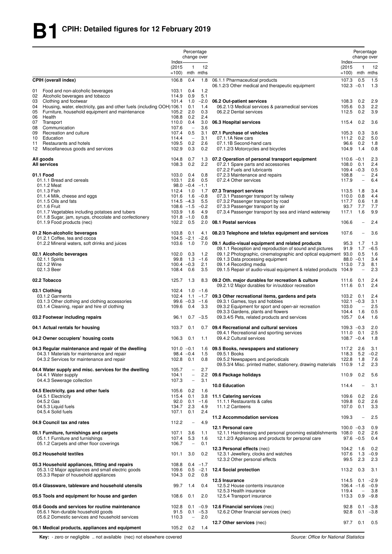|                                                                                                                                |                            | Percentage                                           | change over        |                                                                                                        |                            | Percentage<br>change over                           |                    |
|--------------------------------------------------------------------------------------------------------------------------------|----------------------------|------------------------------------------------------|--------------------|--------------------------------------------------------------------------------------------------------|----------------------------|-----------------------------------------------------|--------------------|
|                                                                                                                                | Index-<br>(2015)<br>$=100$ | $\mathbf{1}$                                         | 12<br>mth mths     |                                                                                                        | Index-<br>(2015)<br>$=100$ | 1                                                   | 12<br>mth mths     |
| <b>CPIH (overall index)</b><br>Food and non-alcoholic beverages<br>01                                                          | 106.8<br>103.1             | 0.4<br>0.4                                           | 1.8<br>1.2         | 06.1.1 Pharmaceutical products<br>06.1.2/3 Other medical and therapeutic equipment                     | 107.3<br>$102.3 -0.1$      | 0.5                                                 | 1.5<br>1.3         |
| 02<br>Alcoholic beverages and tobacco                                                                                          | 114.9                      | 0.9                                                  | 5.1                |                                                                                                        |                            |                                                     |                    |
| Clothing and footwear<br>03<br>04                                                                                              | 101.4                      | 1.0<br>0.1                                           | $-2.0$<br>1.4      | 06.2 Out-patient services                                                                              | 108.3<br>105.6             | 0.2<br>0.3                                          | 2.9<br>2.2         |
| Housing, water, electricity, gas and other fuels (including OOH) 106.1<br>Furniture, household equipment and maintenance<br>05 | 105.2                      | 2.0                                                  | 0.3                | 06.2.1/3 Medical services & paramedical services<br>06.2.2 Dental services                             | 112.5                      | 0.2                                                 | 3.9                |
| Health<br>06                                                                                                                   | 108.8                      | 0.2                                                  | 2.4                |                                                                                                        |                            |                                                     |                    |
| 07<br>Transport                                                                                                                | 110.0                      | 0.4                                                  | 3.0                | 06.3 Hospital services                                                                                 | 115.4                      | 0.2                                                 | 3.6                |
| Communication<br>08                                                                                                            | 107.6                      | $\overline{\phantom{m}}$                             | 3.6                |                                                                                                        |                            |                                                     |                    |
| Recreation and culture<br>09<br>Education<br>10                                                                                | 107.4<br>114.4             | 0.5<br>$\overline{\phantom{a}}$                      | 3.1<br>3.1         | 07.1 Purchase of vehicles<br>07.1.1A New cars                                                          | 105.3<br>111.2             | 0.3<br>0.2                                          | 3.6<br>5.0         |
| Restaurants and hotels<br>11                                                                                                   | 109.5                      | 0.2                                                  | 2.6                | 07.1.1B Second-hand cars                                                                               | 96.6                       | 0.2                                                 | 1.8                |
| 12<br>Miscellaneous goods and services                                                                                         | 102.9                      | 0.3                                                  | 0.2                | 07.1.2/3 Motorcycles and bicycles                                                                      | 104.9                      | 1.4                                                 | 0.8                |
| All goods                                                                                                                      | 104.8                      | 0.7                                                  | 1.3                | 07.2 Operation of personal transport equipment                                                         | $110.6 - 0.1$              |                                                     | 2.3                |
| <b>All services</b>                                                                                                            | 108.3                      | 0.2                                                  | 2.2                | 07.2.1 Spare parts and accessories                                                                     | 108.0                      | 0.1                                                 | 2.4                |
|                                                                                                                                |                            |                                                      |                    | 07.2.2 Fuels and lubricants                                                                            | $109.4 -0.3$               |                                                     | 0.5                |
| 01.1 Food<br>01.1.1 Bread and cereals                                                                                          | 103.0<br>103.1             | 0.4<br>2.6                                           | 0.8<br>0.5         | 07.2.3 Maintenance and repairs<br>07.2.4 Other services                                                | 108.8<br>117.9             | $\hspace{1.0cm} - \hspace{1.0cm}$<br>$\overline{a}$ | 2.4<br>6.4         |
| 01.1.2 Meat                                                                                                                    |                            | $98.0 -0.4$                                          | $-1.1$             |                                                                                                        |                            |                                                     |                    |
| 01.1.3 Fish                                                                                                                    | 112.4                      | 1.0                                                  | 1.7                | 07.3 Transport services                                                                                | 113.5                      | 1.8                                                 | 3.4                |
| 01.1.4 Milk, cheese and eggs                                                                                                   | 101.6 1.6                  |                                                      | $-0.8$             | 07.3.1 Passenger transport by railway                                                                  | 110.0                      | 0.8                                                 | 4.4                |
| 01.1.5 Oils and fats                                                                                                           | $114.5 - 4.3$              |                                                      | 5.5                | 07.3.2 Passenger transport by road                                                                     | 117.7                      | 0.6                                                 | 1.8                |
| 01.1.6 Fruit<br>01.1.7 Vegetables including potatoes and tubers                                                                | $108.6 - 1.5$<br>103.9 1.6 |                                                      | $-0.2$<br>4.9      | 07.3.3 Passenger transport by air<br>07.3.4 Passenger transport by sea and inland waterway             | 93.7<br>117.1              | 7.7<br>1.6                                          | 7.7<br>9.9         |
| 01.1.8 Sugar, jam, syrups, chocolate and confectionery                                                                         | $101.8 - 1.0$              |                                                      | 0.8                |                                                                                                        |                            |                                                     |                    |
| 01.1.9 Food products (nec)                                                                                                     | 102.2 0.5                  |                                                      | 2.0                | 08.1 Postal services                                                                                   | 106.6                      |                                                     | 2.4                |
| 01.2 Non-alcoholic beverages                                                                                                   | 103.8                      | 0.1                                                  | 4.1                | 08.2/3 Telephone and telefax equipment and services                                                    | 107.6                      | $\overline{\phantom{0}}$                            | 3.6                |
| 01.2.1 Coffee, tea and cocoa<br>01.2.2 Mineral waters, soft drinks and juices                                                  | $104.5 -2.1$<br>103.6 1.0  |                                                      | $-2.6$<br>7.0      | 09.1 Audio-visual equipment and related products                                                       | 95.3                       | 1.7                                                 | 1.3                |
|                                                                                                                                |                            |                                                      |                    | 09.1.1 Reception and reproduction of sound and pictures                                                | 91.9                       | 1.7                                                 | $-6.5$             |
| 02.1 Alcoholic beverages                                                                                                       | 102.0                      | 0.3                                                  | 1.2                | 09.1.2 Photographic, cinematographic and optical equipment 93.0                                        |                            | 0.5                                                 | 1.6                |
| 02.1.1 Spirits<br>02.1.2 Wine                                                                                                  | 99.8<br>$100.4 -0.3$       | 1.3                                                  | $-1.6$<br>2.1      | 09.1.3 Data processing equipment<br>09.1.4 Recording media                                             | 113.0                      | $88.0 -0.1$<br>7.3                                  | 3.4<br>8.1         |
| 02.1.3 Beer                                                                                                                    | 108.4                      | 0.6                                                  | 3.5                | 09.1.5 Repair of audio-visual equipment & related products                                             | 104.9                      | $\overline{\phantom{0}}$                            | 2.3                |
| 02.2 Tobacco                                                                                                                   | 125.7                      | 1.3                                                  | 8.3                | 09.2 Oth. major durables for recreation & culture<br>09.2.1/2 Major durables for in/outdoor recreation | 111.6<br>111.6             | 0.1<br>0.1                                          | 2.4<br>2.4         |
| 03.1 Clothing                                                                                                                  | 102.4                      | 1.0                                                  | $-1.6$             |                                                                                                        |                            |                                                     |                    |
| 03.1.2 Garments                                                                                                                | 102.4                      | 1.1                                                  | $-1.7$             | 09.3 Other recreational items, gardens and pets                                                        | 103.2                      | 0.1                                                 | 2.4                |
| 03.1.3 Other clothing and clothing accessories<br>03.1.4 Cleaning, repair and hire of clothing                                 |                            | $99.6 - 0.3$                                         | $-1.6$             | 09.3.1 Games, toys and hobbies                                                                         | $102.1 - 0.3$              | $\overline{\phantom{0}}$                            | 3.1                |
|                                                                                                                                | 109.6                      | 0.4                                                  | 3.3                | 09.3.2 Equipment for sport and open-air recreation<br>09.3.3 Gardens, plants and flowers               | 103.0<br>104.4             | 1.6                                                 | 2.5<br>0.5         |
| 03.2 Footwear including repairs                                                                                                | 96.1                       | 0.7                                                  | $-3.5$             | 09.3.4/5 Pets, related products and services                                                           | 105.7                      | 0.4                                                 | 1.6                |
| 04.1 Actual rentals for housing                                                                                                | 103.7                      | 0.1                                                  | 0.7                | 09.4 Recreational and cultural services<br>09.4.1 Recreational and sporting services                   | $109.3 - 0.3$<br>111.0     | 0.1                                                 | 2.0<br>2.5         |
| 04.2 Owner occupiers' housing costs                                                                                            | 106.3                      | 0.1                                                  | 1.1                | 09.4.2 Cultural services                                                                               | $108.7 - 0.4$              |                                                     | 1.8                |
| 04.3 Regular maintenance and repair of the dwelling                                                                            | $101.0 -0.1$               |                                                      | 1.6                | 09.5 Books, newspapers and stationery                                                                  | 117.2                      | 2.6                                                 | 3.1                |
| 04.3.1 Materials for maintenance and repair                                                                                    |                            | $98.4 -0.4$                                          | 1.5                | 09.5.1 Books                                                                                           | 118.3                      | 5.2                                                 | $-0.2$             |
| 04.3.2 Services for maintenance and repair                                                                                     | 102.8                      | 0.1                                                  | 0.8                | 09.5.2 Newspapers and periodicals<br>09.5.3/4 Misc. printed matter, stationery, drawing materials      | 122.8<br>110.9             | 1.8<br>1.2                                          | 7.6<br>2.3         |
| 04.4 Water supply and misc. services for the dwelling                                                                          | 105.7                      | $\overline{\phantom{0}}$                             | 2.7                |                                                                                                        |                            |                                                     |                    |
| 04.4.1 Water supply<br>04.4.3 Sewerage collection                                                                              | 104.1<br>107.3             | $\overline{\phantom{0}}$<br>$\overline{\phantom{0}}$ | 2.2<br>3.1         | 09.6 Package holidays                                                                                  | 110.9                      | 0.2                                                 | 5.6                |
|                                                                                                                                |                            |                                                      |                    | 10.0 Education                                                                                         | 114.4                      |                                                     | 3.1                |
| 04.5 Electricity, gas and other fuels                                                                                          | 105.6                      | 0.2                                                  | 1.6                |                                                                                                        |                            |                                                     |                    |
| 04.5.1 Electricity<br>04.5.2 Gas                                                                                               | 115.4<br>92.0              | 0.1                                                  | 3.8<br>$0.1 - 1.6$ | 11.1 Catering services<br>11.1.1 Restaurants & cafes                                                   | 109.6 0.2<br>109.8         | 0.2                                                 | 2.6<br>2.6         |
| 04.5.3 Liquid fuels                                                                                                            | 134.7                      | 2.3                                                  | 4.9                | 11.1.2 Canteens                                                                                        | 107.0                      | 0.1                                                 | 3.3                |
| 04.5.4 Solid fuels                                                                                                             | 107.1                      | 0.1                                                  | 2.4                |                                                                                                        |                            |                                                     |                    |
| 04.9 Council tax and rates                                                                                                     | 112.2                      | $\overline{\phantom{a}}$                             | 4.9                | 11.2 Accommodation services                                                                            | 109.3                      | $\overline{\phantom{0}}$                            | 2.5                |
|                                                                                                                                |                            |                                                      |                    | 12.1 Personal care                                                                                     | $100.0 -0.3$               |                                                     | 0.9                |
| 05.1 Furniture, furnishings and carpets                                                                                        | 107.1                      | 3.6                                                  | 1.1                | 12.1.1 Hairdressing and personal grooming establishments 108.0                                         |                            | 0.2                                                 | 2.6                |
| 05.1.1 Furniture and furnishings                                                                                               | 107.4<br>106.7             | 5.3                                                  | 1.6                | 12.1.2/3 Appliances and products for personal care                                                     |                            | $97.6 - 0.5$                                        | 0.4                |
| 05.1.2 Carpets and other floor coverings                                                                                       |                            | $\overline{\phantom{a}}$                             | 0.1                | 12.3 Personal effects (nec)                                                                            | 104.2                      | 1.6                                                 | 0.2                |
| 05.2 Household textiles                                                                                                        | 101.1                      | 3.0                                                  | 0.2                | 12.3.1 Jewellery, clocks and watches<br>12.3.2 Other personal effects                                  | 107.6<br>99.5              | 1.3<br>2.3                                          | $-0.9$<br>2.3      |
| 05.3 Household appliances, fitting and repairs                                                                                 | 108.8                      |                                                      | $0.4 -1.7$         |                                                                                                        |                            |                                                     |                    |
| 05.3.1/2 Major appliances and small electric goods<br>05.3.3 Repair of household appliances                                    | 109.6<br>104.3             | 0.2                                                  | $0.5 -2.1$<br>0.8  | 12.4 Social protection                                                                                 | 113.2                      | 0.3                                                 | 3.1                |
|                                                                                                                                |                            |                                                      |                    | 12.5 Insurance                                                                                         | 114.5                      | 0.1                                                 | $-2.9$             |
| 05.4 Glassware, tableware and household utensils                                                                               | 99.7                       | 1.4                                                  | 0.4                | 12.5.2 House contents insurance                                                                        | $106.4 - 1.6$              |                                                     | $-0.9$             |
| 05.5 Tools and equipment for house and garden                                                                                  | 108.6                      | 0.1                                                  | 2.0                | 12.5.3 Health insurance<br>12.5.4 Transport insurance                                                  | 119.4<br>113.3             |                                                     | 3.8<br>$0.9 - 9.8$ |
| 05.6 Goods and services for routine maintenance                                                                                | 102.8                      |                                                      | $0.1 -0.9$         | 12.6 Financial services (nec)                                                                          | 92.8                       | 0.1                                                 | $-3.8$             |
| 05.6.1 Non-durable household goods                                                                                             | 91.5                       |                                                      | $0.1 -5.3$         | 12.6.2 Other financial services (nec)                                                                  | 92.8                       | 0.1                                                 | $-3.8$             |
| 05.6.2 Domestic services and household services                                                                                | 110.3                      | $\overline{\phantom{a}}$                             | 2.0                |                                                                                                        |                            | 97.7 0.1                                            | 0.5                |
| 06.1 Medical products, appliances and equipment                                                                                | 105.2                      | 0.2                                                  | 1.4                | 12.7 Other services (nec)                                                                              |                            |                                                     |                    |
|                                                                                                                                |                            |                                                      |                    |                                                                                                        |                            |                                                     |                    |

**Key:** - zero or negligible .. not available (nec) not elsewhere covered *Source: Office for National Statistics*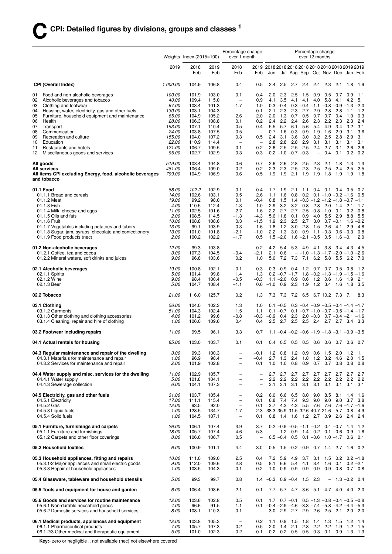|                                                                                                          | Weights Index $(2015=100)$ |                |                | Percentage change<br>over 1 month                    |                                                      | Percentage change<br>over 12 months                                   |                        |                                    |                        |                                                                                              |                  |                         |                            |                 |
|----------------------------------------------------------------------------------------------------------|----------------------------|----------------|----------------|------------------------------------------------------|------------------------------------------------------|-----------------------------------------------------------------------|------------------------|------------------------------------|------------------------|----------------------------------------------------------------------------------------------|------------------|-------------------------|----------------------------|-----------------|
|                                                                                                          | 2019                       | 2018<br>Feb    | 2019<br>Feb    | 2018<br>Feb                                          | Feb                                                  | 2019 2018 2018 2018 2018 2018 2018 2018 2019 2019<br>Jun              |                        |                                    |                        | Jul Aug Sep Oct Nov Dec Jan Feb                                                              |                  |                         |                            |                 |
| <b>CPI (Overall Index)</b>                                                                               | 1 000.00                   | 104.9          | 106.8          | 0.4                                                  | 0.5                                                  | 2.4                                                                   | 2.5                    |                                    |                        | 2.7 2.4 2.4 2.3                                                                              |                  | 2.1                     | 1.8                        | 1.9             |
| Food and non-alcoholic beverages<br>01<br>Alcoholic beverages and tobacco<br>02                          | 100.00<br>40.00            | 101.9<br>109.4 | 103.0<br>115.0 | 0.1<br>$\equiv$                                      | 0.4<br>0.9                                           | 2.0<br>4.1                                                            | 2.3<br>3.5             | 2.5<br>4.1                         | 1.5<br>4.1             | 0.9<br>4.0                                                                                   | 0.5<br>5.8       | 0.7<br>4.1              | 0.9<br>4.2                 | 1.1<br>5.1      |
| Clothing and footwear<br>03<br>04                                                                        | 67.00<br>130.00            | 103.4<br>103.1 | 101.3<br>104.3 | 1.7<br>$\overline{\phantom{a}}$                      | 1.0<br>0.1                                           | 2.1                                                                   | 2.3                    | 2.3                                | 2.7                    | $0.3 -0.4$ 0.3 $-0.4 -1.1 -0.8 -0.9 -1.3$<br>2.9                                             |                  | 2.8                     | $-1.1$                     | $-2.0$<br>1.2   |
| Housing, water, electricity, gas and other fuels<br>Furniture, household equipment and maintenance<br>05 | 65.00                      | 104.9          | 105.2          | 2.6                                                  | 2.0                                                  | 2.0                                                                   | 1.3                    | 0.7                                | 0.5                    | 0.7                                                                                          | 2.8<br>0.7       | 0.4                     | 1.0                        | 0.3             |
| Health<br>06                                                                                             | 28.00                      | 106.3          | 108.8          | 0.1                                                  | 0.2                                                  | 2.4                                                                   |                        | $2.2$ 2.4                          | 2.6                    | 2.3                                                                                          | 2.2              | 2.3                     | 2.3                        | 2.4             |
| Transport<br>07                                                                                          | 153.00                     | 107.1          | 110.4          | 0.5                                                  | 0.4                                                  | 5.5                                                                   |                        | 5.7 6.1                            | 5.6                    | 5.4                                                                                          | 4.9              | 3.4                     | 3.2                        | 3.1             |
| Communication<br>08<br>09<br>Recreation and culture                                                      | 24.00<br>155.00            | 103.8<br>104.0 | 107.5<br>107.2 | $-0.5$<br>0.3                                        | $\overline{\phantom{a}}$<br>0.5                      | 0.7<br>2.4                                                            | 1.6<br>3.1             | 0.3<br>3.6                         | 0.9<br>3.0             | 1.9                                                                                          | 1.6<br>$3.2$ 2.5 | 2.9<br>2.8              | 3.1<br>2.9                 | 3.6<br>3.1      |
| 10<br>Education                                                                                          | 22.00                      | 110.9          | 114.4          | $\overline{\phantom{a}}$                             | $\overline{\phantom{0}}$                             | 2.8                                                                   |                        | $2.8$ 2.8                          | 2.9                    | 3.1                                                                                          | 3.1              | 3.1                     | 3.1                        | 3.1             |
| 11<br>Restaurants and hotels<br>Miscellaneous goods and services<br>12                                   | 121.00<br>95.00            | 106.7<br>102.7 | 109.5<br>102.9 | 0.1<br>0.3                                           | 0.2<br>0.3                                           | 2.6<br>$-0.2$ $-1.0$ $-0.7$ $-0.3$                                    | 2.5                    | 2.5                                | 2.5                    | 2.4<br>$\overline{\phantom{a}}$                                                              | 2.7<br>0.4       | 3.1<br>0.1              | 2.6<br>0.2                 | 2.6<br>0.2      |
| All goods                                                                                                | 519.00                     | 103.4          | 104.8          | 0.6                                                  | 0.7                                                  | 2.6                                                                   | 2.6                    | 2.8                                | -2.5                   | 2.3                                                                                          | 2.1              | 1.8                     | 1.3                        | 1.3             |
| <b>All services</b><br>All items CPI excluding Energy, food, alcoholic beverages<br>and tobacco          | 481.00<br>799.00           | 106.4<br>104.9 | 109.0<br>106.9 | 0.2<br>0.6                                           | 0.2<br>0.5                                           | 2.3<br>1.9                                                            | 1.9                    | $2.3$ 2.5<br>2.1                   | 2.3<br>1.9             | 2.5<br>1.9                                                                                   | 2.5<br>1.8       | 2.4<br>1.9              | 2.5<br>1.9                 | 2.5<br>1.8      |
| 01.1 Food                                                                                                | 88.00                      | 102.2          | 102.9          | 0.1                                                  | 0.4                                                  | 1.7                                                                   | 1.9                    | 2.1                                | 1.1                    |                                                                                              |                  | $0.4$ 0.1 0.4 0.5       |                            | 0.7             |
| 01.1.1 Bread and cereals<br>01.1.2 Meat                                                                  | 14.00<br>19.00             | 102.6<br>99.2  | 103.1<br>98.0  | 0.5<br>0.1                                           | 2.6<br>$-0.4$                                        | 1.1                                                                   | 1.6<br>$0.8$ 1.5       | 0.8                                | 0.2                    | $1.4 - 0.3 - 1.2 - 1.2 - 1.8 - 0.7 - 1.1$                                                    |                  | $0.1 - 1.0 - 0.2 - 1.6$ |                            | 0.5             |
| 01.1.3 Fish                                                                                              | 4.00                       | 110.5          | 112.4          | 1.3                                                  | 1.0                                                  | 2.9                                                                   | 3.2                    | 3.2                                |                        | $0.8$ 2.8                                                                                    | 2.0              | 1.4                     | 2.1                        | - 1.7           |
| 01.1.4 Milk, cheese and eggs                                                                             | 11.00                      | 102.5          | 101.6          | 2.7                                                  | 1.6                                                  |                                                                       | $2.2$ 2.7              | 2.7                                |                        | $2.5 - 0.8 - 1.0$                                                                            |                  | 0.1                     | 0.2                        | $-0.8$          |
| 01.1.5 Oils and fats                                                                                     | 2.00                       | 108.5          | 114.5          | $-1.3$                                               | $-4.3$                                               |                                                                       |                        | 5.6 11.8 0.1 0.9                   |                        | 4.0 5.5                                                                                      |                  | 2.9                     | 8.8                        | 5.5             |
| 01.1.6 Fruit<br>01.1.7 Vegetables including potatoes and tubers                                          | 10.00<br>13.00             | 108.8<br>99.1  | 108.6<br>103.9 | 0.3<br>$-0.3$                                        | $-1.5$<br>1.6                                        | 1.9<br>1.8                                                            | 1.2                    | $2.3$ 2.5<br>3.0                   | 2.7<br>2.8             | 3.0<br>1.5                                                                                   | 2.6              | $0.7 - 0.1$<br>4.1      | 1.6<br>2.9                 | $-0.2$<br>4.8   |
| 01.1.8 Sugar, jam, syrups, chocolate and confectionery                                                   | 13.00                      | 101.0          | 101.8          | $-2.1$                                               | $-1.0$                                               |                                                                       | $2.2$ 1.3              |                                    | $3.0\quad 0.9$         | $1.1 - 0.3$                                                                                  |                  |                         | $0.6 - 0.3$                | 0.8             |
| 01.1.9 Food products (nec)                                                                               | 2.00                       | 100.2          | 102.2          | $-1.7$                                               | 0.5                                                  | 1.5                                                                   | $-2.0$                 |                                    | $1.6 - 2.1 - 3.5$      |                                                                                              | 0.5              | 1.6                     | $-0.1$                     | 2.0             |
| 01.2 Non-alcoholic beverages<br>01.2.1 Coffee, tea and cocoa                                             | 12.00<br>3.00              | 99.3<br>107.3  | 103.8<br>104.5 | $\overline{\phantom{m}}$<br>$-0.4$                   | 0.2<br>$-2.1$                                        | 4.2<br>2.1                                                            | 5.4<br>0.6             | 5.3                                |                        | 4.9 4.1<br>$-$ -1.0 -1.3 -1.7 -2.0 -1.0                                                      | - 3.8            |                         | $3.4$ 4.3                  | - 4.5<br>$-2.6$ |
| 01.2.2 Mineral waters, soft drinks and juices                                                            | 9.00                       | 96.8           | 103.6          | 0.2                                                  | 1.0                                                  | 5.0                                                                   |                        | 7.2 7.3                            | 7.1                    |                                                                                              | 6.2 5.8          | 5.5                     | 6.2                        | - 7.0           |
| 02.1 Alcoholic beverages                                                                                 | 19.00                      | 100.8          | 102.1          | $-0.1$                                               | 0.3                                                  |                                                                       |                        | $0.3 - 0.9$ 0.4                    |                        | 1.2 0.7 0.7 0.5                                                                              |                  |                         | 0.8                        | - 1.2           |
| 02.1.1 Spirits<br>02.1.2 Wine                                                                            | 5.00<br>9.00               | 101.4<br>98.4  | 99.8<br>100.4  | 1.4<br>$-0.5$                                        | 1.3<br>$-0.3$                                        |                                                                       |                        | $0.2 -0.7 -1.7$<br>$1.1 - 2.0$ 0.9 | 0.6                    | $1.8 - 0.2 - 1.3 - 1.9 - 1.5 - 1.6$<br>$1.2 \quad 0.6$                                       |                  | 1.6                     | 1.9                        | 2.1             |
| 02.1.3 Beer                                                                                              | 5.00                       | 104.7          | 108.4          | $-1.1$                                               | 0.6                                                  | $-1.0$                                                                | 0.9                    | 2.3                                | 1.9                    | 1.2                                                                                          | 3.4              | 1.6                     | 1.8                        | 3.5             |
| 02.2 Tobacco                                                                                             | 21.00                      | 116.0          | 125.7          | 0.2                                                  | 1.3                                                  |                                                                       |                        |                                    |                        | 7.3 7.3 7.2 6.5 6.7 10.2 7.3                                                                 |                  |                         | 7.1 8.3                    |                 |
| 03.1 Clothing<br>03.1.2 Garments                                                                         | 56.00<br>51.00             | 104.0<br>104.3 | 102.3<br>102.4 | 1.3<br>1.5                                           | 1.0<br>1.1                                           |                                                                       | $0.1 - 0.5$            |                                    |                        | $0.3 -0.4 -0.9 -0.5 -0.4 -1.4 -1.7$<br>$0.1 - 0.7$ $0.1 - 0.7 - 1.0 - 0.7 - 0.5 - 1.4 - 1.7$ |                  |                         |                            |                 |
| 03.1.3 Other clothing and clothing accessories                                                           | 4.00                       | 101.2          | 99.6           | $-0.8$                                               | $-0.3$                                               | $-0.9$                                                                |                        |                                    |                        | $0.4$ 2.3 2.0 -0.3 0.7 -0.4 -2.1 -1.6                                                        |                  |                         |                            |                 |
| 03.1.4 Cleaning, repair and hire of clothing                                                             | 1.00                       | 106.0          | 109.6          | 0.4                                                  | 0.4                                                  | 2.5                                                                   |                        | $2.7$ 2.5                          |                        | 2.5 2.4 2.7 2.7 3.4                                                                          |                  |                         |                            | - 3.3           |
| 03.2 Footwear including repairs                                                                          | 11.00                      | 99.5           | 96.1           | 3.3                                                  | 0.7                                                  |                                                                       |                        |                                    |                        | $1.1 - 0.4 - 0.2 - 0.6 - 1.9 - 1.8 - 3.1 - 0.9 - 3.5$                                        |                  |                         |                            |                 |
| 04.1 Actual rentals for housing                                                                          | 85.00                      | 103.0          | 103.7          | 0.1                                                  | 0.1                                                  |                                                                       | $0.4$ 0.5              |                                    |                        | 0.5 0.5 0.6 0.6 0.7 0.6 0.7                                                                  |                  |                         |                            |                 |
| 04.3 Regular maintenance and repair of the dwelling<br>04.3.1 Materials for maintenance and repair       | 3.00<br>1.00               | 99.3<br>96.9   | 100.3<br>98.4  | $\overbrace{\phantom{1232211}}$                      | $-0.1$<br>$-0.4$                                     | 2.7                                                                   | $1.2 \quad 0.8$<br>1.3 | 2.4                                | $1.2 \quad 0.9$<br>1.8 | 0.6<br>1.2                                                                                   | - 1.5<br>3.2     | 2.0<br>4.6              | 1.2<br>2.0                 | 1.1<br>1.5      |
| 04.3.2 Services for maintenance and repair                                                               | 2.00                       | 101.9          | 102.8          | $\overline{\phantom{0}}$                             | 0.1                                                  | 1.0                                                                   | 1.0                    | 0.8                                | 0.9                    |                                                                                              |                  | $0.7$ 0.7 0.8           | 0.8                        | 0.8             |
| 04.4 Water supply and misc. services for the dwelling                                                    | 11.00                      | 102.9          | 105.7          | -                                                    | $\overline{\phantom{a}}$                             |                                                                       |                        |                                    |                        | 2.7 2.7 2.7 2.7 2.7 2.7 2.7 2.7                                                              |                  |                         |                            | 2.7             |
| 04.4.1 Water supply<br>04.4.3 Sewerage collection                                                        | 5.00<br>6.00               | 101.8<br>104.1 | 104.1<br>107.3 | $\overline{\phantom{0}}$<br>$\overline{\phantom{0}}$ | $\overline{\phantom{0}}$<br>$\overline{\phantom{0}}$ | 2.2<br>3.1                                                            | 2.2<br>3.1             | 2.2<br>3.1                         | 2.2<br>3.1             | 2.2<br>3.1                                                                                   | 2.2<br>3.1       | 2.2<br>3.1              | 2.2<br>3.1                 | 2.2<br>3.1      |
| 04.5 Electricity, gas and other fuels                                                                    | 31.00                      | 103.7          | 105.4          | $\overline{\phantom{0}}$                             | 0.2                                                  | 6.0                                                                   | 6.6                    | 6.5                                | 8.0                    | 9.0                                                                                          | 8.5              | 8.1                     | 1.4                        | 1.6             |
| 04.5.1 Electricity                                                                                       | 17.00                      | 111.1          | 115.4          | $\overline{\phantom{0}}$                             | 0.1                                                  | 6.8                                                                   |                        | 7.4 7.4                            | 9.3                    | 9.0                                                                                          | 9.0              | 9.0                     | 3.7                        | 3.8             |
| 04.5.2 Gas                                                                                               | 12.00                      | 93.5           | 92.0           | $\overline{\phantom{0}}$                             | 0.1                                                  |                                                                       |                        |                                    |                        | 3.7 4.3 4.3 5.5 7.6 7.6                                                                      |                  |                         | $7.6 - 1.7 - 1.6$          |                 |
| 04.5.3 Liquid fuels<br>04.5.4 Solid fuels                                                                | 1.00<br>1.00               | 128.5<br>104.5 | 134.7<br>107.1 | $-1.7$<br>$\qquad \qquad -$                          | 2.3<br>0.1                                           | 0.8                                                                   |                        | $1.4$ 1.6                          |                        | 38.3 35.9 31.5 32.6 40.7 21.6<br>1.2 2.7 0.9                                                 |                  | 2.6                     | 5.7 0.8<br>2.4             | - 4.9<br>2.4    |
| 05.1 Furniture, furnishings and carpets                                                                  | 26.00                      | 106.1          | 107.4          | 3.9                                                  | 3.7                                                  |                                                                       |                        |                                    |                        | $0.2 -0.9 -0.5 -1.1 -0.2$ 0.4 -0.7 1.4                                                       |                  |                         |                            | 1.2             |
| 05.1.1 Furniture and furnishings<br>05.1.2 Carpets and other floor coverings                             | 18.00<br>8.00              | 105.7<br>106.6 | 107.4<br>106.7 | 4.6<br>0.5                                           | 5.3<br>$\overline{\phantom{a}}$                      |                                                                       |                        |                                    |                        | $-1.2 -0.9 -1.4 -0.2$ 0.1 -0.6 0.9<br>$0.5 - 0.4$ 0.5 0.1 $-0.6$ 1.0 $-1.7$ 0.6              |                  |                         |                            | 1.6<br>0.1      |
| 05.2 Household textiles                                                                                  | 6.00                       | 100.9          | 101.1          | 4.4                                                  | 3.0                                                  | 0.5                                                                   |                        |                                    |                        | $1.5 - 0.2 - 0.9$ 0.7 1.4 2.7                                                                |                  |                         | 1.6                        | 0.2             |
|                                                                                                          |                            |                |                |                                                      |                                                      |                                                                       |                        |                                    |                        |                                                                                              |                  |                         |                            |                 |
| 05.3 Household appliances, fitting and repairs<br>05.3.1/2 Major appliances and small electric goods     | 10.00<br>9.00              | 111.0<br>112.0 | 109.0<br>109.6 | 2.5<br>2.8                                           | 0.4<br>0.5                                           | 7.2<br>8.1                                                            | 5.9<br>6.6             | -4.9<br>5.4                        | 3.7<br>4.1             | 3.1<br>3.4                                                                                   | 1.5<br>1.6       | 0.1                     | $0.2 \quad 0.2 \quad -1.8$ | $0.2 -2.1$      |
| 05.3.3 Repair of household appliances                                                                    | 1.00                       | 103.5          | 104.3          | 0.1                                                  | 0.2                                                  |                                                                       |                        | $1.0$ 0.9 0.9                      | 0.9                    | 0.9                                                                                          | 0.9              | $0.8$ 0.7 0.8           |                            |                 |
| 05.4 Glassware, tableware and household utensils                                                         | 5.00                       | 99.3           | 99.7           | 0.8                                                  | 1.4                                                  | $-0.3$                                                                |                        | $0.9 - 0.4$ 1.5                    |                        | 2.3                                                                                          |                  | $-1.3 -0.2$ 0.4         |                            |                 |
| 05.5 Tools and equipment for house and garden                                                            | 6.00                       | 106.4          | 108.6          | 2.1                                                  | 0.1                                                  | 7.7                                                                   |                        | 5.7 4.7 3.6                        |                        | 5.1 4.7 4.0                                                                                  |                  |                         | 4.0                        | 2.0             |
| 05.6 Goods and services for routine maintenance                                                          | 12.00                      | 103.6          | 102.8          | 0.5                                                  | 0.1                                                  |                                                                       |                        |                                    |                        | 1.7 0.7 -0.1 0.5 -1.3 -0.8 -0.4 -0.5 -0.8                                                    |                  |                         |                            |                 |
| 05.6.1 Non-durable household goods<br>05.6.2 Domestic services and household services                    | 4.00<br>8.00               | 96.6<br>108.1  | 91.5<br>110.3  | 1.1<br>0.1                                           | 0.1                                                  | $-0.4$ $-2.9$ $-4.6$ $-3.3$ $-7.4$ $-5.8$ $-4.2$ $-4.4$ $-5.3$<br>3.0 | 2.9                    | 2.7                                | 2.9                    | 2.6                                                                                          | 2.5              | $2.1$ 2.0               |                            | 2.0             |
| 06.1 Medical products, appliances and equipment                                                          | 12.00                      | 103.8          | 105.3          | $\overline{\phantom{a}}$                             | 0.2                                                  | 1.1                                                                   | 0.9                    | - 1.5                              | 1.8                    | 1.4                                                                                          | 1.3              | 1.5                     | 1.2                        | - 1.4           |
| 06.1.1 Pharmaceutical products<br>06.1.2/3 Other medical and therapeutic equipment                       | 7.00<br>5.00               | 105.7<br>101.0 | 107.3<br>102.3 | 0.2<br>$-0.2$                                        | 0.5                                                  | 2.0<br>$-0.1$ $-0.2$ 0.2 0.5 0.5 0.3 0.1 0.9 1.3 1.3                  | 1.4                    | 2.1                                | 2.8                    |                                                                                              | $2.2$ 2.2        | 1.9                     | 1.2                        | 1.5             |
|                                                                                                          |                            |                |                |                                                      |                                                      |                                                                       |                        |                                    |                        |                                                                                              |                  |                         |                            |                 |

**Key:**- zero or negligible .. not available (nec) not elsewhere covered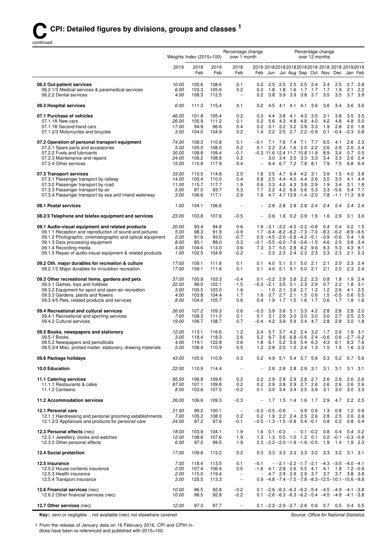continued

|                                                                                                                |                | Weights Index $(2015=100)$ |                |                                   | Percentage change<br>Percentage change<br>over 1 month<br>over 12 months              |                          |                                        |            |                    |                                             |
|----------------------------------------------------------------------------------------------------------------|----------------|----------------------------|----------------|-----------------------------------|---------------------------------------------------------------------------------------|--------------------------|----------------------------------------|------------|--------------------|---------------------------------------------|
|                                                                                                                | 2019           | 2018<br>Feb                | 2019<br>Feb    | 2018<br>Feb                       | 2019 20182018201820182018 2018 2018 20192019<br>Feb                                   |                          |                                        |            |                    | Jun Jul Aug Sep Oct Nov Dec Jan Feb         |
| 06.2 Out-patient services                                                                                      | 10.00          | 105.6                      | 108.6          | 0.1                               | 0.2<br>2.5                                                                            | $2.5$ $2.5$ $2.5$        | 2.4                                    | 2.4        | 2.5                | 2.7<br>2.8                                  |
| 06.2.1/3 Medical services & paramedical services<br>06.2.2 Dental services                                     | 6.00<br>4.00   | 103.3<br>108.3             | 105.6<br>112.5 | 0.2<br>$\overline{\phantom{a}}$   | 0.3<br>0.2<br>3.8                                                                     | 3.9                      | 1.8 1.8 1.6 1.7 1.7<br>3.7<br>3.9 3.8  | 1.7<br>3.5 | 1.9<br>3.5         | 2.1<br>2.2<br>3.9<br>3.7                    |
| 06.3 Hospital services                                                                                         | 6.00           | 111.3                      | 115.4          | 0.1                               | 0.2<br>4.5                                                                            | 4.1                      | 4.1 4.1 3.6                            | 3.6        | 3.4                | 3.6<br>3.6                                  |
| 07.1 Purchase of vehicles                                                                                      | 46.00          | 101.8                      | 105.4          | 0.2                               | 0.3<br>4.4                                                                            | 3.8                      | 4.1 4.3<br>3.5                         | 3.1        | 3.8                | 3.5<br>3.5                                  |
| 07.1.1A New cars<br>07.1.1B Second-hand cars                                                                   | 26.00<br>17.00 | 105.9<br>94.9              | 111.2<br>96.6  | 0.1<br>0.4                        | 0.2<br>0.2<br>3.1                                                                     | 5.6 4.3 4.8 4.8<br>3.2   | 4.0<br>$3.2$ $3.9$<br>- 3.3            | 4.2<br>1.9 | 4.8<br>2.8         | 5.0<br>4.8<br>2.0<br>1.8                    |
| 07.1.2/3 Motorcycles and bicycles                                                                              | 3.00           | 104.0                      | 104.9          | 0.2                               | 2.2<br>1.4                                                                            | 2.5<br>2.7               | $2.2 - 0.9$                            | 0.1        | $-0.4 -0.3$        | 0.8                                         |
| 07.2 Operation of personal transport equipment                                                                 | 74.00          | 108.3                      | 110.8          | 0.1                               | $-0.1$                                                                                |                          | 7.1 7.6 7.4 7.1 7.7                    | 6.5        | 4.1                | 2.3<br>2.6                                  |
| 07.2.1 Spare parts and accessories                                                                             | 5.00           | 105.5                      | 108.0          | 0.2                               | 0.1                                                                                   | 2.2 2.4 1.6 2.0          | 2.2                                    | 2.6        | 2.9                | 2.4<br>2.6                                  |
| 07.2.2 Fuels and lubricants<br>07.2.3 Maintenance and repairs                                                  | 30.00<br>24.00 | 108.8<br>106.2             | 109.4<br>108.8 | $-0.1$<br>0.2                     | $-0.3$ 11.6 12.4 11.7 10.8 11.9<br>$\qquad \qquad -$                                  | 3.0 3.4 3.5 3.3          | 3.3                                    | 8.9<br>3.4 | 3.4<br>3.3         | $0.7$ 0.5<br>2.6<br>2.4                     |
| 07.2.4 Other services                                                                                          | 15.00          | 110.8                      | 117.9          | 0.4                               | $\overline{\phantom{0}}$                                                              | 6.4 6.7 7.2 7.8          | 8.1                                    | 7.9        | 7.5                | 6.8<br>6.4                                  |
| 07.3 Transport services                                                                                        | 33.00          | 110.5                      | 114.8          | 2.0                               | 1.8<br>3.5                                                                            |                          | 4.7 6.4 4.2 3.1                        | 3.9        | 1.5                | 4.0<br>3.8                                  |
| 07.3.1 Passenger transport by railway                                                                          | 14.00          | 105.4                      | 110.0          | 0.4                               | 2.5<br>0.8                                                                            | 4.4                      | 4.0 4.4 2.6                            | 3.5        | 3.5                | 4.1<br>4.4                                  |
| 07.3.2 Passenger transport by road<br>07.3.3 Passenger transport by air                                        | 11.00<br>5.00  | 115.7<br>87.0              | 117.7<br>93.7  | 1.9<br>5.3                        | 0.6<br>2.2<br>7.7                                                                     | 4.2 6.6 5.6              | 3.3 4.0 4.3 3.9 2.9<br>5.3             | 1.9        | 3.4<br>$3.3 - 5.6$ | 1.8<br>3.1<br>7.7<br>5.4                    |
| 07.3.4 Passenger transport by sea and inland waterway                                                          | 3.00           | 106.6                      | 117.1          | 2.9                               | 4.7<br>1.6                                                                            |                          | $4.713.9 - 1.4 - 2.0$                  | 7.8        | $-1.1$ 11.3        | 9.9                                         |
| 08.1 Postal services                                                                                           | 1.00           | 104.1                      | 106.6          |                                   | 2.8                                                                                   | 2.8 2.8 2.8              | 2.4                                    | 2.4        | 2.4                | 2.4<br>2.4                                  |
| 08.2/3 Telephone and telefax equipment and services                                                            | 23.00          | 103.8                      | 107.6          | $-0.5$                            | 0.6                                                                                   | $1.6$ 0.2 0.9            | 1.9                                    | 1.6        | 2.9                | 3.1<br>- 3.6                                |
| 09.1 Audio-visual equipment and related products                                                               | 20.00          | 93.4                       | 94.8           | 0.6                               | $1.9 -3.1 -3.2 -4.5 -2.2 -0.8$                                                        |                          |                                        | 0.4        | 0.4                | 0.2<br>1.5                                  |
| 09.1.1 Reception and reproduction of sound and pictures                                                        | 5.00           | 98.3                       | 91.9           | $-0.9$                            | 1.7 $-6.4$ $-8.2$ $-8.2$ $-7.3$ $-7.0$ $-8.3$ $-6.2$ $-8.9$ $-6.5$                    |                          |                                        |            |                    |                                             |
| 09.1.2 Photographic, cinematographic and optical equipment<br>09.1.3 Data processing equipment                 | 2.00<br>8.00   | 91.6<br>85.1               | 93.0<br>88.0   | $-0.7$<br>0.3                     | $0.5 -4.5 -2.0 -2.8 -4.2 -5.1 -3.9 -0.6$<br>$-0.1$ $-5.5$ $-6.0$ $-7.6$ $-3.6$ $-1.5$ |                          |                                        | 4.6        | 2.5                | 0.4<br>1.6<br>3.4<br>3.8                    |
| 09.1.4 Recording media                                                                                         | 4.00           | 104.6                      | 113.0          | 3.6                               | 7.3                                                                                   |                          | 3.7 5.0 2.8 6.2 9.6                    | 6.3        | 5.3                | 4.3<br>8.1                                  |
| 09.1.5 Repair of audio-visual equipment & related products                                                     | 1.00           | 102.5                      | 104.9          | $-0.2$                            | $\overline{\phantom{0}}$                                                              |                          | 2.3 2.3 2.4 2.3 2.3                    | 2.3        | 2.3                | 2.3<br>2.1                                  |
| 09.2 Oth. major durables for recreation & culture<br>09.2.1/2 Major durables for in/outdoor recreation         | 17.00<br>17.00 | 109.1<br>109.1             | 111.6<br>111.6 | 0.1<br>0.1                        | 0.1<br>4.0<br>0.1<br>4.0                                                              | 5.1<br>5.1<br>5.1<br>5.1 | 5.0<br>2.1<br>5.0<br>2.1               | 2.1<br>2.1 | 2.0<br>2.0         | 2.3<br>2.4<br>2.3<br>2.4                    |
| 09.3 Other recreational items, gardens and pets                                                                | 37.00          | 100.9                      | 103.3          | $-0.4$                            | $0.1 - 0.2$ 2.9                                                                       | 3.8                      | 2.2<br>2.3                             | 0.8        | 1.8                | 1.9<br>2.4                                  |
| 09.3.1 Games, toys and hobbies<br>09.3.2 Equipment for sport and open-air recreation                           | 22.00<br>3.00  | 99.0<br>100.5              | 102.1<br>103.0 | $-1.5$<br>1.6                     | $-0.3$ $-2.1$ 3.5 5.1 2.3<br>1.0<br>$\overline{\phantom{a}}$                          | 2.1                      | 2.9<br>$3.6$ 2.7 1.2                   | 0.7<br>1.2 | 2.2<br>2.6         | 1.8<br>3.1<br>2.5<br>4.1                    |
| 09.3.3 Gardens, plants and flowers                                                                             | 4.00           | 103.8                      | 104.4          | 1.7                               | 1.6<br>3.7                                                                            | $2.7$ $2.1$ $1.5$        | 0.6                                    | 1.5        | $-0.5$             | 0.5<br>0.6                                  |
| 09.3.4/5 Pets, related products and services                                                                   | 8.00           | 104.0                      | 105.7          | 0.6                               | 1.9<br>0.4                                                                            | $1.7$ 1.5                | 1.6<br>1.7                             | 0.6        | 1.7                | 1.6<br>1.8                                  |
| 09.4 Recreational and cultural services                                                                        | 26.00          | 107.2                      | 109.3          | 0.6                               | $-0.3$<br>3.9                                                                         | 3.6<br>5.1               | 3.3<br>4.2                             | 2.8        | 2.8                | 2.0<br>2.8                                  |
| 09.4.1 Recreational and sporting services<br>09.4.2 Cultural services                                          | 7.00<br>19.00  | 108.3<br>106.7             | 111.0<br>108.7 | 0.1<br>0.7                        | 0.1<br>3.1<br>4.2 3.9<br>$-0.4$                                                       | 2.9<br>3.0               | 3.0<br>3.0<br>5.9 3.4 4.7              | 3.0<br>2.8 | 2.7<br>2.8         | 2.5<br>2.5<br>3.0<br>1.8                    |
| 09.5 Books, newspapers and stationery                                                                          | 12.00          | 113.1                      | 116.6          | 1.2                               | 2.4                                                                                   |                          | 5.7 3.7 4.2 2.4 3.2                    | 1.7        | 2.6                | 1.9<br>- 3.1                                |
| 09.5.1 Books                                                                                                   | 3.00           | 118.4                      | 118.3          | 2.6                               | 5.2 9.7                                                                               |                          | 3.6 $6.8 - 0.6$ 2.4 $-0.6$             |            |                    | $0.6 -2.7 -0.2$                             |
| 09.5.2 Newspapers and periodicals                                                                              | 4.00<br>5.00   | 114.1<br>108.4             | 122.8<br>110.9 | 0.6<br>0.5                        | 1.8 6.1<br>1.2                                                                        |                          | 5.2 5.6 5.4 6.3<br>2.8 2.5 1.5 2.4 1.3 | 4.3<br>1.5 | 1.5                | 6.1 6.3 7.6<br>1.6<br>2.3                   |
| 09.5.3/4 Misc. printed matter, stationery, drawing materials                                                   |                |                            |                |                                   |                                                                                       |                          |                                        |            |                    |                                             |
| 09.6 Package holidays                                                                                          | 43.00          | 105.0                      | 110.9          | 0.3                               | 0.2                                                                                   |                          | 4.9 5.1 5.4 5.7 5.6                    | 5.3        | 5.2                | 5.7 5.6                                     |
| 10.0 Education                                                                                                 | 22.00          | 110.9                      | 114.4          | $\hspace{1.0cm} - \hspace{1.0cm}$ | 2.8<br>$\overline{\phantom{0}}$                                                       | 2.8 2.8 2.9              | 3.1                                    | 3.1        | 3.1                | 3.1<br>3.1                                  |
| 11.1 Catering services                                                                                         | 95.00          | 106.8                      | 109.6          | 0.2                               | 0.2                                                                                   |                          | 2.9 2.8 2.9 2.8 2.7                    | 2.6        | 2.6                | 2.6<br>2.6                                  |
| 11.1.1 Restaurants & cafes<br>11.1.2 Canteens                                                                  | 87.00<br>8.00  | 107.1<br>103.6             | 109.8<br>107.0 | 0.2<br>$-0.2$                     | 0.2<br>0.1                                                                            | 2.9 2.8 2.9 2.7          | 2.6<br>3.0 3.4 3.4 3.5 3.9             | 2.6<br>3.1 | 2.6<br>3.0         | 2.6<br>2.6<br>$3.0$ $3.3$                   |
| 11.2 Accommodation services                                                                                    | 26.00          | 106.6                      | 109.3          | $-0.3$                            | $\overline{\phantom{a}}$                                                              |                          | 1.7 1.5 1.4 1.6 1.7                    | 2.9        | 4.7                | 2.5<br>2.2                                  |
| 12.1 Personal care                                                                                             | 31.00          | 99.2                       | 100.1          | $\overline{\phantom{a}}$          | $-0.3 -0.5 -0.6$                                                                      |                          | $-0.9$ 0.6                             | 1.3        | 0.8                | 1.2<br>0.9                                  |
| 12.1.1 Hairdressing and personal grooming establishments<br>12.1.2/3 Appliances and products for personal care | 7.00<br>24.00  | 105.2<br>97.2              | 108.0<br>97.6  | 0.2<br>$-0.1$                     | 0.2 1.9 2.2 2.4 2.5 2.6<br>$-0.5$ $-1.3$ $-1.5$ $-0.8$ 0.4 $-0.1$                     |                          |                                        | 2.8<br>0.8 | 2.5<br>0.2         | $2.6$ 2.6<br>$0.8$ 0.4                      |
| 12.3 Personal effects (nec)                                                                                    | 18.00          | 103.9                      | 104.1          | 1.9                               | $0.1 - 0.3$<br>1.6                                                                    |                          | $-0.1 - 0.2$                           | 0.8        | 0.4                | $0.4$ 0.2                                   |
| 12.3.1 Jewellery, clocks and watches<br>12.3.2 Other personal effects                                          | 12.00<br>6.00  | 108.6<br>97.2              | 107.6<br>99.5  | 1.9<br>1.9                        | 1.3<br>$2.3 -2.2 -2.0 -1.9 -1.9 -0.5$                                                 |                          | 1.3 0.5 1.0 1.2 0.1                    | 1.9        | 1.4                | $0.2 -0.1 -0.3 -0.9$<br>$1.9$ 2.3           |
| 12.4 Social protection                                                                                         | 17.00          | 109.8                      | 113.2          | 0.2                               | 0.3                                                                                   |                          | 3.3 3.3 3.3 3.3 3.2 3.3                |            | 3.2                | 3.1 3.1                                     |
| 12.5 Insurance                                                                                                 | 7.00           | 118.4                      | 113.5          | 0.1                               | $-0.1$                                                                                |                          |                                        |            |                    | $-$ -2.1 -2.2 -1.7 -2.1 -4.3 -3.5 -4.0 -4.1 |
| 12.5.2 House contents insurance<br>12.5.3 Health insurance                                                     | 2.00<br>2.00   | 107.4<br>115.0             | 106.4<br>119.4 | 0.5<br>$\overline{\phantom{a}}$   | $-1.6$ 4.1 2.8 2.6 5.5 4.1<br>$\overline{\phantom{0}}$                                |                          | 4.7 2.9 2.9 2.9 3.7                    |            | 4.1 1.8            | $1.2 - 0.9$<br>3.7 3.7 3.8 3.8              |
| 12.5.4 Transport insurance                                                                                     | 3.00           | 125.5                      | 113.3          | $\overline{\phantom{a}}$          | $0.9 -4.8 -7.4 -7.5 -7.8 -8.3 -12.5 -10.1 -10.6 -9.8$                                 |                          |                                        |            |                    |                                             |
| 12.6 Financial services (nec)                                                                                  | 10.00          | 96.5                       | 92.8           | $-0.2$                            | $0.1 - 2.6 - 6.3 - 6.3 - 6.2 - 5.4 - 4.5 - 4.9 - 4.1 - 3.8$                           |                          |                                        |            |                    |                                             |
| 12.6.2 Other financial services (nec)                                                                          | 10.00          | 96.5                       | 92.8           | $-0.2$                            | $0.1 - 2.6 - 6.3 - 6.3 - 6.2 - 5.4 - 4.5 - 4.9 - 4.1 - 3.8$                           |                          |                                        |            |                    |                                             |
| 12.7 Other services (nec)                                                                                      | 12.00          | 97.3                       | 97.7           | $\overline{\phantom{a}}$          | $0.1 - 2.2 - 2.9 - 2.7 - 2.6$ 0.6 0.7 0.5 0.4 0.5                                     |                          |                                        |            |                    |                                             |

**Key:**- zero or negligible .. not available (nec) not elsewhere covered

1 From the release of January data on 16 February 2016, CPI and CPIH indices have been re-referenced and published with 2015=100.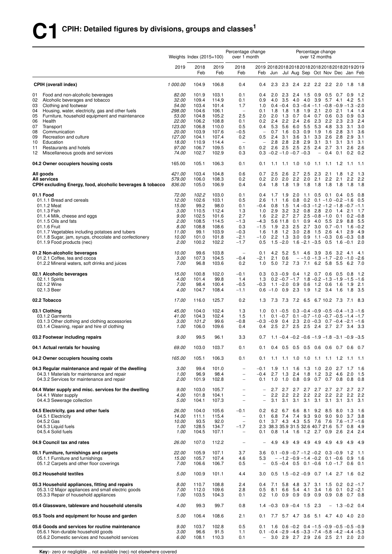|          |                                                                                                               | Percentage change<br>Weights Index $(2015=100)$<br>over 1 month |                       |                         |                                                      |                                                          |                           | Percentage change<br>over 12 months |                   |                                                                                                                            |                          |                                    |                  |                            |                 |
|----------|---------------------------------------------------------------------------------------------------------------|-----------------------------------------------------------------|-----------------------|-------------------------|------------------------------------------------------|----------------------------------------------------------|---------------------------|-------------------------------------|-------------------|----------------------------------------------------------------------------------------------------------------------------|--------------------------|------------------------------------|------------------|----------------------------|-----------------|
|          |                                                                                                               | 2019                                                            | 2018<br>Feb           | 2019<br>Feb             | 2018<br>Feb                                          | 2019 2018 2018 2018 2018 2018 2018 2018 2019 2019<br>Feb | Jun                       |                                     |                   | Jul Aug Sep Oct Nov Dec Jan Feb                                                                                            |                          |                                    |                  |                            |                 |
|          | <b>CPIH (overall index)</b>                                                                                   | 1 000.00                                                        | 104.9                 | 106.8                   | 0.4                                                  | 0.4                                                      | 2.3                       | 2.3                                 | 2.4               |                                                                                                                            | 2.2 2.2                  | 2.2                                | 2.0              | 1.8                        | 1.8             |
| 01       | Food and non-alcoholic beverages                                                                              | 82.00                                                           | 101.9                 | 103.1                   | 0.1                                                  | 0.4                                                      | 2.0                       | 2.3                                 | 2.4               | 1.5                                                                                                                        | 0.9                      | 0.5                                | 0.7              | 0.9                        | 1.2             |
| 02       | Alcoholic beverages and tobacco                                                                               | 32.00                                                           | 109.4                 | 114.9                   | 0.1                                                  | 0.9                                                      | 4.0                       | 3.5                                 | 4.0               | 4.0                                                                                                                        | 3.9                      | 5.7                                | 4.1              | 4.2                        | 5.1             |
| 03<br>04 | Clothing and footwear<br>Housing, water, electricity, gas and other fuels                                     | <i>54.00</i><br>298.00                                          | 103.4<br>104.6        | 101.4<br>106.1          | 1.7<br>$\overline{\phantom{a}}$                      | 1.0<br>0.1                                               | 1.8                       | $0.4 - 0.4$<br>1.8                  | 1.8               | $0.3 - 0.4 - 1.1 - 0.8 - 0.9 - 1.3$<br>1.9                                                                                 | 2.1                      |                                    | $2.0$ $2.1$      | 1.4                        | $-2.0$<br>1.4   |
| 05       | Furniture, household equipment and maintenance                                                                | 53.00                                                           | 104.8                 | 105.2                   | 2.5                                                  | 2.0                                                      |                           | $2.0$ 1.3                           | 0.7               | 0.4                                                                                                                        | 0.7                      | 0.6                                | 0.3              | 0.9                        | 0.3             |
| 06       | Health                                                                                                        | 22.00                                                           | 106.2                 | 108.8                   | 0.1                                                  | 0.2                                                      | 2.4                       | 2.2                                 | 2.4               | 2.6                                                                                                                        | 2.3                      | 2.2                                | 2.3              | 2.3                        | 2.4             |
| 07       | Transport                                                                                                     | 123.00                                                          | 106.8                 | 110.0                   | 0.5                                                  | 0.4                                                      |                           | 5.3 5.6                             | 6.0               | 5.5                                                                                                                        | 5.3                      | 4.8                                | 3.3              | 3.1                        | 3.0             |
| 08<br>09 | Communication<br>Recreation and culture                                                                       | 20.00<br>127.00                                                 | 103.9<br>104.1        | 107.6<br>107.4          | $-0.5$<br>0.2                                        | $\qquad \qquad -$<br>0.5                                 | 0.7<br>2.4                | 1.6<br>3.1                          | 0.3<br>3.6        | 0.9<br>3.1                                                                                                                 | 1.9<br>3.3               | 1.6<br>2.6                         | 2.8<br>2.8       | 3.1<br>2.9                 | 3.6<br>3.1      |
| 10       | Education                                                                                                     | 18.00                                                           | 110.9                 | 114.4                   | $\overline{\phantom{a}}$                             | $\qquad \qquad -$                                        | 2.8                       | 2.8                                 | 2.8               | 2.9                                                                                                                        | 3.1                      | 3.1                                | 3.1              | 3.1                        | 3.1             |
| 11       | Restaurants and hotels                                                                                        | 97.00                                                           | 106.7                 | 109.5                   | 0.1                                                  | 0.2                                                      |                           | $2.6$ 2.5                           | 2.5               | 2.5                                                                                                                        | 2.4                      | 2.7                                | 3.1              | 2.6                        | 2.6             |
| 12       | Miscellaneous goods and services                                                                              | 74.00                                                           | 102.7                 | 102.9                   | 0.3                                                  |                                                          | $0.3 -0.2 -1.0 -0.7 -0.3$ |                                     |                   |                                                                                                                            | $\overline{\phantom{0}}$ | 0.4                                | 0.1              | 0.2                        | 0.2             |
|          | 04.2 Owner occupiers housing costs                                                                            | 165.00                                                          | 105.1                 | 106.3                   | 0.1                                                  | 0.1                                                      | 1.1                       | 1.1                                 | 1.0               | 1.0                                                                                                                        |                          | $1.1$ $1.1$ $1.2$                  |                  | $-1.1$                     | $-1.1$          |
|          | All goods<br><b>All services</b>                                                                              | 421.00<br>579.00                                                | 103.4<br>106.0        | 104.8<br>108.3          | 0.6<br>0.2                                           | 0.7<br>0.2                                               | 2.5<br>2.0                | 2.6<br>2.0                          | 2.7<br>2.2        | 2.5<br>2.0                                                                                                                 | 2.3<br>2.1               | 2.2                                | $2.1$ 1.8<br>2.1 | 1.2<br>2.2                 | - 1.3<br>2.2    |
|          | CPIH excluding Energy, food, alcoholic beverages & tobacco                                                    | 836.00                                                          | 105.0                 | 106.9                   | 0.4                                                  | 0.4                                                      | 1.8                       | 1.8                                 | 1.9               | 1.8                                                                                                                        | 1.8                      | 1.8                                | 1.8              | 1.8                        | 1.8             |
|          | 01.1 Food                                                                                                     | 72.00                                                           | 102.2                 | 103.0                   | 0.1                                                  | 0.4                                                      | 1.7                       | 1.9                                 | 2.0               | 1.1                                                                                                                        | 0.5                      | 0.1                                | 0.4              | 0.5                        | 0.8             |
|          | 01.1.1 Bread and cereals                                                                                      | 12.00                                                           | 102.6                 | 103.1                   | 0.5                                                  | 2.6                                                      | 1.1                       | 1.6                                 | 0.8               | 0.2                                                                                                                        |                          | $0.1 - 1.0 - 0.2 - 1.6$            |                  |                            | 0.5             |
|          | 01.1.2 Meat                                                                                                   | 15.00                                                           | 99.2                  | 98.0                    | 0.1                                                  | $-0.4$                                                   | 0.8                       | 1.5                                 |                   | $1.4 - 0.3 - 1.2 - 1.2 - 1.8 - 0.7 - 1.1$                                                                                  |                          |                                    |                  |                            |                 |
|          | 01.1.3 Fish<br>01.1.4 Milk, cheese and eggs                                                                   | 3.00<br>9.00                                                    | 110.5<br>102.5        | 112.4<br>101.6          | 1.3<br>2.7                                           | 1.0<br>1.6                                               | 2.9<br>$2.2^{\circ}$      | 3.2<br>2.7                          | 3.2<br>2.7        |                                                                                                                            | $0.8$ 2.8                | 2.0<br>$2.5 - 0.8 - 1.0$           | 1.4<br>0.1       | 2.1<br>0.2                 | - 1.7<br>$-0.8$ |
|          | 01.1.5 Oils and fats                                                                                          | 2.00                                                            | 108.5                 | 114.5                   | $-1.3$                                               | $-4.3$                                                   |                           | 5.6 11.8                            | 0.1               | 0.9                                                                                                                        | 4.0                      | 5.5                                | 2.9              | 8.8                        | 5.5             |
|          | 01.1.6 Fruit                                                                                                  | 8.00                                                            | 108.8                 | 108.6                   | 0.3                                                  | $-1.5$                                                   |                           | $1.9$ 2.3                           | 2.5               | 2.7                                                                                                                        | 3.0                      |                                    | $0.7 - 0.1$ 1.6  |                            | $-0.2$          |
|          | 01.1.7 Vegetables including potatoes and tubers                                                               | 11.00                                                           | 99.1                  | 103.9                   | $-0.3$                                               | 1.6                                                      | 1.8                       | 1.2                                 | 3.0               | 2.8                                                                                                                        | 1.5                      | 2.6                                | 4.1 2.9          |                            | 4.9             |
|          | 01.1.8 Sugar, jam, syrups, chocolate and confectionery<br>01.1.9 Food products (nec)                          | 10.00<br>2.00                                                   | 101.0<br>100.2        | 101.8<br>102.2          | $-2.1$<br>$-1.7$                                     | $-1.0$<br>0.5                                            |                           | $2.2$ 1.3<br>$1.5 - 2.0$            |                   | $3.0\quad 0.9$<br>$1.6 - 2.1 - 3.5$                                                                                        |                          | $1.1 - 0.3$<br>0.5                 |                  | $0.6 - 0.3$<br>$1.6 - 0.1$ | 0.8<br>2.0      |
|          | 01.2 Non-alcoholic beverages<br>01.2.1 Coffee, tea and cocoa<br>01.2.2 Mineral waters, soft drinks and juices | 10.00<br>3.00<br>7.00                                           | 99.6<br>107.3<br>96.8 | 103.8<br>104.5<br>103.6 | $\overline{\phantom{m}}$<br>$-0.4$<br>0.2            | 0.1<br>$-2.1$<br>1.0                                     | 2.1                       | 0.6                                 |                   | 4.2 5.2 5.1 4.6 3.9 3.6 3.2 4.1<br>$-1.0$ $-1.3$ $-1.7$ $-2.0$ $-1.0$ $-2.6$<br>5.0 7.2 7.3 7.1 6.2 5.8 5.5                |                          |                                    |                  | 6.2                        | $-4.1$<br>- 7.0 |
|          | 02.1 Alcoholic beverages                                                                                      | 15.00                                                           | 100.8                 | 102.0                   | $-0.1$                                               | 0.3                                                      |                           | $0.3 - 0.9$                         | 0.4               | 1.2                                                                                                                        |                          | 0.7 0.6                            | 0.5              | 0.8                        | $-1.2$          |
|          | 02.1.1 Spirits                                                                                                | 4.00                                                            | 101.4                 | 99.8                    | 1.4                                                  | 1.3                                                      |                           |                                     | $0.2 - 0.7 - 1.7$ |                                                                                                                            |                          | $1.8 - 0.2 - 1.3 - 1.9 - 1.5$      |                  |                            | $-1.6$          |
|          | 02.1.2 Wine                                                                                                   | 7.00                                                            | 98.4                  | 100.4                   | $-0.5$                                               | $-0.3$                                                   |                           | $1.1 - 2.0$                         | 0.9               |                                                                                                                            |                          | $0.6$ 1.2 0.6                      | 1.6              | 1.9                        | - 2.1           |
|          | 02.1.3 Beer                                                                                                   | 4.00                                                            | 104.7                 | 108.4                   | $-1.1$                                               |                                                          | $0.6 - 1.0$ 0.9           |                                     | 2.3               | 1.9                                                                                                                        | 1.2                      | 3.4                                | 1.6              | 1.8                        | - 3.5           |
|          | 02.2 Tobacco                                                                                                  | 17.00                                                           | 116.0                 | 125.7                   | 0.2                                                  | 1.3                                                      |                           | 7.3 7.3                             |                   | 7.2 6.5 6.7 10.2 7.3 7.1 8.3                                                                                               |                          |                                    |                  |                            |                 |
|          | 03.1 Clothing<br>03.1.2 Garments                                                                              | 45.00<br>41.00                                                  | 104.0<br>104.3        | 102.4<br>102.4          | 1.3<br>1.5                                           | 1.0<br>1.1                                               |                           | $0.1 - 0.5$                         |                   | $0.3 - 0.4 - 0.9 - 0.5 - 0.4 - 1.3 - 1.6$<br>$0.1 - 0.7$ $0.1 - 0.7 - 1.0 - 0.7 - 0.5 - 1.4 - 1.7$                         |                          |                                    |                  |                            |                 |
|          | 03.1.3 Other clothing and clothing accessories                                                                | 3.00                                                            | 101.2                 | 99.6                    | $-0.8$                                               |                                                          | $-0.3$ $-0.9$ 0.4         |                                     | 2.3               |                                                                                                                            |                          | $2.0 - 0.3$ 0.7 $-0.4 - 2.1 - 1.6$ |                  |                            |                 |
|          | 03.1.4 Cleaning, repair and hire of clothing                                                                  | 1.00                                                            | 106.0                 | 109.6                   | 0.4                                                  | 0.4                                                      |                           |                                     |                   | 2.5 2.7 2.5 2.5 2.4 2.7 2.7 3.4 3.3                                                                                        |                          |                                    |                  |                            |                 |
|          | 03.2 Footwear including repairs                                                                               | 9.00                                                            | 99.5                  | 96.1                    | 3.3                                                  | 0.7                                                      |                           |                                     |                   | $1.1 - 0.4 - 0.2 - 0.6 - 1.9 - 1.8 - 3.1 - 0.9 - 3.5$                                                                      |                          |                                    |                  |                            |                 |
|          | 04.1 Actual rentals for housing                                                                               | 69.00                                                           | 103.0                 | 103.7                   | 0.1                                                  | 0.1                                                      |                           |                                     |                   | 0.4 0.5 0.5 0.5 0.6 0.6 0.7 0.6 0.7                                                                                        |                          |                                    |                  |                            |                 |
|          | 04.2 Owner occupiers housing costs                                                                            | 165.00                                                          | 105.1                 | 106.3                   | 0.1                                                  | 0.1                                                      | 1.1                       | 1.1                                 |                   | 1.0 1.0 1.1 1.1 1.2 1.1                                                                                                    |                          |                                    |                  |                            | 1.1             |
|          | 04.3 Regular maintenance and repair of the dwelling                                                           | 3.00                                                            | 99.4                  | 101.0                   | $\overline{\phantom{a}}$                             | $-0.1$                                                   | 1.9                       | 1.1                                 | 1.6               |                                                                                                                            | $1.3$ 1.0                | 2.0                                |                  | $2.7$ 1.7                  | 1.6             |
|          | 04.3.1 Materials for maintenance and repair<br>04.3.2 Services for maintenance and repair                     | 1.00<br>2.00                                                    | 96.9<br>101.9         | 98.4<br>102.8           | $\overline{\phantom{0}}$<br>$\overline{\phantom{0}}$ | $-0.4$<br>0.1                                            |                           | $2.7$ 1.3<br>$1.0$ 1.0              | 2.4               | 1.8<br>0.8 0.9 0.7 0.7 0.8 0.8                                                                                             | 1.2                      |                                    | $3.2 \quad 4.6$  | 2.0                        | 1.5<br>0.8      |
|          |                                                                                                               |                                                                 |                       |                         |                                                      |                                                          |                           |                                     |                   |                                                                                                                            |                          |                                    |                  |                            |                 |
|          | 04.4 Water supply and misc. services for the dwelling                                                         | 9.00                                                            | 103.0                 | 105.7                   | $\overline{\phantom{0}}$                             |                                                          | 2.7                       | 2.7                                 |                   | 2.7 2.7 2.7 2.7 2.7 2.7                                                                                                    |                          |                                    |                  |                            | 2.7             |
|          | 04.4.1 Water supply<br>04.4.3 Sewerage collection                                                             | 4.00<br>5.00                                                    | 101.8<br>104.1        | 104.1<br>107.3          | $\overline{\phantom{0}}$<br>$\qquad \qquad -$        | $\overline{\phantom{0}}$<br>$\qquad \qquad -$            | $2.2^{\circ}$<br>3.1      | 3.1                                 | $2.2$ 2.2<br>3.1  | 3.1                                                                                                                        | 3.1                      | 2.2 2.2 2.2 2.2 2.2 2.2<br>3.1     | 3.1              |                            | $3.1 \quad 3.1$ |
|          |                                                                                                               |                                                                 |                       |                         |                                                      |                                                          |                           |                                     |                   |                                                                                                                            |                          |                                    |                  |                            |                 |
|          | 04.5 Electricity, gas and other fuels                                                                         | 26.00                                                           | 104.0                 | 105.6                   | $-0.1$                                               | 0.2                                                      |                           |                                     |                   | 6.2 6.7 6.6 8.1 9.2 8.5                                                                                                    |                          |                                    | 8.0 1.3          |                            | 1.6             |
|          | 04.5.1 Electricity                                                                                            | 14.00                                                           | 111.1                 | 115.4                   | $\overline{\phantom{a}}$                             | 0.1                                                      | 6.8                       |                                     |                   | 7.4 7.4 9.3 9.0 9.0                                                                                                        |                          |                                    |                  | $9.0$ $3.7$ $3.8$          |                 |
|          | 04.5.2 Gas<br>04.5.3 Liquid fuels                                                                             | 10.00<br>1.00                                                   | 93.5<br>128.5         | 92.0<br>134.7           | $\overline{\phantom{a}}$<br>$-1.7$                   | 0.1                                                      |                           |                                     |                   | 3.7 4.3 4.3 5.5 7.6 7.6<br>2.3 38.3 35.9 31.5 32.6 40.7 21.6                                                               |                          |                                    | 5.7 0.8          | $7.6 - 1.7 - 1.6$          | 4.9             |
|          | 04.5.4 Solid fuels                                                                                            | 1.00                                                            | 104.5                 | 107.1                   | $\overline{\phantom{a}}$                             | 0.1                                                      |                           |                                     |                   | 0.8 1.4 1.6 1.2 2.7 0.9                                                                                                    |                          |                                    | 2.6              | 2.4                        | 2.4             |
|          | 04.9 Council tax and rates                                                                                    | 26.00                                                           | 107.0                 | 112.2                   | $\overline{\phantom{a}}$                             |                                                          | 4.9                       | 4.9                                 |                   | 4.9 4.9 4.9 4.9                                                                                                            |                          |                                    |                  | 4.9 4.9                    | - 4.9           |
|          | 05.1 Furniture, furnishings and carpets                                                                       | 22.00                                                           | 105.9                 | 107.1                   | 3.7                                                  | 3.6                                                      |                           |                                     |                   | $0.1 - 0.9 - 0.7 - 1.2 - 0.2$ 0.3 -0.9 1.2                                                                                 |                          |                                    |                  |                            | $-1.1$          |
|          | 05.1.1 Furniture and furnishings                                                                              | 15.00                                                           | 105.7                 | 107.4                   | 4.6                                                  | 5.3                                                      |                           |                                     |                   | $-1.2 -0.9 -1.4 -0.2$ 0.1 -0.6 0.9 1.6                                                                                     |                          |                                    |                  |                            |                 |
|          | 05.1.2 Carpets and other floor coverings                                                                      | 7.00                                                            | 106.6                 | 106.7                   | 0.5                                                  | $\overline{\phantom{0}}$                                 |                           |                                     |                   | $0.5 - 0.4$ 0.5 0.1 $-0.6$ 1.0 $-1.7$ 0.6                                                                                  |                          |                                    |                  |                            | 0.1             |
|          | 05.2 Household textiles                                                                                       | 5.00                                                            | 100.9                 | 101.1                   | 4.4                                                  | 3.0                                                      | 0.5                       |                                     |                   | $1.5 - 0.2 - 0.9$ 0.7 1.4 2.7 1.6                                                                                          |                          |                                    |                  |                            | 0.2             |
|          | 05.3 Household appliances, fitting and repairs                                                                | 8.00                                                            | 110.7                 | 108.8                   | 2.4                                                  | 0.4                                                      | 7.1                       | 5.8                                 | 4.8               | 3.7                                                                                                                        | 3.1                      |                                    |                  | $1.5$ 0.2 0.2 $-1.7$       |                 |
|          | 05.3.1/2 Major appliances and small electric goods<br>05.3.3 Repair of household appliances                   | 7.00<br>1.00                                                    | 112.0<br>103.5        | 109.6<br>104.3          | 2.8<br>0.1                                           | 0.5<br>0.2                                               | 8.1                       | 6.6<br>$1.0 \quad 0.9$              | 0.9               | 5.4 4.1<br>0.9                                                                                                             | 0.9                      | $3.4$ 1.6 0.1<br>0.9               |                  | $0.8$ 0.7 0.8              | $0.2 -2.1$      |
|          | 05.4 Glassware, tableware and household utensils                                                              | 4.00                                                            | 99.3                  | 99.7                    | 0.8                                                  | 1.4                                                      |                           |                                     |                   | $-0.3$ 0.9 $-0.4$ 1.5 2.3                                                                                                  |                          |                                    |                  | $-1.3 - 0.2$ 0.4           |                 |
|          | 05.5 Tools and equipment for house and garden                                                                 | 5.00                                                            | 106.4                 | 108.6                   | 2.1                                                  | 0.1                                                      |                           |                                     |                   | 7.7 5.7 4.7 3.6 5.1 4.7 4.0 4.0 2.0                                                                                        |                          |                                    |                  |                            |                 |
|          | 05.6 Goods and services for routine maintenance                                                               | 9.00                                                            | 103.7                 | 102.8                   | 0.5                                                  |                                                          |                           |                                     |                   |                                                                                                                            |                          |                                    |                  |                            |                 |
|          | 05.6.1 Non-durable household goods                                                                            | 3.00                                                            | 96.6                  | 91.5                    | 1.1                                                  | 0.1                                                      |                           |                                     |                   | 1.6 $0.6 - 0.2$ 0.4 $-1.5 - 0.9 - 0.5 - 0.5 - 0.9$<br>$0.1$ $-0.4$ $-2.9$ $-4.6$ $-3.3$ $-7.4$ $-5.8$ $-4.2$ $-4.4$ $-5.3$ |                          |                                    |                  |                            |                 |
|          | 05.6.2 Domestic services and household services                                                               | 6.00                                                            | 108.1                 | 110.3                   | 0.1                                                  | $\overline{\phantom{0}}$                                 |                           |                                     |                   | 3.0 2.9 2.7 2.9 2.6 2.5 2.1 2.0 2.0                                                                                        |                          |                                    |                  |                            |                 |

**Key:**- zero or negligible .. not available (nec) not elsewhere covered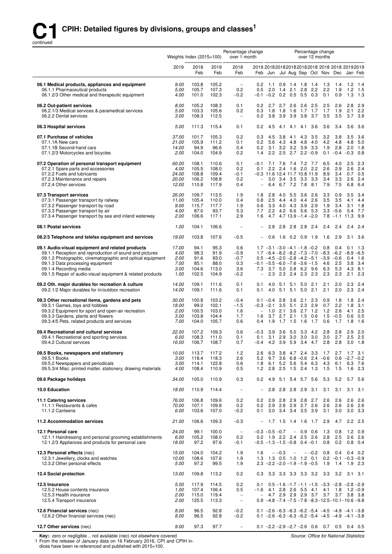

|                                                                                                                                                                                                                                                                                                       | Weights Index $(2015=100)$                    |                                                |                                                | Percentage change<br>over 1 month                           |                                                                                                        | Percentage change<br>over 12 months                                                                                                                                       |                                               |                          |                                 |                                    |                                                      |                                             |
|-------------------------------------------------------------------------------------------------------------------------------------------------------------------------------------------------------------------------------------------------------------------------------------------------------|-----------------------------------------------|------------------------------------------------|------------------------------------------------|-------------------------------------------------------------|--------------------------------------------------------------------------------------------------------|---------------------------------------------------------------------------------------------------------------------------------------------------------------------------|-----------------------------------------------|--------------------------|---------------------------------|------------------------------------|------------------------------------------------------|---------------------------------------------|
|                                                                                                                                                                                                                                                                                                       | 2019                                          | 2018<br>Feb                                    | 2019<br>Feb                                    | 2018<br>Feb                                                 | 2019 20182018201820182018 2018 2018 20192019                                                           | Feb Jun Jul Aug Sep Oct Nov Dec Jan Feb                                                                                                                                   |                                               |                          |                                 |                                    |                                                      |                                             |
| 06.1 Medical products, appliances and equipment<br>06.1.1 Pharmaceutical products<br>06.1.2/3 Other medical and therapeutic equipment                                                                                                                                                                 | 9.00<br>5.00<br>4.00                          | 103.8<br>105.7<br>101.0                        | 105.2<br>107.3<br>102.3                        | $\qquad \qquad -$<br>0.2<br>$-0.2$                          | 0.2<br>2.0<br>0.5<br>$-0.1$ $-0.2$ 0.2 0.5 0.5                                                         | 1.1 0.9 1.4 1.8 1.4<br>1.4                                                                                                                                                | 2.1<br>2.8                                    | 2.2<br>0.3               | - 1.3<br>2.2<br>0.1             | 1.4<br>1.9<br>0.9                  | 1.2<br>1.2<br>1.3                                    | 1.4<br>1.5<br>1.3                           |
| 06.2 Out-patient services<br>06.2.1/3 Medical services & paramedical services<br>06.2.2 Dental services                                                                                                                                                                                               | 8.00<br>5.00<br>3.00                          | 105.2<br>103.3<br>108.3                        | 108.3<br>105.6<br>112.5                        | 0.1<br>0.2<br>$\overline{\phantom{a}}$                      | 0.2<br>0.3<br>1.8<br>0.2                                                                               | 2.7 2.7 2.6 2.6<br>1.8 1.6<br>3.8 3.9 3.9 3.8 3.7                                                                                                                         | 1.7                                           | 2.5<br>1.7               | 2.5<br>1.7<br>3.5               | 2.6<br>1.9<br>3.5                  | 2.8<br>2.1<br>3.7                                    | 2.9<br>2.2<br>3.9                           |
| 06.3 Hospital services                                                                                                                                                                                                                                                                                | <i>5.00</i>                                   | 111.3                                          | 115.4                                          | 0.1                                                         | 0.2<br>4.5                                                                                             | 4.1                                                                                                                                                                       | 4.1<br>4.1                                    | 3.6                      | 3.6                             | 3.4                                | 3.6                                                  | 3.6                                         |
| 07.1 Purchase of vehicles<br>07.1.1A New cars<br>07.1.1B Second-hand cars<br>07.1.2/3 Motorcycles and bicycles                                                                                                                                                                                        | 37.00<br>21.00<br>14.00<br>2.00               | 101.7<br>105.9<br>94.9<br>104.0                | 105.3<br>111.2<br>96.6<br>104.9                | 0.2<br>0.1<br>0.4<br>0.2                                    | 0.3<br>4.5<br>0.2<br>5.6<br>0.2<br>1.4                                                                 | 3.8<br>3.1 3.2 3.2 3.9<br>$2.2$ 2.5                                                                                                                                       | 4.3<br>4.1<br>4.3 4.8 4.8<br>$2.7$ $2.2 -0.9$ | 3.5<br>4.0<br>3.3        | 3.2<br>4.2<br>1.9<br>0.1        | 3.8<br>4.8<br>2.8                  | 3.5<br>4.8<br>2.0<br>$-0.4 -0.3$                     | 3.6<br>5.0<br>1.8<br>0.8                    |
| 07.2 Operation of personal transport equipment<br>07.2.1 Spare parts and accessories<br>07.2.2 Fuels and lubricants<br>07.2.3 Maintenance and repairs<br>07.2.4 Other services                                                                                                                        | 60.00<br>4.00<br>24.00<br>20.00<br>12.00      | 108.1<br>105.5<br>108.8<br>106.2<br>110.8      | 110.6<br>108.0<br>109.4<br>108.8<br>117.9      | 0.1<br>0.2<br>$-0.1$<br>0.2<br>0.4                          | $-0.1$<br>0.1<br>-0.3 11.6 12.4 11.7 10.8 11.9<br>$\overline{\phantom{0}}$<br>$\overline{\phantom{0}}$ | 7.1 7.6 7.4 7.2 7.7<br>2.2 2.4 1.6 2.0 2.2<br>3.0 3.4 3.5 3.3 3.3<br>6.4 6.7 7.2 7.8                                                                                      |                                               | 8.1                      | 6.5<br>2.6<br>8.9<br>3.4<br>7.9 | 4.0<br>2.9<br>3.4<br>3.3<br>7.5    | 2.5<br>2.6<br>2.6<br>6.8                             | 2.3<br>2.4<br>$0.7$ 0.5<br>2.4<br>6.4       |
| 07.3 Transport services<br>07.3.1 Passenger transport by railway<br>07.3.2 Passenger transport by road<br>07.3.3 Passenger transport by air<br>07.3.4 Passenger transport by sea and inland waterway                                                                                                  | 26.00<br>11.00<br>9.00<br>4.00<br>2.00        | 109.7<br>105.4<br>115.7<br>87.0<br>106.6       | 113.5<br>110.0<br>117.7<br>93.7<br>117.1       | 1.9<br>0.4<br>1.9<br>5.3<br>2.9                             | 1.8<br>2.5<br>0.8<br>0.6<br>7.7<br>1.6                                                                 | 2.8<br>4.4<br>3.3 4.0 4.3 3.9<br>2.2 4.2 6.6 5.6<br>$4.7$ $4.7$ $13.9$ $-1.4$ $-2.0$                                                                                      | 4.0 5.5 3.6<br>$4.0 \quad 4.4$                | 2.6<br>2.6<br>2.9<br>5.3 | 3.3<br>3.5<br>1.9<br>7.8        | 0.9<br>3.5<br>3.4<br>$3.3 - 5.6$   | 3.5<br>4.1<br>3.1<br>5.4<br>$-1.1$ 11.3              | 3.4<br>4.4<br>1.8<br>7.7<br>9.9             |
| 08.1 Postal services                                                                                                                                                                                                                                                                                  | 1.00                                          | 104.1                                          | 106.6                                          | $\overline{\phantom{a}}$                                    | 2.8                                                                                                    |                                                                                                                                                                           | 2.8 2.8 2.8 2.4                               |                          | 2.4                             | 2.4                                | 2.4                                                  | 2.4                                         |
| 08.2/3 Telephone and telefax equipment and services                                                                                                                                                                                                                                                   | 19.00                                         | 103.8                                          | 107.6                                          | $-0.5$                                                      | 0.6                                                                                                    |                                                                                                                                                                           | 1.6 0.2 0.9 1.9                               |                          | 1.6                             | 2.9                                | 3.1                                                  | - 3.6                                       |
| 09.1 Audio-visual equipment and related products<br>09.1.1 Reception and reproduction of sound and pictures<br>09.1.2 Photographic, cinematographic and optical equipment<br>09.1.3 Data processing equipment<br>09.1.4 Recording media<br>09.1.5 Repair of audio-visual equipment & related products | 17.00<br>4.00<br>2.00<br>7.00<br>3.00<br>1.00 | 94.1<br>98.3<br>91.6<br>85.1<br>104.6<br>102.5 | 95.3<br>91.9<br>93.0<br>88.0<br>113.0<br>104.9 | 0.6<br>$-0.9$<br>$-0.7$<br>0.3<br>3.6<br>$-0.2$             | $-0.1$ $-5.5$ $-6.0$ $-7.6$ $-3.6$ $-1.5$<br>7.3<br>$\overline{\phantom{0}}$                           | $1.7 -3.1 -3.0 -4.1 -1.8 -0.2$<br>$1.7 -6.4 -8.2 -8.2 -7.3 -7.0 -8.3 -6.2 -8.9$<br>$0.5 -4.5 -2.0 -2.8 -4.2 -5.1 -3.9 -0.6$<br>3.7 5.0 2.8 6.2 9.6<br>2.3 2.3 2.4 2.3 2.3 |                                               |                          | 0.8<br>4.6<br>6.3<br>2.3        | 0.4<br>2.5<br>5.3<br>2.3           | 0.1<br>0.4<br>3.8<br>4.3<br>2.1                      | - 1.3<br>$-6.5$<br>1.6<br>3.4<br>8.1<br>2.3 |
| 09.2 Oth. major durables for recreation & culture<br>09.2.1/2 Major durables for in/outdoor recreation                                                                                                                                                                                                | 14.00<br>14.00                                | 109.1<br>109.1                                 | 111.6<br>111.6                                 | 0.1<br>0.1                                                  | 0.1<br>4.0<br>4.0<br>0.1                                                                               | 5.1<br>$5.1 \quad 5.1$                                                                                                                                                    | 5.1<br>5.0                                    | 2.1<br>$5.0$ 2.1         | 2.1<br>2.1                      | 2.0<br>2.0                         | 2.3<br>2.3                                           | 2.4<br>2.4                                  |
| 09.3 Other recreational items, gardens and pets<br>09.3.1 Games, toys and hobbies<br>09.3.2 Equipment for sport and open-air recreation<br>09.3.3 Gardens, plants and flowers<br>09.3.4/5 Pets, related products and services                                                                         | <i>30.00</i><br>18.00<br>2.00<br>3.00<br>7.00 | 100.8<br>99.0<br>100.5<br>103.8<br>104.0       | 103.2<br>102.1<br>103.0<br>104.4<br>105.7      | $-0.4$<br>$-1.5$<br>1.6<br>1.7<br>0.6                       | $-0.3$ $-2.1$ 3.5 5.1 2.3 2.9<br>1.0<br>$\overline{\phantom{m}}$<br>1.6<br>1.9<br>0.4                  | $0.1 - 0.4$ 2.8<br>2.1<br>3.7 2.7 2.1 1.5<br>$1.7$ 1.5                                                                                                                    | $3.6$ 2.1<br>$3.6$ 2.7<br>1.6                 | 2.3<br>1.2<br>0.6<br>1.7 | 0.9<br>0.7<br>1.2<br>1.5<br>0.6 | 1.8<br>2.2<br>2.6<br>$-0.5$<br>1.7 | 1.8<br>1.8<br>4.1<br>0.6<br>1.8                      | 2.4<br>3.1<br>2.5<br>0.5<br>1.6             |
| 09.4 Recreational and cultural services<br>09.4.1 Recreational and sporting services<br>09.4.2 Cultural services                                                                                                                                                                                      | <i>22.00</i><br>6.00<br>16.00                 | 107.2<br>108.3<br>106.7                        | 109.3<br>111.0<br>108.7                        | 0.6<br>0.1<br>0.7                                           | $-0.3$<br>0.1<br>-0.4                                                                                  | 3.9<br>3.1 2.9 3.0 3.0 3.0<br>4.2 3.9 5.9 3.4                                                                                                                             | 3.6 5.0 3.3 4.2                               | 4.7                      | 2.8<br>3.0                      | 2.8<br>2.7<br>$2.8$ 2.8            | 2.9<br>2.5                                           | 2.0<br>2.5<br>$3.0$ 1.8                     |
| 09.5 Books, newspapers and stationery<br>09.5.1 Books<br>09.5.2 Newspapers and periodicals<br>09.5.3/4 Misc. printed matter, stationery, drawing materials                                                                                                                                            | 10.00<br>3.00<br>3.00<br>4.00                 | 113.7<br>118.4<br>114.1<br>108.4               | 117.2<br>118.3<br>122.8<br>110.9               | 1.2<br>2.6<br>0.6<br>0.5                                    | 2.6<br>5.2<br>9.7<br>1.8<br>1.2                                                                        | 6.3 3.8 4.7 2.4 3.3 1.7<br>6.1 5.2 5.6 5.4 6.3<br>2.8 2.5 1.5 2.4 1.3                                                                                                     | $3.6$ 6.8 - 0.6 2.4 - 0.6                     |                          | 4.3<br>1.5                      | 2.7<br>6.1<br>1.5                  | $1.7$ 3.1<br>$0.6 -2.7 -0.2$<br>6.3<br>1.6           | 7.6<br>2.3                                  |
| 09.6 Package holidays                                                                                                                                                                                                                                                                                 | <i>34.00</i>                                  | 105.0                                          | 110.9                                          | 0.3                                                         | 0.2<br>4.9                                                                                             |                                                                                                                                                                           | 5.1 5.4 5.7 5.6                               |                          | 5.3                             | 5.2                                |                                                      | 5.7 5.6                                     |
| 10.0 Education                                                                                                                                                                                                                                                                                        | 18.00                                         | 110.9                                          | 114.4                                          | $\overline{\phantom{a}}$                                    | 2.8                                                                                                    |                                                                                                                                                                           | 2.8 2.8 2.9 3.1                               |                          | 3.1                             | 3.1                                | 3.1                                                  | - 3.1                                       |
| 11.1 Catering services<br>11.1.1 Restaurants & cafes<br>11.1.2 Canteens                                                                                                                                                                                                                               | 76.00<br>70.00<br>6.00                        | 106.8<br>107.1<br>103.6                        | 109.6<br>109.8<br>107.0                        | 0.2<br>0.2<br>$-0.2$                                        | 0.2<br>0.2<br>0.1                                                                                      | 2.9 2.8 2.9 2.8 2.7<br>2.9 2.8 2.9 2.7 2.6<br>3.0 3.4 3.4 3.5 3.9                                                                                                         |                                               |                          | 2.6<br>2.6<br>3.1               | 2.6<br>2.6<br>3.0                  | 2.6<br>2.6                                           | 2.6<br>2.6<br>$3.0$ $3.3$                   |
| 11.2 Accommodation services                                                                                                                                                                                                                                                                           | 21.00                                         | 106.6                                          | 109.3                                          | $-0.3$                                                      | $\qquad \qquad -$                                                                                      | 1.7 1.5 1.4 1.6 1.7                                                                                                                                                       |                                               |                          | 2.9                             | 4.7                                | 2.2                                                  | - 2.5                                       |
| 12.1 Personal care<br>12.1.1 Hairdressing and personal grooming establishments<br>12.1.2/3 Appliances and products for personal care                                                                                                                                                                  | 24.00<br>6.00<br>18.00                        | 99.1<br>105.2<br>97.2                          | 100.0<br>108.0<br>97.6                         | $\overline{\phantom{a}}$<br>0.2<br>$-0.1$                   | $-0.3 -0.5 -0.7$<br>$-0.5$ $-1.3$ $-1.5$ $-0.8$ 0.4 $-0.1$                                             | 0.2 1.9 2.2 2.4 2.5 2.6                                                                                                                                                   | $-0.9$ 0.6                                    |                          | 1.3<br>2.8<br>0.8               | 0.8<br>2.5<br>0.2                  | 1.2<br>2.6<br>0.8                                    | 0.9<br>2.6<br>0.4                           |
| 12.3 Personal effects (nec)<br>12.3.1 Jewellery, clocks and watches<br>12.3.2 Other personal effects                                                                                                                                                                                                  | 15.00<br>10.00<br>5.00                        | 104.0<br>108.6<br>97.2                         | 104.2<br>107.6<br>99.5                         | 1.9<br>1.9<br>1.9                                           | 1.6                                                                                                    | $- -0.3$<br>1.3 1.3 0.5 1.0 1.2 0.1<br>$2.3 -2.2 -2.0 -1.9 -1.9 -0.5$                                                                                                     | $\overline{\phantom{a}}$                      | $- -0.2$                 | 0.8<br>1.9                      | 0.4<br>1.4                         | $0.4 \quad 0.2$<br>$0.2 -0.1 -0.3 -0.9$<br>$1.9$ 2.3 |                                             |
| 12.4 Social protection                                                                                                                                                                                                                                                                                | 13.00                                         | 109.8                                          | 113.2                                          | 0.2                                                         | 0.3                                                                                                    | 3.3 3.3 3.3 3.3 3.2 3.3 3.2                                                                                                                                               |                                               |                          |                                 |                                    | $3.1 \quad 3.1$                                      |                                             |
| 12.5 Insurance<br>12.5.2 House contents insurance<br>12.5.3 Health insurance<br>12.5.4 Transport insurance                                                                                                                                                                                            | 5.00<br>1.00<br>2.00<br>2.00                  | 117.9<br>107.4<br>115.0<br>125.5               | 114.5<br>106.4<br>119.4<br>113.3               | 0.2<br>0.5<br>$\overline{\phantom{a}}$<br>$\qquad \qquad -$ | 0.1<br>$-1.6$ 4.1 2.8 2.6 5.5 4.1 4.1 1.8<br>$\overline{\phantom{a}}$                                  | $0.5 - 1.6 - 1.7 - 1.1 - 1.5 - 3.3 - 2.8 - 2.8 - 2.9$<br>4.7 2.9 2.9 2.9 3.7 3.7 3.7 3.8 3.8<br>$0.9 -4.8 -7.4 -7.5 -7.8 -8.3 -12.5 -10.1 -10.6 -9.8$                     |                                               |                          |                                 |                                    | $1.2 - 0.9$                                          |                                             |
| 12.6 Financial services (nec)<br>12.6.2 Other financial services (nec)                                                                                                                                                                                                                                | 8.00<br>8.00                                  | 96.5<br>96.5                                   | 92.8<br>92.8                                   | $-0.2$<br>$-0.2$                                            |                                                                                                        | $0.1 - 2.6 - 6.3 - 6.3 - 6.2 - 5.4 - 4.5 - 4.9 - 4.1 - 3.8$<br>$0.1 - 2.6 - 6.3 - 6.3 - 6.2 - 5.4 - 4.5 - 4.9 - 4.1 - 3.8$                                                |                                               |                          |                                 |                                    |                                                      |                                             |
| 12.7 Other services (nec)                                                                                                                                                                                                                                                                             | 9.00                                          | 97.3                                           | 97.7                                           | $\overline{\phantom{a}}$                                    |                                                                                                        | $0.1 - 2.2 - 2.9 - 2.7 - 2.6$ 0.6 0.7 0.5 0.4 0.5                                                                                                                         |                                               |                          |                                 |                                    |                                                      |                                             |

**Key:**- zero or negligible .. not available (nec) not elsewhere covered<br>1 From the release of January data on 16 February 2016, CPI and CPIH indices have been re-referenced and published with 2015=100.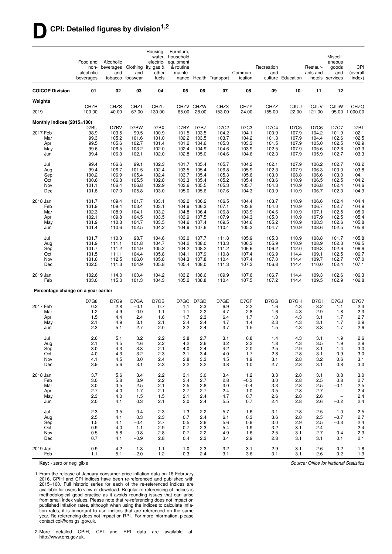## **DCPI: Detailed figures by division1,2**

|                                     | Food and<br>non-<br>alcoholic<br>beverages | Alcoholic<br>beverages Clothing<br>and | and<br>tobacco footwear | Housing,<br>electric-<br>ity, gas &<br>other<br>fuels | Furniture,<br>water, household<br>equipment<br>& routine<br>mainte- |                    | nance Health Transport | Commun-<br>ication   | Recreation<br>and | culture Education    | Restaur-<br>ants and  | Miscell-<br>aneous<br>goods<br>and<br>hotels services | CPI<br>(overall<br>index) |
|-------------------------------------|--------------------------------------------|----------------------------------------|-------------------------|-------------------------------------------------------|---------------------------------------------------------------------|--------------------|------------------------|----------------------|-------------------|----------------------|-----------------------|-------------------------------------------------------|---------------------------|
| <b>COICOP Division</b>              | 01                                         | 02                                     | 03                      | 04                                                    | 05                                                                  | 06                 | 07                     | 08                   | 09                | 10                   | 11                    | 12                                                    |                           |
| Weights                             |                                            |                                        |                         |                                                       |                                                                     |                    |                        |                      |                   |                      |                       |                                                       |                           |
| 2019                                | <b>CHZR</b><br>100.00                      | <b>CHZS</b><br>40.00                   | <b>CHZT</b><br>67.00    | CHZU<br>130.00                                        | 65.00                                                               | CHZV CHZW<br>28.00 | <b>CHZX</b><br>153.00  | <b>CHZY</b><br>24.00 | CHZZ<br>155.00    | <b>CJUU</b><br>22.00 | <b>CJUV</b><br>121.00 | <b>CJUW</b>                                           | CHZQ<br>95.00 1 000.00    |
| Monthly indices (2015=100)          |                                            |                                        |                         |                                                       |                                                                     |                    |                        |                      |                   |                      |                       |                                                       |                           |
| 2017 Feb                            | D7BU<br>98.9                               | D7BV<br>103.5                          | D7BW<br>99.5            | D7BX<br>100.9                                         | D7BY<br>101.5                                                       | D7BZ<br>103.5      | D7C2<br>104.2          | D7C3<br>104.1        | D7C4<br>100.9     | D7C5<br>107.9        | D7C6<br>104.2         | <b>D7C7</b><br>101.9                                  | D7BT<br>102.1             |
| Mar                                 | 99.3                                       | 105.2                                  | 101.6                   | 101.0                                                 | 102.2                                                               | 103.5              | 103.7                  | 104.2                | 101.3             | 107.9                | 104.4                 | 102.6                                                 | 102.5                     |
| Apr                                 | 99.5                                       | 105.6                                  | 102.7                   | 101.4                                                 | 101.2                                                               | 104.6              | 105.3                  | 103.3                | 101.5             | 107.9                | 105.0                 | 102.5                                                 | 102.9                     |
| May<br>Jun                          | 99.6<br>99.4                               | 106.5<br>106.3                         | 103.2<br>102.1          | 102.0<br>102.0                                        | 102.4<br>102.8                                                      | 104.9<br>105.0     | 104.6<br>104.6         | 103.9<br>104.6       | 102.5<br>102.3    | 107.9<br>107.9       | 105.6<br>105.9        | 102.6<br>102.7                                        | 103.3<br>103.3            |
|                                     |                                            |                                        |                         |                                                       |                                                                     |                    |                        |                      |                   |                      |                       |                                                       |                           |
| Jul                                 | 99.4                                       | 106.6                                  | 99.1                    | 102.3                                                 | 101.7                                                               | 105.4              | 105.7                  | 104.2                | 102.1             | 107.9                | 106.2                 | 102.7                                                 | 103.2                     |
| Aug<br>Sep                          | 99.4<br>100.2                              | 106.7<br>106.9                         | 101.5<br>105.4          | 102.4<br>102.4                                        | 103.5<br>103.7                                                      | 105.4<br>105.4     | 106.8<br>105.3         | 105.9<br>105.6       | 102.3<br>103.0    | 107.9<br>108.8       | 106.3<br>106.6        | 103.0<br>103.0                                        | 103.8<br>104.1            |
| Oct                                 | 100.6                                      | 106.8                                  | 105.5                   | 102.8                                                 | 103.3                                                               | 105.4              | 105.2                  | 105.4                | 103.6             | 110.9                | 106.5                 | 102.5                                                 | 104.2                     |
| Nov                                 | 101.1                                      | 106.4                                  | 106.8                   | 102.9                                                 | 103.6                                                               | 105.5              | 105.3                  | 105.7                | 104.3             | 110.9                | 106.8                 | 102.4                                                 | 104.6                     |
| Dec                                 | 101.8                                      | 107.0                                  | 105.8                   | 103.0                                                 | 105.0                                                               | 105.6              | 107.6                  | 104.3                | 103.9             | 110.9                | 106.7                 | 102.3                                                 | 104.9                     |
| 2018 Jan                            | 101.7                                      | 109.4                                  | 101.7                   | 103.1                                                 | 102.2                                                               | 106.2              | 106.5                  | 104.4                | 103.7             | 110.9                | 106.6                 | 102.4                                                 | 104.4                     |
| Feb                                 | 101.9                                      | 109.4                                  | 103.4                   | 103.1                                                 | 104.9                                                               | 106.3              | 107.1                  | 103.8                | 104.0             | 110.9                | 106.7                 | 102.7                                                 | 104.9                     |
| Mar                                 | 102.3                                      | 108.9                                  | 104.1                   | 103.2                                                 | 104.8                                                               | 106.4              | 106.8                  | 103.9                | 104.6             | 110.9                | 107.1                 | 102.5                                                 | 105.0                     |
| Apr                                 | 102.1                                      | 109.8                                  | 104.5                   | 103.5                                                 | 103.9                                                               | 107.5              | 107.9                  | 104.3                | 105.0             | 110.9                | 107.9                 | 102.5                                                 | 105.4                     |
| May<br>Jun                          | 101.9<br>101.4                             | 110.8<br>110.6                         | 104.7<br>102.5          | 103.5<br>104.2                                        | 104.6<br>104.9                                                      | 107.4<br>107.6     | 109.5<br>110.4         | 104.6<br>105.3       | 105.2<br>104.7    | 110.9<br>110.9       | 108.3<br>108.6        | 102.6<br>102.5                                        | 105.8<br>105.8            |
|                                     |                                            |                                        |                         |                                                       |                                                                     |                    |                        |                      |                   |                      |                       |                                                       |                           |
| Jul                                 | 101.7                                      | 110.3                                  | 98.7                    | 104.6                                                 | 103.0                                                               | 107.7              | 111.8                  | 105.9                | 105.3             | 110.9                | 108.8                 | 101.7                                                 | 105.8                     |
| Aug                                 | 101.9<br>101.7                             | 111.1<br>111.2                         | 101.8<br>104.9          | 104.7<br>105.2                                        | 104.2<br>104.2                                                      | 108.0<br>108.2     | 113.3<br>111.2         | 106.3<br>106.6       | 105.9<br>106.2    | 110.9                | 108.9<br>109.3        | 102.3<br>102.6                                        | 106.5<br>106.6            |
| Sep<br>Oct                          | 101.5                                      | 111.1                                  | 104.4                   | 105.8                                                 | 104.1                                                               | 107.9              | 110.8                  | 107.4                | 106.9             | 112.0<br>114.4       | 109.1                 | 102.5                                                 | 106.7                     |
| Nov                                 | 101.6                                      | 112.5                                  | 106.0                   | 105.8                                                 | 104.3                                                               | 107.8              | 110.4                  | 107.4                | 107.0             | 114.4                | 109.7                 | 102.7                                                 | 107.0                     |
| Dec                                 | 102.5                                      | 111.3                                  | 104.9                   | 105.8                                                 | 105.4                                                               | 108.0              | 111.3                  | 107.3                | 106.8             | 114.4                | 110.0                 | 102.4                                                 | 107.1                     |
| 2019 Jan<br>Feb                     | 102.6<br>103.0                             | 114.0<br>115.0                         | 100.4<br>101.3          | 104.2<br>104.3                                        | 103.2<br>105.2                                                      | 108.6<br>108.8     | 109.9<br>110.4         | 107.6<br>107.5       | 106.7<br>107.2    | 114.4<br>114.4       | 109.3<br>109.5        | 102.6<br>102.9                                        | 106.3<br>106.8            |
| Percentage change on a year earlier |                                            |                                        |                         |                                                       |                                                                     |                    |                        |                      |                   |                      |                       |                                                       |                           |
|                                     |                                            |                                        |                         |                                                       |                                                                     |                    |                        |                      |                   |                      |                       |                                                       |                           |
|                                     | <b>D7G8</b>                                | D7G9                                   | D7GA                    | D7GB                                                  | D7GC                                                                | D7GD               | D7GE                   | D7GF                 | D7GG              | D7GH                 | D7GI                  | D7GJ                                                  | <b>D7G7</b>               |
| 2017 Feb<br>Mar                     | 0.2<br>1.2                                 | 2.8<br>4.9                             | $-0.1$<br>0.9           | 0.7<br>1.1                                            | 1.1<br>1.1                                                          | 2.3<br>2.2         | 6.9<br>4.7             | 2.2<br>2.8           | 1.6<br>1.6        | 4.3<br>4.3           | 3.2<br>2.9            | 1.1<br>1.8                                            | 2.3<br>2.3                |
| Apr                                 | 1.5                                        | 4.4                                    | 2.4                     | 1.6                                                   | 1.7                                                                 | 2.3                | 6.4                    | 1.7                  | 1.0               | 4.3                  | 3.1                   | 1.7                                                   | 2.7                       |
| May                                 | 2.1                                        | 4.9                                    | 3.1                     | 2.1                                                   | 2.4                                                                 | 2.4                | 4.7                    | 1.4                  | 2.3               | 4.3                  | 3.1                   | 1.7                                                   | 2.9                       |
| Jun                                 | 2.3                                        | 5.1                                    | 2.7                     | 2.0                                                   | 3.2                                                                 | 2.4                | 3.7                    | 1.5                  | 1.5               | 4.3                  | 3.3                   | 1.7                                                   | 2.6                       |
| Jul                                 | 2.6                                        | 5.1                                    | 3.2                     | 2.2                                                   | 3.8                                                                 | 2.7                | 3.1                    | 0.8                  | 1.4               | 4.3                  | 3.1                   | 1.9                                                   | 2.6                       |
| Aug                                 | 2.1                                        | 4.5                                    | 4.6                     | 2.2                                                   | 4.2                                                                 | 2.6                | 3.2                    | 2.2                  | 1.8               | 4.3                  | 3.5                   | 1.9                                                   | 2.9                       |
| Sep                                 | 3.0                                        | 4.3                                    | 3.3                     | 2.1                                                   | 4.0                                                                 | 2.4                | 4.2                    | 2.0                  | 2.5               | 2.9                  | 3.1                   | 1.4                                                   | 3.0                       |
| Oct                                 | 4.0                                        | 4.3                                    | 3.2                     | 2.3                                                   | 3.1                                                                 | 3.4                | 4.0                    | 1.7                  | 2.8               | 2.8                  | 3.1                   | 0.9                                                   | 3.0                       |
| Nov<br>Dec                          | 4.1<br>3.9                                 | 4.5<br>5.6                             | 3.0<br>3.1              | 2.4<br>2.3                                            | 2.8<br>3.2                                                          | 3.3<br>3.2         | 4.5<br>3.8             | 1.9<br>1.0           | 3.1<br>2.7        | 2.8<br>2.8           | 3.2<br>3.1            | 0.6<br>0.8                                            | 3.1<br>3.0                |
|                                     |                                            |                                        |                         |                                                       |                                                                     |                    |                        |                      |                   |                      |                       |                                                       |                           |
| 2018 Jan                            | 3.7                                        | 5.6                                    | 3.4                     | 2.2                                                   | 3.1                                                                 | 3.0                | 3.4                    | $1.2$                | 3.3               | 2.8                  | 3.1                   | 0.8                                                   | 3.0                       |
| Feb<br>Mar                          | 3.0<br>3.0                                 | 5.8<br>3.5                             | 3.9<br>2.5              | 2.2<br>2.1                                            | 3.4<br>2.5                                                          | 2.7<br>2.8         | 2.8<br>3.0             | $-0.3$<br>$-0.4$     | 3.0<br>3.3        | 2.8<br>2.8           | 2.5<br>2.5            | 0.8<br>$-0.1$                                         | 2.7                       |
| Apr                                 | 2.7                                        | 4.0                                    | 1.7                     | 2.1                                                   | 2.7                                                                 | 2.7                | 2.4                    | 1.0                  | 3.5               | 2.8                  | 2.7                   | $\overline{\phantom{a}}$                              | 2.5<br>2.4                |
| May                                 | 2.3                                        | 4.0                                    | 1.5                     | 1.5                                                   | 2.1                                                                 | 2.4                | 4.7                    | 0.7                  | 2.6               | 2.8                  | 2.6                   | $\overline{\phantom{a}}$                              | 2.4                       |
| Jun                                 | 2.0                                        | 4.1                                    | 0.3                     | 2.1                                                   | 2.0                                                                 | 2.4                | 5.5                    | 0.7                  | 2.4               | 2.8                  | 2.6                   | $-0.2$                                                | 2.4                       |
| Jul                                 | 2.3                                        | 3.5                                    | $-0.4$                  | 2.3                                                   | 1.3                                                                 | 2.2                | 5.7                    | 1.6                  | 3.1               | 2.8                  | 2.5                   | $-1.0$                                                | 2.5                       |
| Aug                                 | 2.5                                        | 4.1                                    | 0.3                     | 2.3                                                   | 0.7                                                                 | 2.4                | 6.1                    | 0.3                  | 3.6               | 2.8                  | 2.5                   | $-0.7$                                                | 2.7                       |
| Sep                                 | 1.5                                        | 4.1                                    | $-0.4$                  | 2.7                                                   | 0.5                                                                 | 2.6                | 5.6                    | 0.9                  | 3.0               | 2.9                  | 2.5                   | $-0.3$                                                | 2.4                       |
| Oct                                 | 0.9                                        | 4.0                                    | $-1.1$                  | 2.9                                                   | 0.7                                                                 | 2.3                | 5.4                    | 1.9                  | 3.2               | 3.1                  | 2.4                   | $\overline{\phantom{a}}$                              | 2.4                       |
| Nov<br>Dec                          | 0.5<br>0.7                                 | 5.8<br>4.1                             | $-0.8$<br>$-0.9$        | 2.8<br>2.8                                            | 0.7<br>0.4                                                          | 2.2<br>2.3         | 4.9<br>3.4             | 1.6<br>2.9           | 2.5<br>2.8        | 3.1<br>3.1           | 2.7<br>3.1            | 0.4<br>0.1                                            | 2.3<br>2.1                |
|                                     |                                            |                                        |                         |                                                       |                                                                     |                    |                        |                      |                   |                      |                       |                                                       |                           |
| 2019 Jan<br>Feb                     | 0.9<br>1.1                                 | 4.2<br>5.1                             | $-1.3$<br>$-2.0$        | 1.1<br>1.2                                            | 1.0<br>0.3                                                          | 2.3<br>2.4         | 3.2<br>3.1             | 3.1<br>3.6           | 2.9<br>3.1        | 3.1<br>3.1           | 2.6<br>2.6            | 0.2<br>0.2                                            | 1.8<br>1.9                |

**Key:** - zero or negligible

1 From the release of January consumer price inflation data on 16 February 2016, CPIH and CPI indices have been re-referenced and published with 2015=100. Full historic series for each of the re-referenced indices are available for users to view or download. Regular re-referencing of indices is methodological good practice as it avoids rounding issues that can arise from small index values. Please note that re-referencing does not impact on published inflation rates, although when using the indices to calculate inflation rates, it is important to use indices that are referenced on the same year. Re-referencing does not impact on RPI. For more information, please contact cpi@ons.gsi.gov.uk.

2 More detailed CPIH, CPI and RPI data are available at: http://www.ons.gov.uk.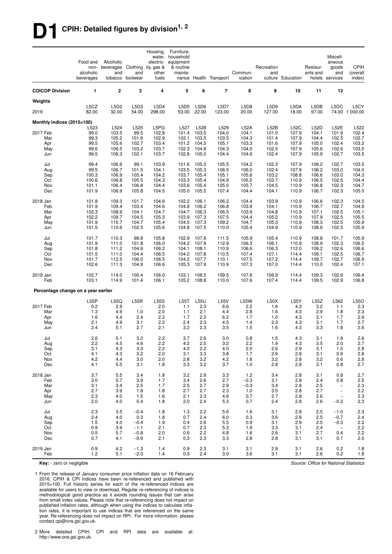# **D1 CPIH: Detailed figures by division1, 2**

|                                     | Food and<br>non-<br>alcoholic<br>beverages | Alcoholic<br>beverages Clothing<br>and | and<br>tobacco footwear | Housing,<br>electric-<br>ity, gas &<br>other<br>fuels | Furniture.<br>water, household<br>equipment<br>& routine<br>mainte- |                | nance Health Transport | Commun-<br>ication | Recreation<br>and | culture Education | Restaur-<br>ants and | Miscell-<br>aneous<br>goods<br>and<br>hotels services | <b>CPIH</b><br>(overall<br>index) |
|-------------------------------------|--------------------------------------------|----------------------------------------|-------------------------|-------------------------------------------------------|---------------------------------------------------------------------|----------------|------------------------|--------------------|-------------------|-------------------|----------------------|-------------------------------------------------------|-----------------------------------|
| <b>COICOP Division</b>              | 1                                          | $\overline{\mathbf{2}}$                | 3                       | 4                                                     | 5                                                                   | 6              | $\overline{7}$         | 8                  | 9                 | 10                | 11                   | 12                                                    |                                   |
| Weights                             |                                            |                                        |                         |                                                       |                                                                     |                |                        |                    |                   |                   |                      |                                                       |                                   |
| 2019                                | L5CZ<br>82.00                              | L <sub>5</sub> D <sub>2</sub><br>32.00 | L5D3<br>54.00           | L5D4<br>298.00                                        | L5D5<br>53.00                                                       | L5D6<br>22.00  | L5D7<br>123.00         | L5D8<br>20.00      | L5D9<br>127.00    | L5DA<br>18.00     | L5DB<br>97.00        | L5DC                                                  | L5CY<br>74.00 1 000.00            |
| Monthly indices (2015=100)          |                                            |                                        |                         |                                                       |                                                                     |                |                        |                    |                   |                   |                      |                                                       |                                   |
| 2017 Feb                            | L523<br>99.0                               | L524<br>103.5                          | L525<br>99.5            | L5PG<br>102.8                                         | L527<br>101.4                                                       | L528<br>103.5  | L529<br>104.0          | L52A<br>104.1      | L52B<br>101.0     | L52C<br>107.9     | L52D<br>104.1        | L52E<br>101.9                                         | L522<br>102.4                     |
| Mar                                 | 99.3                                       | 105.2                                  | 101.6                   | 102.9                                                 | 102.1                                                               | 103.5          | 103.5                  | 104.3              | 101.4             | 107.9             | 104.4                | 102.5                                                 | 102.7                             |
| Apr                                 | 99.5                                       | 105.6                                  | 102.7                   | 103.4                                                 | 101.2                                                               | 104.5          | 105.1                  | 103.3              | 101.6             | 107.9             | 105.0                | 102.4                                                 | 103.2                             |
| May<br>Jun                          | 99.6<br>99.5                               | 106.5<br>106.3                         | 103.2<br>102.1          | 103.7<br>103.7                                        | 102.3<br>102.8                                                      | 104.8<br>105.0 | 104.3<br>104.4         | 104.0<br>104.6     | 102.5<br>102.4    | 107.9<br>107.9    | 105.6<br>105.9       | 102.6<br>102.7                                        | 103.5<br>103.5                    |
|                                     |                                            |                                        |                         |                                                       |                                                                     |                |                        |                    |                   |                   |                      |                                                       |                                   |
| Jul                                 | 99.4                                       | 106.6<br>106.7                         | 99.1                    | 103.9<br>104.1                                        | 101.6<br>103.5                                                      | 105.3          | 105.5<br>106.5         | 104.2              | 102.3<br>102.4    | 107.9<br>107.9    | 106.2<br>106.2       | 102.7                                                 | 103.5<br>104.0                    |
| Aug<br>Sep                          | 99.5<br>100.3                              | 106.9                                  | 101.5<br>105.4          | 104.2                                                 | 103.7                                                               | 105.3<br>105.4 | 105.1                  | 106.0<br>105.6     | 103.2             | 108.8             | 106.6                | 103.0<br>103.0                                        | 104.3                             |
| Oct                                 | 100.6                                      | 106.8                                  | 105.5                   | 104.3                                                 | 103.3                                                               | 105.4          | 104.9                  | 105.5              | 103.7             | 110.9             | 106.5                | 102.5                                                 | 104.4                             |
| Nov                                 | 101.1                                      | 106.4                                  | 106.8                   | 104.4                                                 | 103.6                                                               | 105.4          | 105.0                  | 105.7              | 104.5             | 110.9             | 106.8                | 102.3                                                 | 104.7                             |
| Dec                                 | 101.9                                      | 106.9                                  | 105.8                   | 104.5                                                 | 105.0                                                               | 105.5          | 107.4                  | 104.4              | 104.1             | 110.9             | 106.7                | 102.3                                                 | 105.0                             |
| 2018 Jan                            | 101.8                                      | 109.3                                  | 101.7                   | 104.6                                                 | 102.2                                                               | 106.1          | 106.2                  | 104.4              | 103.9             | 110.9             | 106.6                | 102.3                                                 | 104.5                             |
| Feb                                 | 101.9                                      | 109.4                                  | 103.4                   | 104.6                                                 | 104.8                                                               | 106.2          | 106.8                  | 103.9              | 104.1             | 110.9             | 106.7                | 102.7                                                 | 104.9                             |
| Mar                                 | 102.3                                      | 108.9                                  | 104.1                   | 104.7                                                 | 104.7                                                               | 106.3          | 106.5                  | 103.9              | 104.8             | 110.9             | 107.1                | 102.5                                                 | 105.1                             |
| Apr<br>May                          | 102.2<br>101.9                             | 109.7<br>110.7                         | 104.5<br>104.7          | 105.3<br>105.4                                        | 103.9<br>104.5                                                      | 107.3<br>107.3 | 107.5<br>109.2         | 104.4<br>104.7     | 105.2<br>105.3    | 110.9<br>110.9    | 107.9<br>108.3       | 102.5<br>102.5                                        | 105.5<br>105.9                    |
| Jun                                 | 101.5                                      | 110.6                                  | 102.5                   | 105.6                                                 | 104.8                                                               | 107.5          | 110.0                  | 105.4              | 104.9             | 110.9             | 108.6                | 102.5                                                 | 105.9                             |
| Jul                                 | 101.7                                      | 110.3                                  | 98.8                    | 105.8                                                 | 102.9                                                               | 107.6          | 111.5                  | 105.9              | 105.4             | 110.9             | 108.8                | 101.7                                                 | 105.9                             |
| Aug                                 | 101.9                                      | 111.0                                  | 101.8                   | 106.0                                                 | 104.2                                                               | 107.9          | 112.9                  | 106.3              | 106.1             | 110.9             | 108.9                | 102.3                                                 | 106.5                             |
| Sep                                 | 101.8                                      | 111.2                                  | 104.9                   | 106.2                                                 | 104.1                                                               | 108.1          | 110.9                  | 106.6              | 106.3             | 112.0             | 109.2                | 102.6                                                 | 106.6                             |
| Oct                                 | 101.5                                      | 111.0                                  | 104.4                   | 106.5                                                 | 104.0                                                               | 107.8          | 110.5                  | 107.4              | 107.1             | 114.4             | 109.1                | 102.5                                                 | 106.7                             |
| Nov<br>Dec                          | 101.7<br>102.6                             | 112.5<br>111.3                         | 106.0<br>104.9          | 106.5<br>106.6                                        | 104.2<br>105.3                                                      | 107.7<br>107.9 | 110.1<br>110.9         | 107.5<br>107.3     | 107.2<br>107.0    | 114.4<br>114.4    | 109.7<br>110.0       | 102.7<br>102.4                                        | 106.9<br>107.1                    |
|                                     | 102.7                                      |                                        |                         |                                                       |                                                                     |                |                        | 107.6              |                   |                   |                      |                                                       | 106.4                             |
| 2019 Jan<br>Feb                     | 103.1                                      | 114.0<br>114.9                         | 100.4<br>101.4          | 106.0<br>106.1                                        | 103.1<br>105.2                                                      | 108.5<br>108.8 | 109.5<br>110.0         | 107.6              | 106.9<br>107.4    | 114.4<br>114.4    | 109.3<br>109.5       | 102.6<br>102.9                                        | 106.8                             |
| Percentage change on a year earlier |                                            |                                        |                         |                                                       |                                                                     |                |                        |                    |                   |                   |                      |                                                       |                                   |
|                                     | L55P                                       | L55Q                                   | L55R                    | <b>L55S</b>                                           | <b>L55T</b>                                                         | L55U           | <b>L55V</b>            | <b>L55W</b>        | L55X              | L55Y              | L55Z                 | L562                                                  | L550                              |
| 2017 Feb                            | 0.2                                        | 2.9                                    |                         | 2.0                                                   | 1.1                                                                 | 2.3            | 6.6                    | 2.2                | 1.6               | 4.3               | 3.2                  | 1.1                                                   | 2.3                               |
| Mar                                 | 1.3                                        | 4.9                                    | 1.0                     | 2.0                                                   | 1.1                                                                 | 2.1            | 4.4                    | 2.8                | 1.6               | 4.3               | 2.9                  | 1.8                                                   | 2.3                               |
| Apr<br>May                          | 1.6<br>2.1                                 | 4.4<br>4.9                             | 2.4<br>3.1              | 2.2<br>2.2                                            | 1.7<br>2.4                                                          | 2.2<br>2.3     | 6.2<br>4.5             | 1.7<br>1.4         | 1.0<br>2.3        | 4.3<br>4.3        | 3.1<br>3.1           | 1.7<br>1.7                                            | 2.6<br>2.7                        |
| Jun                                 | 2.4                                        | 5.1                                    | 2.7                     | 2.1                                                   | 3.2                                                                 | 2.3            | 3.5                    | 1.5                | 1.6               | 4.3               | 3.3                  | 1.8                                                   | 2.6                               |
| Jul                                 | 2.6                                        | 5.1                                    | 3.2                     | 2.2                                                   | 3.7                                                                 | 2.6            | 3.0                    | 0.8                | 1.5               | 4.3               | 3.1                  | 1.9                                                   | 2.6                               |
| Aug                                 | 2.2                                        | 4.5                                    | 4.6                     | 2.2                                                   | 4.2                                                                 | 2.5            | 3.2                    | 2.2                | 1.9               | 4.3               | 3.5                  | 2.0                                                   | 2.7                               |
| Sep                                 | 3.1                                        | 4.3                                    | 3.3                     | 2.2                                                   | 4.0                                                                 | 2.2            | 4.0                    | 2.0                | 2.6               | 2.9               | 3.1                  | 1.5                                                   | $2.8\,$                           |
| Oct                                 | 4.1                                        | 4.3                                    | 3.2                     | 2.0                                                   | 3.1                                                                 | 3.3            | 3.8                    | 1.7                | 2.9               | 2.8               | 3.1                  | 0.9                                                   | 2.8                               |
| Nov<br>Dec                          | 4.2<br>4.1                                 | 4.4<br>5.5                             | 3.0<br>3.1              | 2.0<br>1.8                                            | 2.8<br>3.3                                                          | 3.2<br>3.2     | 4.2<br>3.7             | 1.8<br>1.0         | 3.2<br>2.8        | 2.8<br>2.8        | 3.2<br>3.1           | 0.6<br>0.8                                            | $2.8\,$<br>2.7                    |
|                                     |                                            |                                        |                         |                                                       |                                                                     |                |                        |                    |                   |                   |                      |                                                       |                                   |
| 2018 Jan                            | 3.7                                        | 5.5                                    | 3.4                     | 1.8                                                   | 3.2                                                                 | 2.9            | 3.3                    | $1.2$              | 3.4               | 2.8               | 3.1                  | 0.8                                                   | 2.7                               |
| Feb<br>Mar                          | 3.0<br>3.1                                 | 5.7<br>3.4                             | 3.9<br>2.5              | 1.7<br>1.7                                            | 3.4<br>2.5                                                          | 2.6<br>2.7     | 2.7<br>2.9             | $-0.3$<br>$-0.3$   | 3.1<br>3.4        | 2.8<br>2.8        | 2.4<br>2.5           | 0.8<br>$\overline{\phantom{a}}$                       | 2.5<br>2.3                        |
| Apr                                 | 2.7                                        | 3.9                                    | 1.8                     | 1.8                                                   | 2.7                                                                 | 2.7            | 2.3                    | 1.0                | 3.5               | 2.8               | 2.7                  | $\overline{\phantom{a}}$                              | 2.2                               |
| May                                 | 2.3                                        | 4.0                                    | 1.5                     | 1.6                                                   | 2.1                                                                 | 2.3            | 4.6                    | 0.7                | 2.7               | 2.8               | 2.6                  | $\overline{\phantom{a}}$                              | 2.3                               |
| Jun                                 | 2.0                                        | 4.0                                    | 0.4                     | 1.8                                                   | 2.0                                                                 | 2.4            | 5.3                    | 0.7                | 2.4               | 2.8               | 2.6                  | $-0.2$                                                | 2.3                               |
| Jul                                 | 2.3                                        | 3.5                                    | $-0.4$                  | 1.8                                                   | 1.3                                                                 | 2.2            | 5.6                    | 1.6                | 3.1               | 2.8               | 2.5                  | $-1.0$                                                | 2.3                               |
| Aug                                 | 2.4                                        | 4.0                                    | 0.3                     | 1.8                                                   | 0.7                                                                 | 2.4            | 6.0                    | 0.3                | 3.6               | 2.8               | 2.5                  | $-0.7$                                                | 2.4                               |
| Sep                                 | 1.5                                        | 4.0                                    | $-0.4$                  | 1.9                                                   | 0.4                                                                 | 2.6            | 5.5                    | 0.9                | 3.1               | 2.9               | 2.5                  | $-0.3$                                                | 2.2                               |
| Oct<br>Nov                          | 0.9<br>0.5                                 | 3.9<br>5.7                             | $-1.1$<br>$-0.8$        | 2.1<br>2.0                                            | 0.7<br>0.6                                                          | 2.3<br>2.2     | 5.3<br>4.8             | 1.9<br>1.6         | 3.3<br>2.6        | 3.1<br>3.1        | 2.4<br>2.7           | $\overline{\phantom{a}}$<br>0.4                       | 2.2<br>2.2                        |
| Dec                                 | 0.7                                        | 4.1                                    | $-0.9$                  | 2.1                                                   | 0.3                                                                 | 2.3            | 3.3                    | 2.8                | 2.8               | 3.1               | 3.1                  | 0.1                                                   | 2.0                               |
| 2019 Jan                            | 0.9                                        | 4.2                                    | $-1.3$                  | 1.4                                                   | 0.9                                                                 | 2.3            | 3.1                    | 3.1                | 2.9               | 3.1               | 2.6                  | 0.2                                                   | 1.8                               |
| Feb                                 | 1.2                                        | 5.1                                    | $-2.0$                  | 1.4                                                   | 0.3                                                                 | 2.4            | 3.0                    | 3.6                | 3.1               | 3.1               | 2.6                  | 0.2                                                   | 1.8                               |

**Key:** - zero or negligible

1 From the release of January consumer price inflation data on 16 February 2016, CPIH & CPI indices have been re-referenced and published with 2015=100. Full historic series for each of the re-referenced indices are available for users to view or download. Regular re-referencing of indices is methodological good practice as it avoids rounding issues that can arise from small index values. Please note that re-referencing does not impact on published inflation rates, although when using the indices to calculate inflation rates, it is important to use indices that are referenced on the same year. Re-referencing does not impact on RPI. For more information, please contact cpi@ons.gsi.gov.uk.

2 More detailed CPIH, CPI and RPI data are available at: http://www.ons.gsi.gov.uk.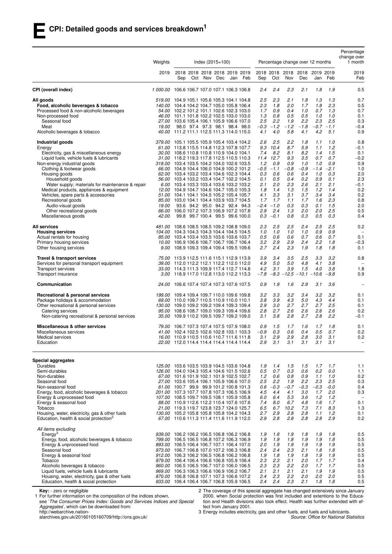|                                                                                                      | Weights       | $Index (2015 = 100)$                                                                                   | Percentage change over 12 months                |                                        | Percentage<br>change over<br>1 month |
|------------------------------------------------------------------------------------------------------|---------------|--------------------------------------------------------------------------------------------------------|-------------------------------------------------|----------------------------------------|--------------------------------------|
|                                                                                                      | 2019          | 2018 2018 2018 2018 2019 2019<br>Sep<br>Dec<br>Jan<br>Feb<br>Sep<br>Oct<br>Nov                         | 2018 2018<br>Oct<br>Nov<br>Dec                  | 2018 2018 2019 2019<br>Feb<br>Jan      | 2019<br>Feb                          |
| CPI (overall index)                                                                                  |               | 1 000.00 106.6 106.7 107.0 107.1 106.3 106.8<br>2.4                                                    | 2.4<br>2.3<br>2.1                               | 1.8<br>1.9                             | 0.5                                  |
| All goods                                                                                            |               | 519.00 104.9 105.1 105.6 105.3 104.1 104.8<br>2.5                                                      | 2.3<br>2.1<br>1.8                               | 1.3<br>1.3                             | 0.7                                  |
| Food, alcoholic beverages & tobacco                                                                  |               | 2.3<br>140.00 104.4 104.2 104.7 105.0 105.8 106.4                                                      | 1.8<br>2.0<br>1.7                               | 1.8<br>2.3                             | 0.5                                  |
| Processed food & non-alcoholic beverages                                                             |               | 54.00 102.2 101.2 101.1 102.6 102.3 103.0<br>1.7                                                       | 0.9<br>1.0<br>0.4                               | 1.3<br>0.7                             | 0.7                                  |
| Non-processed food                                                                                   |               | 46.00 101.1 101.8 102.2 102.5 103.0 103.0<br>1.3                                                       | 0.8<br>0.5<br>0.5                               | 1.0<br>1.0                             | 0.1                                  |
| Seasonal food<br>Meat                                                                                | 19.00         | 2.5<br>27.00 103.6 105.4 106.1 105.9 106.6 107.0<br>$-0.3$<br>98.0 97.4 97.3 98.1 98.4 98.0            | 2.2<br>2.2<br>1.9<br>$-1.2$<br>$-1.2$<br>$-1.8$ | 2.5<br>2.3<br>$-0.7$<br>$-1.1$         | 0.3<br>$-0.4$                        |
| Alcoholic beverages & tobacco                                                                        |               | 4.1<br>40.00 111.2 111.1 112.5 111.3 114.0 115.0                                                       | 4.0<br>5.8<br>4.1                               | 4.2<br>5.1                             | 0.9                                  |
| Industrial goods                                                                                     | <i>379.00</i> | 105.1 105.5 105.9 105.4 103.4 104.2<br>2.6<br>9.3                                                      | 2.5<br>2.2<br>1.8<br>10.4<br>8.7                | 1.1<br>1.0<br>1.2                      | 0.8                                  |
| Energy<br>Electricity, gas & miscellaneous energy                                                    |               | 61.00 113.8 115.5 114.8 112.3 107.8 107.7<br>30.00 108.6 110.8 110.8 110.9 104.0 104.1<br>7.4          | 5.9<br>8.2<br>8.1<br>8.2                        | 1.1<br>1.4<br>1.5                      | $-0.1$<br>0.1                        |
| Liquid fuels, vehicle fuels & lubricants                                                             |               | 31.00 118.2 119.3 117.8 112.5 110.5 110.3                                                              | 3.5<br>11.4 12.7<br>9.3                         | 0.7<br>0.7                             | $-0.2$                               |
| Non-energy industrial goods                                                                          |               | 1.2<br>318.00 103.4 103.5 104.2 104.0 102.6 103.5                                                      | 0.9<br>0.9<br>1.0                               | 1.0<br>0.9                             | 0.9                                  |
| Clothing & footwear goods                                                                            |               | 66.00 104.9 104.4 106.0 104.9 100.2 101.2                                                              | $-0.5 -1.1$<br>$-0.9$<br>$-0.8$                 | $-1.4$<br>$-2.1$                       | 1.0                                  |
| Housing goods                                                                                        |               | 62.00 103.4 103.2 103.4 104.6 102.3 104.4<br>0.3                                                       | 0.6<br>0.6<br>0.4                               | 0.3<br>1.0                             | 2.0                                  |
| Household goods                                                                                      |               | 56.00 103.4 103.2 103.4 104.7 102.2 104.5<br>0.1                                                       | 0.5<br>0.2<br>0.4                               | 0.9<br>0.1                             | 2.3                                  |
| Water supply; materials for maintenance & repair                                                     |               | 2.1<br>6.00 103.4 103.3 103.4 103.6 103.2 103.2                                                        | 2.0<br>2.3<br>2.6                               | 2.1<br>2.1                             | $-0.1$                               |
| Medical products, appliances & equipment<br>Vehicles, spare parts & accessories                      |               | 12.00 104.9 104.7 104.6 104.7 105.0 105.3<br>1.8<br>51.00 104.1 104.1 104.5 105.2 105.4 105.7<br>4.1   | 1.5<br>1.4<br>1.3<br>3.3<br>3.1<br>3.7          | 1.2<br>1.4<br>3.4<br>3.4               | 0.2<br>0.2                           |
| Recreational goods                                                                                   |               | 1.7<br>85.00 103.0 104.1 104.4 103.9 103.7 104.5                                                       | 1.7<br>1.7<br>1.1                               | 2.3<br>1.6                             | 0.8                                  |
| Audio-visual goods                                                                                   | 19.00         | 93.6 94.2 95.0 94.2 92.4 94.3<br>$-2.4$                                                                | $-1.0$<br>0.3<br>0.3                            | 1.5<br>0.1                             | 2.0                                  |
| Other recreational goods                                                                             |               | 66.00 106.0 107.2 107.3 106.9 107.2 107.8<br>2.9                                                       | 2.4<br>2.0<br>1.3                               | 2.0<br>2.5                             | 0.5                                  |
| Miscellaneous goods                                                                                  | 42.00         | 99.8 99.7 100.4 99.5 99.6 100.0                                                                        | $0.3 -0.1$<br>0.8<br>0.3                        | 0.5<br>0.3                             | 0.4                                  |
| All services                                                                                         |               | 481.00 108.6 108.5 108.5 109.2 108.8 109.0<br>2.3                                                      | 2.5<br>2.5<br>2.4                               | 2.5<br>2.5                             | 0.2                                  |
| <b>Housing services</b>                                                                              |               | 1.0<br>104.00 104.3 104.3 104.3 104.4 104.5 104.5                                                      | 1.0<br>1.0<br>1.0                               | 0.9<br>0.9                             |                                      |
| Actual rentals for housing                                                                           |               | 85.00 103.4 103.4 103.5 103.6 103.6 103.7<br>0.5                                                       | 0.6<br>0.6<br>0.7                               | 0.6<br>0.7                             | 0.1                                  |
| Primary housing services<br>Other housing services                                                   |               | 3.2<br>10.00 106.9 106.6 106.7 106.7 106.7 106.4<br>2.7<br>9.00 108.9 109.3 109.4 109.4 109.5 109.6    | 2.9<br>2.9<br>2.4<br>2.4<br>2.3<br>1.9          | 2.2<br>1.8<br>1.8<br>1.8               | $-0.3$<br>0.1                        |
| Travel & transport services                                                                          |               | 75.00 113.9 112.5 111.6 115.1 112.9 113.9<br>3.9                                                       | 3.4<br>3.5<br>2.5                               | 3.2<br>3.3                             | 0.8                                  |
| Services for personal transport equipment                                                            |               | 39.00 112.0 112.2 112.1 112.2 112.0 112.0<br>4.9                                                       | 5.0<br>4.8<br>5.0                               | 4.1<br>3.8                             |                                      |
| Transport services<br>Transport insurance                                                            |               | 33.00 114.3 111.3 109.9 117.4 112.7 114.8<br>4.2<br>3.00 118.9 117.0 112.8 113.0 112.2 113.3<br>$-7.8$ | 3.1<br>3.9<br>1.5<br>$-8.3 - 12.5$              | 4.0<br>3.8<br>$-9.8$<br>$-10.1 - 10.6$ | 1.8<br>0.9                           |
| Communication                                                                                        | 24.00         | 106.6 107.4 107.4 107.3 107.6 107.5<br>0.9                                                             | 1.6<br>1.9<br>2.9                               | 3.1<br>3.6                             |                                      |
| Recreational & personal services                                                                     |               | 199.00 109.4 109.4 109.7 110.0 109.6 109.8<br>3.2                                                      | 3.3<br>3.2<br>3.4                               | 3.2<br>3.2                             | 0.1                                  |
| Package holidays & accommodation                                                                     |               | 69.00 110.0 109.7 110.5 110.9 110.0 110.1<br>3.8                                                       | 3.9<br>5.0<br>4.3                               | 4.3<br>4.4                             | 0.1                                  |
| Other recreational & personal services<br>Catering services                                          | 95.00         | 130.00 109.0 109.2 109.2 109.4 109.3 109.4<br>2.9<br>2.8<br>108.6 108.7 109.0 109.3 109.4 109.6        | 3.0<br>2.7<br>2.7<br>2.7<br>2.6<br>2.6          | 2.7<br>2.5<br>2.6<br>2.6               | 0.1<br>0.2                           |
| Non-catering recreational & personal services                                                        |               | 35.00 109.9 110.2 109.5 109.7 109.2 109.0<br>3.1                                                       | 2.8<br>3.8<br>2.7                               | 2.8<br>2.2                             | -0.1                                 |
| Miscellaneous & other services                                                                       | 79.00         | 106.7 107.3 107.4 107.5 107.9 108.0<br>0.9                                                             | 1.5<br>1.7<br>1.6                               | 1.7<br>1.8                             | 0.1                                  |
| Miscellaneous services                                                                               |               | 41.00 102.4 102.5 102.6 102.8 103.1 103.3<br>$-0.9$                                                    | 0.3<br>0.6<br>0.4                               | 0.5<br>0.7                             | 0.2                                  |
| <b>Medical services</b><br>Education                                                                 |               | 16.00 110.9 110.5 110.6 110.7 111.6 111.8<br>3.1<br>2.9<br>22.00 112.0 114.4 114.4 114.4 114.4 114.4   | 2.9<br>2.8<br>2.9<br>3.1<br>3.1<br>3.1          | 3.0<br>3.1<br>3.1<br>3.1               | 0.2                                  |
|                                                                                                      |               |                                                                                                        |                                                 |                                        |                                      |
| Special aggregates<br>Durables                                                                       |               | 125.00 103.6 103.5 103.9 104.5 103.6 104.8<br>1.9                                                      | 1.4<br>1.5<br>1.5                               | 1.7<br>1.7                             | 1.1                                  |
| Semi-durables                                                                                        |               | 126.00 104.0 104.3 105.4 104.6 101.5 102.6<br>0.5                                                      | 0.7<br>0.3<br>0.6                               | 0.0<br>0.2                             | 1.1                                  |
| Non-durables                                                                                         |               | 67.00 101.6 101.9 102.1 101.9 102.5 102.7<br>1.2                                                       | 0.6<br>0.8<br>0.9                               | 1.1<br>1.0                             | 0.2                                  |
| Seasonal food<br>Non-seasonal food                                                                   |               | 2.5<br>27.00 103.6 105.4 106.1 105.9 106.6 107.0<br>61.00 100.7 99.9 99.9 101.2 100.8 101.3<br>0.6     | 2.2<br>1.9<br>2.2<br>$-0.3$<br>$-0.7$<br>$-0.3$ | 2.3<br>2.5<br>$-0.3$<br>$-0.0$         | 0.3<br>0.4                           |
| Energy, food, alcoholic beverages & tobacco                                                          |               | 201.00 107.3 107.7 107.8 107.3 106.5 106.9<br>4.5                                                      | 4.4<br>4.1<br>3.0                               | 2.0<br>1.7                             | 0.3                                  |
| Energy & unprocessed food                                                                            |               | 107.00 108.5 109.7 109.5 108.1 105.9 105.8<br>6.0                                                      | 6.4<br>5.3<br>3.6                               | 1.2<br>1.2                             |                                      |
| Energy & seasonal food                                                                               |               | 88.00 110.9 112.6 112.2 110.4 107.6 107.6<br>7.4                                                       | 8.0<br>6.7<br>4.8                               | 1.6<br>1.7                             | 0.1                                  |
| Tobacco                                                                                              |               | 21.00 119.3 119.7 123.8 123.7 124.0 125.7<br>6.5                                                       | 6.7<br>10.2<br>7.3                              | 7.1<br>8.3                             | 1.3                                  |
| Housing, water, electricity, gas & other fuels<br>Education, health & social protection <sup>2</sup> |               | 130.00 105.2 105.8 105.8 105.8 104.2 104.3<br>2.7<br>67.00 110.6 111.3 111.4 111.6 111.9 112.0<br>2.9  | 2.9<br>2.8<br>2.8<br>2.8<br>2.8<br>2.8          | 1.1<br>1.2<br>2.9<br>2.8               | 0.1<br>0.2                           |
| All items excluding                                                                                  |               |                                                                                                        |                                                 |                                        |                                      |
| $E$ nergy <sup>3</sup>                                                                               |               | 939.00 106.2 106.2 106.5 106.8 106.2 106.8<br>1.9                                                      | 1.8<br>1.9<br>1.8                               | 1.9<br>1.9                             | 0.5                                  |
| Energy, food, alcoholic beverages & tobacco                                                          |               | 799.00 106.5 106.5 106.8 107.2 106.3 106.9<br>1.9                                                      | 1.9<br>1.8<br>1.9                               | 1.9<br>1.8                             | 0.5                                  |
| Energy & unprocessed food                                                                            |               | 893.00 106.5 106.4 106.7 107.1 106.4 107.0<br>2.0                                                      | 1.9<br>1.9<br>1.9                               | 1.9<br>1.9                             | 0.5                                  |
| Seasonal food<br>Energy & seasonal food                                                              |               | 973.00 106.7 106.8 107.0 107.2 106.3 106.8<br>2.4<br>912.00 106.3 106.2 106.5 106.8 106.2 106.8<br>1.9 | 2.4<br>2.3<br>2.1<br>1.8<br>1.9<br>1.8          | 1.8<br>1.8<br>1.9<br>1.9               | 0.5<br>0.5                           |
| Tobacco                                                                                              |               | 979.00 106.4 106.4 106.6 106.8 105.9 106.4<br>2.3                                                      | 2.3<br>2.1<br>2.0                               | 1.7<br>1.7                             | 0.4                                  |
| Alcoholic beverages & tobacco                                                                        |               | 960.00 106.5 106.5 106.7 107.0 106.0 106.5<br>2.3                                                      | 2.3<br>2.2<br>2.0                               | 1.7<br>1.7                             | 0.5                                  |
| Liquid fuels, vehicle fuels & lubricants                                                             |               | 969.00 106.3 106.3 106.6 106.9 106.2 106.7<br>2.1                                                      | 2.1<br>2.1<br>2.1                               | 1.9<br>1.9                             | 0.5                                  |
| Housing, water, electricity, gas & other fuels                                                       |               | 870.00 106.8 106.8 107.1 107.3 106.6 107.2<br>2.4                                                      | 2.3<br>2.2<br>2.0                               | 2.0<br>2.0                             | 0.5                                  |
| Education, health & social protection                                                                |               | 933.00 106.4 106.4 106.7 106.8 105.9 106.5<br>2.4                                                      | 2.4<br>2.3<br>2.1                               | 1.8<br>1.8                             | 0.5                                  |

**Key:** - zero or negligible

1 For further information on the composition of the indices shown,

see '*The Consumer Prices Index: Goods and Services Indices and Special Aggregates*', which can be downloaded from: http://webarchive.nation-

alarchives.gov.uk/20160105160709/http://ons.gov.uk/

2 The coverage of this special aggregate has changed extensively since January 2000, when Social protection was first included and extentions to the Education and Health divisions also took effect. Health was further extended with effect from January 2001.

3 Energy includes electricity, gas and other fuels, and fuels and lubricants.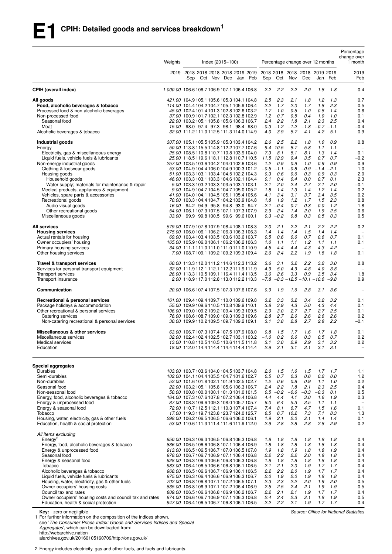|                                                                                                                                                                                                                                                                                                                                                                                                                                                                             | Weights |     | $Index (2015 = 100)$ |                                                                                                                                                                                                                                                                                                                                                                                                                                                                                                                                                                                                                                                                                       |                                                                                          |                                                                                                                                           | Percentage change over 12 months                                                                         |                                                                                                          |                                                                                                   |                                                                                                               | Percentage<br>change over<br>1 month                                                                 |
|-----------------------------------------------------------------------------------------------------------------------------------------------------------------------------------------------------------------------------------------------------------------------------------------------------------------------------------------------------------------------------------------------------------------------------------------------------------------------------|---------|-----|----------------------|---------------------------------------------------------------------------------------------------------------------------------------------------------------------------------------------------------------------------------------------------------------------------------------------------------------------------------------------------------------------------------------------------------------------------------------------------------------------------------------------------------------------------------------------------------------------------------------------------------------------------------------------------------------------------------------|------------------------------------------------------------------------------------------|-------------------------------------------------------------------------------------------------------------------------------------------|----------------------------------------------------------------------------------------------------------|----------------------------------------------------------------------------------------------------------|---------------------------------------------------------------------------------------------------|---------------------------------------------------------------------------------------------------------------|------------------------------------------------------------------------------------------------------|
|                                                                                                                                                                                                                                                                                                                                                                                                                                                                             |         | Sep |                      | 2019 2018 2018 2018 2018 2019 2019<br>Oct Nov Dec Jan Feb                                                                                                                                                                                                                                                                                                                                                                                                                                                                                                                                                                                                                             | Sep                                                                                      | Oct                                                                                                                                       | 2018 2018 2018 2018 2019 2019<br>Nov                                                                     | Dec                                                                                                      | Jan                                                                                               | Feb                                                                                                           | 2019<br>Feb                                                                                          |
| <b>CPIH (overall index)</b>                                                                                                                                                                                                                                                                                                                                                                                                                                                 |         |     |                      | 1000.00 106.6106.7106.9107.1106.4106.8                                                                                                                                                                                                                                                                                                                                                                                                                                                                                                                                                                                                                                                | 2.2                                                                                      | 2.2                                                                                                                                       | 2.2                                                                                                      | 2.0                                                                                                      | 1.8                                                                                               | 1.8                                                                                                           | 0.4                                                                                                  |
| All goods<br>Food, alcoholic beverages & tobacco<br>Processed food & non-alcoholic beverages<br>Non-processed food<br>Seasonal food<br>Meat<br>Alcoholic beverages & tobacco                                                                                                                                                                                                                                                                                                |         |     |                      | 421.00 104.9 105.1 105.6 105.3 104.1 104.8<br>114.00 104.4 104.2 104.7 105.1 105.9 106.4<br>45.00 102.4 101.4 101.3 102.8 102.6 103.2<br>37.00 100.9101.7102.1102.3102.8102.9<br>22.00 103.2 105.1 105.8 105.6 106.3 106.7<br>15.00 98.0 97.4 97.3 98.1 98.4 98.0<br>32.00 111.2 111.0 112.5 111.3 114.0 114.9                                                                                                                                                                                                                                                                                                                                                                        | 2.5<br>2.2<br>1.7<br>1.2<br>$2.4^{\circ}$<br>4.0                                         | 2.3<br>1.7<br>1.0<br>0.7<br>2.2<br>$-0.3 - 1.2$<br>3.9                                                                                    | 2.1<br>2.0<br>0.5<br>0.5<br>1.8<br>$-1.2$<br>5.7                                                         | 1.8<br>1.7<br>1.0<br>0.4<br>2.1<br>$-1.8$<br>4.1                                                         | 1.2<br>1.8<br>0.8<br>1.0<br>2.3<br>4.2                                                            | 1.3<br>2.3<br>1.4<br>1.0<br>2.5<br>$-0.7 - 1.1$<br>5.1                                                        | 0.7<br>0.5<br>0.6<br>0.1<br>0.4<br>$-0.4$<br>0.9                                                     |
| Industrial goods<br>Energy<br>Electricity, gas & miscellaneous energy<br>Liquid fuels, vehicle fuels & lubricants<br>Non-energy industrial goods<br>Clothing & footwear goods<br>Housing goods<br>Household goods<br>Water supply; materials for maintenance & repair<br>Medical products, appliances & equipment<br>Vehicles, spare parts & accessories<br>Recreational goods<br>Audio-visual goods<br>Other recreational goods<br>Miscellaneous goods                     |         |     |                      | 307.00 105.1 105.5 105.9 105.3 103.4 104.2<br>50.00 113.8 115.5 114.8 112.2 107.7 107.6<br>25.00 108.5 110.8 110.7 110.8 103.9 104.0<br>25.00 118.5 119.6 118.1 112.8 110.7 110.5<br>257.00 103.5 103.6 104.2 104.0 102.6 103.6<br>53.00 104.9 104.4 106.0 104.9 100.3 101.2<br>51.00 103.3 103.1 103.4 104.5 102.2 104.3<br>46.00 103.3 103.1 103.3 104.6 102.1 104.4<br>5.00 103.3 103.2 103.3 103.5 103.1 103.1<br>9.00 104.9 104.7 104.5 104.7 105.0 105.2<br>41.00 104.0 104.1 104.5 105.1 105.4 105.6<br>70.00 103.3 104.4 104.7 104.2 103.9 104.8<br>16.00 94.2 94.9 95.8 94.8 93.0 94.7<br>54.00 106.1 107.3 107.5 107.1 107.3 107.9<br>33.00 99.9 99.8 100.5 99.6 99.6 100.1 | 2.6<br>7.3<br>1.2<br>0.3<br>0.1<br>2.1<br>1.8<br>4.1<br>1.8<br>2.9                       | 2.5<br>9.4 10.5<br>8.1<br>11.5 12.9<br>0.9<br>$-0.5 - 1.1$<br>0.6<br>0.4<br>2.0<br>1.4<br>3.4<br>1.9<br>$-2.1 -0.4$<br>2.4<br>$0.3 - 0.2$ | 2.2<br>8.7<br>8.1<br>9.4<br>0.9<br>$-0.8$<br>0.6<br>0.4<br>2.4<br>1.3<br>3.1<br>1.2<br>0.7<br>1.4<br>0.8 | 1.8<br>5.8<br>8.1<br>3.5<br>1.0<br>$-0.9$<br>0.3<br>0.0<br>2.7<br>1.4<br>3.7<br>1.7<br>0.3<br>2.0<br>0.3 | 1.0<br>1.1<br>1.3<br>0.7<br>0.9<br>0.9<br>0.7<br>2.1<br>1.2<br>3.4<br>1.5<br>$-0.0$<br>1.9<br>0.5 | 0.9<br>1.1<br>1.4<br>0.7<br>0.9<br>$-1.4 -2.1$<br>0.3<br>0.1<br>2.0<br>1.4<br>3.5<br>2.3<br>1.2<br>2.5<br>0.3 | 0.8<br>0.1<br>$-0.2$<br>0.9<br>1.0<br>2.0<br>2.3<br>$-0.1$<br>0.2<br>0.2<br>0.8<br>1.8<br>0.6<br>0.5 |
| All services<br><b>Housing services</b><br>Actual rentals for housing<br>Owner occupiers' housing<br>Primary housing services<br>Other housing services                                                                                                                                                                                                                                                                                                                     |         |     |                      | 579.00 107.9 107.8 107.9 108.4 108.1 108.3<br>275.00 106.0 106.1 106.2 106.3 106.3 106.3<br>69.00 103.4 103.4 103.5 103.6 103.6 103.7<br>165.00 105.9 106.0 106.1 106.2 106.2 106.3<br>34.00 111.1 111.0 111.0 111.0 111.0 110.9<br>7.00 108.7 109.1 109.2 109.2 109.3 109.4                                                                                                                                                                                                                                                                                                                                                                                                          | 2.0<br>1.4<br>0.5<br>1.0<br>4.5<br>2.6                                                   | 2.1<br>1.4<br>0.6<br>1.1<br>4.4<br>2.4                                                                                                    | 2.2<br>1.4<br>0.6<br>1.1<br>4.4<br>2.2                                                                   | 2.1<br>1.5<br>0.7<br>1.2<br>4.3<br>1.9                                                                   | 2.2<br>1.4<br>0.6<br>1.1<br>4.3<br>1.8                                                            | 2.2<br>1.4<br>0.7<br>1.1<br>4.2<br>1.8                                                                        | 0.2<br>0.1<br>0.1<br>$\overline{\phantom{0}}$<br>0.1                                                 |
| Travel & transport services<br>Services for personal transport equipment<br>Transport services<br>Transport insurance                                                                                                                                                                                                                                                                                                                                                       |         |     |                      | 60.00 113.3 112.0 111.2 114.6 112.3 113.2<br>32.00 111.9112.1 112.1 112.2 111.9 111.9<br>26.00 113.3110.5109.1116.4111.4113.5<br>2.00 118.9117.0112.8113.0112.2113.3                                                                                                                                                                                                                                                                                                                                                                                                                                                                                                                  | 3.6<br>4.9<br>3.6<br>$-7.8$                                                              | 3.1<br>5.0<br>2.6                                                                                                                         | 3.2<br>4.9<br>3.3<br>$-8.3 - 12.5 - 10.1 - 10.6$                                                         | 2.2<br>4.8<br>0.9                                                                                        | 3.2<br>4.0<br>3.5                                                                                 | 3.0<br>3.8<br>3.4<br>$-9.8$                                                                                   | 0.8<br>1.8<br>0.9                                                                                    |
| Communication                                                                                                                                                                                                                                                                                                                                                                                                                                                               |         |     |                      | 20.00 106.6 107.4 107.5 107.3 107.6 107.6                                                                                                                                                                                                                                                                                                                                                                                                                                                                                                                                                                                                                                             | 0.9                                                                                      | 1.9                                                                                                                                       | 1.6                                                                                                      | 2.8                                                                                                      | 3.1                                                                                               | 3.6                                                                                                           |                                                                                                      |
| Recreational & personal services<br>Package holidays & accommodation<br>Other recreational & personal services<br>Catering services<br>Non-catering recreational & personal services                                                                                                                                                                                                                                                                                        |         |     |                      | 161.00 109.4 109.4 109.7 110.0 109.6 109.8<br>55.00 109.9 109.6 110.5 110.8 109.9 110.1<br>106.00 109.0 109.2 109.2 109.4 109.3 109.5<br>76.00 108.6 108.7 109.0 109.3 109.3 109.6<br>30.00 109.9 110.2 109.5 109.7 109.2 109.1                                                                                                                                                                                                                                                                                                                                                                                                                                                       | 3.2<br>3.8<br>2.9<br>2.8<br>3.1                                                          | 3.3<br>3.9<br>3.0<br>2.7<br>3.8                                                                                                           | 3.2<br>4.3<br>2.7<br>2.6<br>2.8                                                                          | 3.4<br>5.0<br>2.7<br>2.6<br>2.7                                                                          | 3.2<br>4.3<br>2.7<br>2.6<br>2.8                                                                   | 3.2<br>4.4<br>2.5<br>2.6<br>2.2                                                                               | 0.1<br>0.1<br>0.1<br>0.2<br>$-0.1$                                                                   |
| Miscellaneous & other services<br>Miscellaneous services<br>Medical services<br>Education                                                                                                                                                                                                                                                                                                                                                                                   |         |     |                      | 63.00 106.7 107.3 107.4 107.5 107.9 108.0<br>32.00 102.4 102.4 102.5 102.7 103.1 103.2<br>13.00 110.8 110.5 110.5 110.6 111.5 111.8<br>18.00 112.0 114.4 114.4 114.4 114.4 114.4                                                                                                                                                                                                                                                                                                                                                                                                                                                                                                      | 0.8<br>$-1.0$<br>2.9                                                                     | 1.5<br>0.2<br>$3.1 \quad 3.0$<br>3.1                                                                                                      | 1.7<br>0.6<br>2.9<br>3.1                                                                                 | 1.6<br>0.3<br>2.9<br>3.1                                                                                 | 1.7<br>0.5<br>3.1<br>3.1                                                                          | 1.8<br>0.7<br>3.2<br>3.1                                                                                      | 0.1<br>0.2<br>0.2                                                                                    |
| Special aggregates<br>Durables<br>Semi-durables<br>Non-durables<br>Seasonal food<br>Non-seasonal food<br>Energy, food, alcoholic beverages & tobacco<br>Energy & unprocessed food<br>Energy & seasonal food<br>Tobacco<br>Housing, water, electricity, gas & other fuels<br>Education, health & social protection                                                                                                                                                           |         |     |                      | 103.00 103.7 103.6 104.0 104.5 103.7 104.8<br>102.00 104.1 104.4 105.5 104.7 101.6 102.7<br>52.00 101.6 101.8 102.1 101.9 102.5 102.7<br>22.00 103.2 105.1 105.8 105.6 106.3 106.7<br>50.00 100.8 100.0 100.1 101.3 101.0 101.5<br>164.00 107.3 107.6 107.8 107.2 106.4 106.8<br>87.00 108.3 109.6 109.3 108.0 105.7 105.7<br>72.00 110.7 112.5 112.1 110.3 107.4 107.4<br>17.00 119.3 119.7 123.8 123.7 124.0 125.7<br>298.00 106.2 106.5 106.5 106.6 106.0 106.1<br>53.00 110.6 111.3 111.4 111.6 111.9 112.0                                                                                                                                                                       | 2.0<br>0.5<br>1.2<br>2.4<br>4.4<br>6.0<br>7.4<br>6.5<br>1.9<br>2.9                       | 1.5<br>0.7<br>0.6<br>2.2<br>$0.5 - 0.2$<br>4.4<br>6.4<br>8.1<br>2.1<br>2.8                                                                | 1.6<br>0.3<br>0.8<br>1.8<br>$-0.6$<br>4.1<br>5.3<br>6.7<br>6.7 10.2<br>2.0<br>2.8                        | 1.5<br>0.6<br>0.9<br>2.1<br>$-0.3$<br>3.0<br>3.5<br>4.7<br>7.3<br>2.1<br>2.8                             | 1.7<br>0.2<br>1.1<br>2.3<br>$-0.3$<br>1.6<br>1.1<br>1.5<br>7.1<br>1.4<br>2.8                      | 1.7<br>0.0<br>1.0<br>2.5<br>0.1<br>1.9<br>1.1<br>1.6<br>8.3<br>1.4<br>2.9                                     | 1.1<br>$1.2$<br>0.2<br>0.4<br>0.5<br>0.3<br>0.1<br>1.3<br>0.1<br>0.2                                 |
| All items excluding<br>Energy <sup>2</sup><br>Energy, food, alcoholic beverages & tobacco<br>Energy & unprocessed food<br>Seasonal food<br>Energy & seasonal food<br>Tobacco<br>Alcoholic beverages & tobacco<br>Liquid fuels, vehicle fuels & lubricants<br>Housing, water, electricity, gas & other fuels<br>Owner occupiers' housing costs<br>Council tax and rates<br>Owner occupiers' housing costs and council tax and rates<br>Education, health & social protection |         |     |                      | 950.00 106.3 106.3 106.5 106.8 106.3 106.8<br>836.00 106.5 106.6 106.8 107.1 106.4 106.9<br>913.00 106.5 106.5 106.7 107.0 106.5 107.0<br>978.00 106.7 106.7 106.9 107.1 106.4 106.8<br>928.00 106.3 106.3 106.6 106.8 106.3 106.8<br>983.00 106.4 106.5 106.6 106.8 106.1 106.5<br>968.00 106.5 106.6 106.7 106.9 106.1 106.5<br>975.00 106.3 106.4 106.6 106.9 106.3 106.7<br>702.00 106.8 106.8 107.1 107.2 106.5 107.1<br>835.00 106.8 106.9 107.1 107.2 106.4 106.9<br>809.00 106.5 106.6 106.8 106.9 106.2 106.7<br>974.00 106.6 106.7 106.9 107.1 106.3 106.8<br>947.00 106.4 106.5 106.7 106.8 106.1 106.5                                                                    | 1.8<br>1.8<br>1.9<br>2.2<br>1.8<br>2.1<br>$2.2\,$<br>2.0<br>2.3<br>2.5<br>$2.2\,$<br>2.4 | 1.8<br>1.8<br>1.8<br>2.2<br>1.8<br>2.1<br>2.2<br>1.9<br>2.3<br>2.5<br>2.1<br>2.4<br>$2.2$ $2.2$                                           | 1.8<br>1.8<br>1.9<br>2.2<br>1.8<br>2.0<br>2.0<br>2.0<br>2.2<br>2.4<br>2.1<br>2.3<br>2.1                  | 1.8<br>1.8<br>1.8<br>2.0<br>1.8<br>1.9<br>1.9<br>1.9<br>2.0<br>2.1<br>1.9<br>2.1<br>1.9                  | 1.8<br>1.8<br>1.8<br>1.8<br>1.8<br>1.7<br>1.7<br>1.8<br>1.9<br>1.9<br>1.7<br>1.8                  | 1.8<br>1.8<br>1.9<br>1.8<br>1.8<br>1.7<br>1.7<br>1.8<br>2.0<br>1.9<br>1.7<br>1.9<br>$1.7$ $1.7$               | 0.4<br>0.4<br>0.4<br>0.4<br>0.4<br>0.4<br>0.4<br>0.4<br>0.5<br>0.5<br>0.4<br>0.5<br>0.4              |

**Key:** - zero or negligible<br>1 For further information on the composition of the indices shown,

see '*The Consumer Prices Index: Goods and Services Indices and Special Aggregates*', which can be downloaded from:

http://webarchive.nation-

alarchives.gov.uk/20160105160709/http://ons.gov.uk/

2 Energy includes electricity, gas and other fuels, and fuels and lubricants.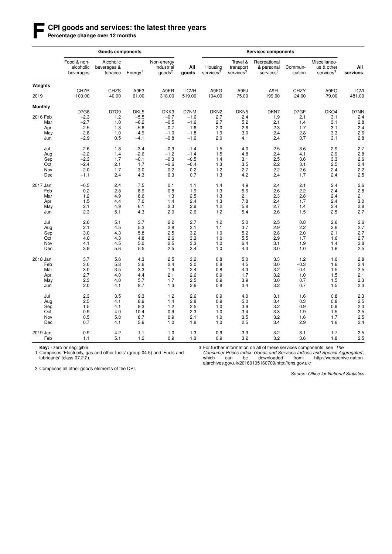#### **F CPI goods and services: the latest three years**

Percentage change over 12 months

|                |                                       | <b>Goods components</b>             |                     |                                                |                       |                                  |                                                | <b>Services components</b>                          |                      |                                                     |                       |
|----------------|---------------------------------------|-------------------------------------|---------------------|------------------------------------------------|-----------------------|----------------------------------|------------------------------------------------|-----------------------------------------------------|----------------------|-----------------------------------------------------|-----------------------|
|                | Food & non-<br>alcoholic<br>beverages | Alcoholic<br>beverages &<br>tobacco | Energy <sup>1</sup> | Non-energy<br>industrial<br>goods <sup>2</sup> | All<br>goods          | Housing<br>services <sup>3</sup> | Travel &<br>transport<br>services <sup>3</sup> | Recreational<br>& personal<br>services <sup>3</sup> | Commun-<br>ication   | Miscellaneo-<br>us & other<br>services <sup>3</sup> | All<br>services       |
| Weights        |                                       |                                     |                     |                                                |                       |                                  |                                                |                                                     |                      |                                                     |                       |
| 2019           | CHZR<br>100.00                        | <b>CHZS</b><br>40.00                | A9F3<br>61.00       | A9ER<br>318.00                                 | <b>ICVH</b><br>519.00 | A9FG<br>104.00                   | A9FJ<br>75.00                                  | A9FL<br>199.00                                      | <b>CHZY</b><br>24.00 | A9FQ<br>79.00                                       | <b>ICVI</b><br>481.00 |
| <b>Monthly</b> |                                       |                                     |                     |                                                |                       |                                  |                                                |                                                     |                      |                                                     |                       |
|                | <b>D7G8</b>                           | D7G9                                | DKL5                | DKK3                                           | D7NM                  | DKN <sub>2</sub>                 | DKN <sub>5</sub>                               | DKN7                                                | D7GF                 | DKO4                                                | D7NN                  |
| 2016 Feb       | $-2.3$                                | 1.2                                 | $-5.5$              | $-0.7$                                         | $-1.6$                | 2.7                              | 2.4                                            | 1.9                                                 | 2.1                  | 3.1                                                 | 2.4                   |
| Mar            | $-2.7$                                | 1.0                                 | $-6.2$              | $-0.5$                                         | $-1.6$                | 2.7                              | 5.2                                            | 2.1                                                 | 1.4                  | 3.1                                                 | 2.8                   |
| Apr            | $-2.5$                                | 1.3                                 | $-5.6$              | $-0.7$                                         | $-1.6$                | 2.0                              | 2.6                                            | 2.3                                                 | 1.7                  | 3.1                                                 | 2.4                   |
| May            | $-2.8$                                | 1.0                                 | $-4.9$              | $-1.0$                                         | $-1.8$                | 1.9                              | 3.0                                            | 2.4                                                 | 2.8                  | 3.3                                                 | 2.6                   |
| Jun            | $-2.9$                                | 0.5                                 | $-4.1$              | $-0.8$                                         | $-1.6$                | 2.0                              | 4.1                                            | 2.4                                                 | 3.7                  | 3.1                                                 | 2.8                   |
| Jul            | $-2.6$                                | 1.8                                 | $-3.4$              | $-0.9$                                         | $-1.4$                | 1.5                              | 4.0                                            | 2.5                                                 | 3.6                  | 2.9                                                 | 2.7                   |
| Aug            | $-2.2$                                | 1.4                                 | $-2.6$              | $-1.2$                                         | $-1.4$                | 1.5                              | 4.8                                            | 2.4                                                 | 4.1                  | 2.9                                                 | 2.8                   |
| Sep            | $-2.3$                                | 1.7                                 | $-0.1$              | $-0.3$                                         | $-0.5$                | 1.4                              | 3.1                                            | 2.5                                                 | 3.6                  | 3.3                                                 | 2.6                   |
| Oct            | $-2.4$                                | 2.1                                 | 1.7                 | $-0.6$                                         | $-0.4$                | 1.3                              | 3.5                                            | 2.2                                                 | 3.1                  | 2.5                                                 | 2.4                   |
| Nov            | $-2.0$                                | 1.7                                 | 3.0                 | 0.2                                            | 0.2                   | 1.2                              | 2.7                                            | 2.2                                                 | 2.6                  | 2.4                                                 | 2.2                   |
| Dec            | $-1.1$                                | 2.4                                 | 4.3                 | 0.3                                            | 0.7                   | 1.3                              | 4.2                                            | 2.4                                                 | 1.7                  | 2.4                                                 | 2.5                   |
| 2017 Jan       | $-0.5$                                | 2.4                                 | 7.5                 | 0.1                                            | 1.1                   | 1.4                              | 4.9                                            | 2.4                                                 | 2.1                  | 2.4                                                 | 2.6                   |
| Feb            | 0.2                                   | 2.8                                 | 8.9                 | 0.8                                            | 1.9                   | 1.3                              | 5.6                                            | 2.6                                                 | 2.2                  | 2.4                                                 | 2.8                   |
| Mar            | 1.2                                   | 4.9                                 | 8.6                 | 1.3                                            | 2.5                   | 1.3                              | 2.1                                            | 2.3                                                 | 2.8                  | 2.4                                                 | 2.1                   |
| Apr            | 1.5                                   | 4.4                                 | 7.0                 | 1.4                                            | 2.4                   | 1.3                              | 7.8                                            | 2.4                                                 | 1.7                  | 2.4                                                 | 3.0                   |
| May            | 2.1                                   | 4.9                                 | 6.1                 | 2.3                                            | 2.9                   | 1.2                              | 5.8                                            | 2.7                                                 | 1.4                  | 2.4                                                 | 2.8                   |
| Jun            | 2.3                                   | 5.1                                 | 4.3                 | 2.0                                            | 2.6                   | 1.2                              | 5.4                                            | 2.6                                                 | 1.5                  | 2.5                                                 | 2.7                   |
| Jul            | 2.6                                   | 5.1                                 | 3.7                 | 2.2                                            | 2.7                   | 1.2                              | 5.0                                            | 2.5                                                 | 0.8                  | 2.6                                                 | 2.6                   |
| Aug            | 2.1                                   | 4.5                                 | 5.3                 | 2.8                                            | 3.1                   | 1.1                              | 3.7                                            | 2.9                                                 | 2.2                  | 2.6                                                 | 2.7                   |
| Sep            | 3.0                                   | 4.3                                 | 5.8                 | 2.5                                            | 3.2                   | 1.0                              | 5.2                                            | 2.8                                                 | 2.0                  | 2.1                                                 | 2.7                   |
| Oct            | 4.0                                   | 4.3                                 | 4.8                 | 2.6                                            | 3.3                   | 1.0                              | 5.5                                            | 2.9                                                 | 1.7                  | 1.6                                                 | 2.7                   |
| Nov            | 4.1                                   | 4.5                                 | 5.0                 | 2.5                                            | 3.3                   | 1.0                              | 6.4                                            | 3.1                                                 | 1.9                  | 1.4                                                 | 2.8                   |
| Dec            | 3.9                                   | 5.6                                 | 5.5                 | 2.5                                            | 3.4                   | 1.0                              | 4.3                                            | 3.0                                                 | 1.0                  | 1.6                                                 | 2.5                   |
| 2018 Jan       | 3.7                                   | 5.6                                 | 4.3                 | 2.5                                            | 3.2                   | 0.8                              | 5.0                                            | 3.3                                                 | 1.2                  | 1.6                                                 | 2.8                   |
| Feb            | 3.0                                   | 5.8                                 | 3.6                 | 2.4                                            | 3.0                   | 0.8                              | 4.5                                            | 3.0                                                 | $-0.3$               | 1.6                                                 | 2.4                   |
| Mar            | 3.0                                   | 3.5                                 | 3.3                 | 1.9                                            | 2.4                   | 0.8                              | 4.3                                            | 3.2                                                 | $-0.4$               | 1.5                                                 | 2.5                   |
| Apr            | 2.7                                   | 4.0                                 | 4.4                 | 2.1                                            | 2.6                   | 0.9                              | 1.7                                            | 3.2                                                 | 1.0                  | 1.5                                                 | 2.1                   |
|                | 2.3                                   | 4.0                                 | 5.7                 | 1.7                                            |                       | 0.9                              | 3.9                                            | 3.0                                                 |                      |                                                     |                       |
| May            |                                       |                                     |                     |                                                | 2.5                   |                                  |                                                |                                                     | 0.7                  | 1.5                                                 | 2.3                   |
| Jun            | 2.0                                   | 4.1                                 | 8.7                 | 1.3                                            | 2.6                   | 0.8                              | 3.4                                            | 3.2                                                 | 0.7                  | 1.5                                                 | 2.3                   |
| Jul            | 2.3                                   | 3.5                                 | 9.3                 | 1.2                                            | 2.6                   | 0.9                              | 4.0                                            | 3.1                                                 | 1.6                  | 0.8                                                 | 2.3                   |
| Aug            | 2.5                                   | 4.1                                 | 8.9                 | 1.4                                            | 2.8                   | 0.9                              | 5.0                                            | 3.4                                                 | 0.3                  | 0.8                                                 | 2.5                   |
| Sep            | 1.5                                   | 4.1                                 | 9.3                 | 1.2                                            | 2.5                   | 1.0                              | 3.9                                            | 3.2                                                 | 0.9                  | 0.9                                                 | 2.3                   |
| Oct            | 0.9                                   | 4.0                                 | 10.4                | 0.9                                            | 2.3                   | 1.0                              | 3.4                                            | 3.3                                                 | 1.9                  | 1.5                                                 | 2.5                   |
| Nov            | 0.5                                   | 5.8                                 | 8.7                 | 0.9                                            | 2.1                   | 1.0                              | 3.5                                            | 3.2                                                 | 1.6                  | 1.7                                                 | 2.5                   |
| Dec            | 0.7                                   | 4.1                                 | 5.9                 | 1.0                                            | 1.8                   | 1.0                              | 2.5                                            | 3.4                                                 | 2.9                  | 1.6                                                 | 2.4                   |
| 2019 Jan       | 0.9                                   | 4.2                                 | 1.1                 | 1.0                                            | 1.3                   | 0.9                              | 3.3                                            | 3.2                                                 | 3.1                  | 1.7                                                 | 2.5                   |
| Feb            | 1.1                                   | 5.1                                 | 1.2                 | 0.9                                            | 1.3                   | 0.9                              | 3.2                                            | 3.2                                                 | 3.6                  | 1.8                                                 | 2.5                   |

**Key:** - zero or negligible<br>1 Comprises 'Electricity, gas and other fuels' (group 04.5) and 'Fuels and lubricants' (class 07.2.2).

3 For further information on all of these services components, see 'The

*Consumer Prices Index: Goods and Services Indices and Special Aggregates*', which can be downloaded from: http://webarchive.nationalarchives.gov.uk/20160105160709/http://ons.gov.uk/

2 Comprises all other goods elements of the CPI.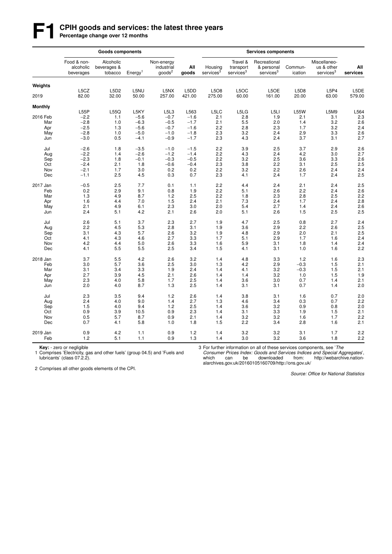# **F1 CPIH goods and services: the latest three years**<br>Percentage change over 12 months

|                |                                       | <b>Goods components</b>             |                     |                                          |              |                                  |                                                | <b>Services components</b>                          |                    |                                                     |                   |
|----------------|---------------------------------------|-------------------------------------|---------------------|------------------------------------------|--------------|----------------------------------|------------------------------------------------|-----------------------------------------------------|--------------------|-----------------------------------------------------|-------------------|
|                | Food & non-<br>alcoholic<br>beverages | Alcoholic<br>beverages &<br>tobacco | Energy <sup>1</sup> | Non-energy<br>industrial<br>$q$ oods $2$ | All<br>goods | Housing<br>services <sup>3</sup> | Travel &<br>transport<br>services <sup>3</sup> | Recreational<br>& personal<br>services <sup>3</sup> | Commun-<br>ication | Miscellaneo-<br>us & other<br>services <sup>3</sup> | All<br>services   |
| Weights        |                                       |                                     |                     |                                          |              |                                  |                                                |                                                     |                    |                                                     |                   |
|                | L5CZ                                  | L5D2                                | L5NU                | L5NX                                     | L5DD         | L5O8                             | L5OC                                           | L5OE                                                | L5D8               | L5P4                                                | L5DE              |
| 2019           | 82.00                                 | 32.00                               | 50.00               | 257.00                                   | 421.00       | 275.00                           | 60.00                                          | 161.00                                              | 20.00              | 63.00                                               | 579.00            |
| <b>Monthly</b> |                                       |                                     |                     |                                          |              |                                  |                                                |                                                     |                    |                                                     |                   |
|                | L55P                                  | L55Q                                | L5KY                | L5L3                                     | L563         | L5LC                             | L5LG                                           | L5LI                                                | <b>L55W</b>        | L5M9                                                | L564              |
| 2016 Feb       | $-2.2$                                | 1.1                                 | $-5.6$              | $-0.7$                                   | $-1.6$       | 2.1                              | 2.8                                            | 1.9                                                 | 2.1                | 3.1                                                 | 2.3               |
| Mar            | $-2.8$                                | 1.0                                 | $-6.3$              | $-0.5$                                   | $-1.7$       | 2.1                              | 5.5                                            | 2.0                                                 | 1.4                | 3.2                                                 | 2.6               |
| Apr            | $-2.5$                                | 1.3                                 | $-5.6$              | $-0.7$                                   | $-1.6$       | 2.2                              | 2.8                                            | 2.3                                                 | 1.7                | 3.2                                                 | 2.4               |
| May            | $-2.8$                                | 1.0                                 | $-5.0$              | $-1.0$                                   | $-1.8$       | 2.3                              | 3.2                                            | 2.4                                                 | 2.9                | 3.3                                                 | 2.6               |
| Jun            | $-3.0$                                | 0.5                                 | $-4.1$              | $-0.9$                                   | $-1.7$       | 2.3                              | 4.3                                            | 2.4                                                 | 3.7                | 3.1                                                 | 2.7               |
| Jul            | $-2.6$                                | 1.8                                 | $-3.5$              | $-1.0$                                   | $-1.5$       | 2.2                              | 3.9                                            | 2.5                                                 | 3.7                | 2.9                                                 | 2.6               |
| Aug            | $-2.2$                                | 1.4                                 | $-2.6$              | $-1.2$                                   | $-1.4$       | 2.2                              | 4.3                                            | 2.4                                                 | 4.2                | 3.0                                                 | 2.7               |
| Sep            | $-2.3$                                | 1.8                                 | $-0.1$              | $-0.3$                                   | $-0.5$       | 2.2                              | 3.2                                            | 2.5                                                 | 3.6                | 3.3                                                 | 2.6               |
| Oct            | $-2.4$                                | 2.1                                 | 1.8                 | $-0.6$                                   | $-0.4$       | 2.3                              | 3.8                                            | 2.2                                                 | 3.1                | 2.5                                                 | 2.5               |
| Nov            | $-2.1$                                | 1.7                                 | 3.0                 | 0.2                                      | 0.2          | 2.2                              | 3.2                                            | 2.2                                                 | 2.6                | 2.4                                                 | 2.4               |
| Dec            | $-1.1$                                | 2.5                                 | 4.5                 | 0.3                                      | 0.7          | 2.3                              | 4.1                                            | 2.4                                                 | 1.7                | 2.4                                                 | 2.5               |
| 2017 Jan       | $-0.5$                                | 2.5                                 | 7.7                 | 0.1                                      | 1.1          | 2.2                              | 4.4                                            | 2.4                                                 | 2.1                | 2.4                                                 | $\frac{2.5}{2.6}$ |
| Feb            | 0.2                                   | 2.9                                 | 9.1                 | 0.8                                      | 1.9          | 2.2                              | 5.1                                            | 2.6                                                 | 2.2                | 2.4                                                 |                   |
| Mar            | 1.3                                   | 4.9                                 | 8.7                 | 1.2                                      | 2.5          | 2.2                              | 1.8                                            | 2.3                                                 | 2.8                | 2.5                                                 | 2.2               |
| Apr            | 1.6                                   | 4.4                                 | 7.0                 | 1.5                                      | 2.4          | 2.1                              | 7.3                                            | 2.4                                                 | 1.7                | 2.4                                                 | 2.8               |
| May            | 2.1                                   | 4.9                                 | 6.1                 | 2.3                                      | 3.0          | 2.0                              | 5.4                                            | 2.7                                                 | 1.4                | 2.4                                                 | 2.6               |
| Jun            | 2.4                                   | 5.1                                 | 4.2                 | 2.1                                      | 2.6          | 2.0                              | 5.1                                            | 2.6                                                 | 1.5                | 2.5                                                 | 2.5               |
| Jul            | 2.6                                   | 5.1                                 | 3.7                 | 2.3                                      | 2.7          | 1.9                              | 4.7                                            | 2.5                                                 | 0.8                | 2.7                                                 | 2.4               |
| Aug            | 2.2                                   | 4.5                                 | 5.3                 | 2.8                                      | 3.1          | 1.9                              | 3.6                                            | 2.9                                                 | 2.2                | 2.6                                                 | 2.5               |
| Sep            | 3.1                                   | 4.3                                 | 5.7                 | 2.6                                      | 3.2          | 1.9                              | 4.8                                            | 2.9                                                 | 2.0                | 2.1                                                 | 2.5               |
| Oct            | 4.1                                   | 4.3                                 | 4.6                 | 2.7                                      | 3.3          | 1.7                              | 5.1                                            | 2.9                                                 | 1.7                | 1.6                                                 | 2.4               |
| Nov            | 4.2                                   | 4.4                                 | 5.0                 | 2.6                                      | 3.3          | 1.6                              | 5.9                                            | 3.1                                                 | 1.8                | 1.4                                                 | 2.4               |
| Dec            | 4.1                                   | 5.5                                 | 5.5                 | 2.5                                      | 3.4          | 1.5                              | 4.1                                            | 3.1                                                 | 1.0                | 1.6                                                 | 2.2               |
| 2018 Jan       | 3.7                                   | 5.5                                 | 4.2                 | 2.6                                      | 3.2          | 1.4                              | 4.8                                            | 3.3                                                 | 1.2                | 1.6                                                 | 2.3               |
| Feb            | 3.0                                   | 5.7                                 | 3.6                 | 2.5                                      | 3.0          | 1.3                              | 4.2                                            | 2.9                                                 | $-0.3$             | 1.5                                                 | 2.1               |
| Mar            | 3.1                                   | 3.4                                 | 3.3                 | 1.9                                      | 2.4          | 1.4                              | 4.1                                            | 3.2                                                 | $-0.3$             | 1.5                                                 | 2.1               |
| Apr            | 2.7                                   | 3.9                                 | 4.5                 | 2.1                                      | 2.6          | 1.4                              | 1.4                                            | 3.2                                                 | 1.0                | 1.5                                                 | 1.9               |
| May            | 2.3                                   | 4.0                                 | 5.8                 | 1.7                                      | 2.5          | 1.4                              | 3.6                                            | 3.0                                                 | 0.7                | 1.4                                                 | 2.1               |
| Jun            | 2.0                                   | 4.0                                 | 8.7                 | 1.3                                      | 2.5          | 1.4                              | 3.1                                            | 3.1                                                 | 0.7                | 1.4                                                 | 2.0               |
| Jul            | 2.3                                   | 3.5                                 | 9.4                 | 1.2                                      | 2.6          | 1.4                              | 3.8                                            | 3.1                                                 | 1.6                | 0.7                                                 | 2.0               |
| Aug            | 2.4                                   | 4.0                                 | 9.0                 | 1.4                                      | 2.7          | 1.3                              | 4.6                                            | 3.4                                                 | 0.3                | 0.7                                                 | 2.2               |
| Sep            | 1.5                                   | 4.0                                 | 9.4                 | 1.2                                      | 2.5          | 1.4                              | 3.6                                            | 3.2                                                 | 0.9                | 0.8                                                 | 2.0               |
| Oct            | 0.9                                   | 3.9                                 | 10.5                | 0.9                                      | 2.3          | 1.4                              | 3.1                                            | 3.3                                                 | 1.9                | 1.5                                                 | 2.1               |
| Nov            | 0.5                                   | 5.7                                 | 8.7                 | 0.9                                      | 2.1          | 1.4                              | 3.2                                            | 3.2                                                 | 1.6                | 1.7                                                 | 2.2               |
| Dec            | 0.7                                   | 4.1                                 | 5.8                 | 1.0                                      | 1.8          | 1.5                              | 2.2                                            | 3.4                                                 | 2.8                | 1.6                                                 | 2.1               |
| 2019 Jan       | 0.9                                   | 4.2                                 | 1.1                 | 0.9                                      | 1.2          | 1.4                              | 3.2                                            | 3.2                                                 | 3.1                | 1.7                                                 | 2.2               |
| Feb            | 1.2                                   | 5.1                                 | 1.1                 | 0.9                                      | 1.3          | 1.4                              | 3.0                                            | 3.2                                                 | 3.6                | 1.8                                                 | 2.2               |

**Key:** - zero or negligible<br>1 Comprises 'Electricity, gas and other fuels' (group 04.5) and 'Fuels and lubricants' (class 07.2.2).

3 For further information on all of these services components, see 'The

*Consumer Prices Index: Goods and Services Indices and Special Aggregates*', which can be downloaded from: http://webarchive.nationalarchives.gov.uk/20160105160709/http://ons.gov.uk/

2 Comprises all other goods elements of the CPI.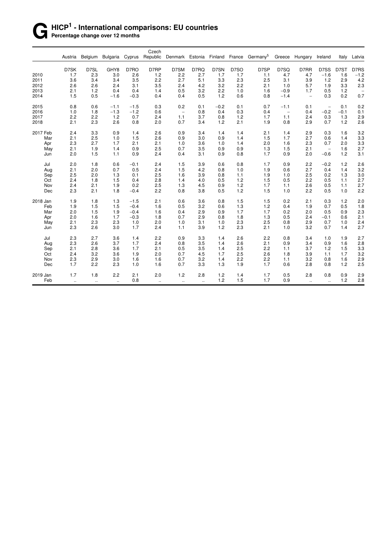#### **G HICP<sup>1</sup> - International comparisons: EU countries** Percentage change over 12 months

Czech<br>Austria Belgium Bulgaria Cyprus Republic Denmark Estonia Finland France Germany<sup>5</sup> Greece Hungary Ireland Italy Latvia D7SK D7SL GHY8 D7RO D7RP D7SM D7RQ D7SN D7SO D7SP D7SQ D7RR D7SS D7ST D7RS 2010 1.7 2.3 3.0 2.6 1.2 2.2 2.7 1.7 1.7 1.1 4.7 4.7 −1.6 1.6 −1.2 2011 3.6 3.4 3.4 3.5 2.2 2.7 5.1 3.3 2.3 2.5 3.1 3.9 1.2 2.9 4.2 2012 2.6 2.6 2.4 3.1 3.5 2.4 4.2 3.2 2.2 2.1 1.0 5.7 1.9 3.3 2.3 2013 2.1 1.2 0.4 0.4 1.4 0.5 3.2 2.2 1.0 1.6 −0.9 1.7 0.5 1.2 − 2014 1.5 0.5 −1.6 −0.3 0.4 0.4 0.5 1.2 0.6 0.8 −1.4 − 0.3 0.2 0.7 2015 0.8 0.6 −1.1 −1.5 0.3 0.2 0.1 −0.2 0.1 0.7 −1.1 0.1 − 0.1 0.2 2016 1.0 1.8 −1.3 −1.2 0.6 − 0.8 0.4 0.3 0.4 − 0.4 −0.2 −0.1 0.1 2017 2.2 2.2 1.2 0.7 2.4 1.1 3.7 0.8 1.2 1.7 1.1 2.4 0.3 1.3 2.9 2018 2.1 2.3 2.6 0.8 2.0 0.7 3.4 1.2 2.1 1.9 0.8 2.9 0.7 1.2 2.6 2017 Feb 2.4 3.3 0.9 1.4 2.6 0.9 3.4 1.4 1.4 2.1 1.4 2.9 0.3 1.6 3.2 Mar 2.1 2.5 1.0 1.5 2.6 0.9 3.0 0.9 1.4 1.5 1.7 2.7 0.6 1.4 3.3 Apr 2.3 2.7 1.7 2.1 2.1 1.0 3.6 1.0 1.4 2.0 1.6 2.3 0.7 2.0 3.3 May 2.1 1.9 1.4 0.9 2.5 0.7 3.5 0.9 0.9 1.3 1.5 2.1 − 1.6 2.7 Jun 2.0 1.5 1.1 0.9 2.4 0.4 3.1 0.9 0.8 1.7 0.9 2.0 −0.6 1.2 3.1 Jul 2.0 1.8 0.6 −0.1 2.4 1.5 3.9 0.6 0.8 1.7 0.9 2.2 −0.2 1.2 2.6 Aug 2.1 2.0 0.7 0.5 2.4 1.5 4.2 0.8 1.0 1.9 0.6 2.7 0.4 1.4 3.2 Sep 2.5 2.0 1.3 0.1 2.5 1.6 3.9 0.8 1.1 1.9 1.0 2.5 0.2 1.3 3.0 Oct 2.4 1.8 1.5 0.4 2.8 1.4 4.0 0.5 1.2 1.5 0.5 2.2 0.5 1.1 2.7 Nov 2.4 2.1 1.9 0.2 2.5 1.3 4.5 0.9 1.2 1.7 1.1 2.6 0.5 1.1 2.7 Dec 2.3 2.1 1.8 −0.4 2.2 0.8 3.8 0.5 1.2 1.5 1.0 2.2 0.5 1.0 2.2 2018 Jan 1.9 1.8 1.3 −1.5 2.1 0.6 3.6 0.8 1.5 1.5 0.2 2.1 0.3 1.2 2.0 Feb 1.9 1.5 1.5 −0.4 1.6 0.5 3.2 0.6 1.3 1.2 0.4 1.9 0.7 0.5 1.8 Mar 2.0 1.5 1.9 −0.4 1.6 0.4 2.9 0.9 1.7 1.7 0.2 2.0 0.5 0.9 2.3 Apr 2.0 1.6 1.7 −0.3 1.8 0.7 2.9 0.8 1.8 1.3 0.5 2.4 −0.1 0.6 2.1 May 2.1 2.3 2.3 1.0 2.0 1.0 3.1 1.0 2.3 2.5 0.8 2.9 0.7 1.0 2.4 Jun 2.3 2.6 3.0 1.7 2.4 1.1 3.9 1.2 2.3 2.1 1.0 3.2 0.7 1.4 2.7 Jul 2.3 2.7 3.6 1.4 2.2 0.9 3.3 1.4 2.6 2.2 0.8 3.4 1.0 1.9 2.7 Aug 2.3 2.6 3.7 1.7 2.4 0.8 3.5 1.4 2.6 2.1 0.9 3.4 0.9 1.6 2.8 Sep 2.1 2.8 3.6 1.7 2.1 0.5 3.5 1.4 2.5 2.2 1.1 3.7 1.2 1.5 3.3 Oct 2.4 3.2 3.6 1.9 2.0 0.7 4.5 1.7 2.5 2.6 1.8 3.9 1.1 1.7 3.2 Nov 2.3 2.9 3.0 1.6 1.6 0.7 3.2 1.4 2.2 2.2 1.1 3.2 0.8 1.6 2.9 Dec 1.7 2.2 2.3 1.0 1.6 0.7 3.3 1.3 1.9 1.7 0.6 2.8 0.8 1.2 2.5 2019 Jan 1.7 1.8 2.2 2.1 2.0 1.2 2.8 1.2 1.4 1.7 0.5 2.8 0.8 0.9 2.9 Feb .. .. .. 0.8 .. .. .. 1.2 1.5 1.7 0.9 .. .. 1.2 2.8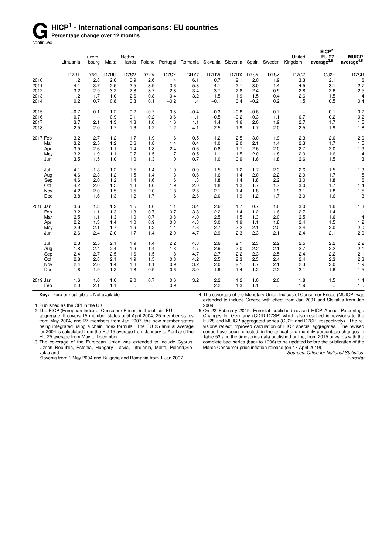# **G** HICP<sup>1</sup> - International comparisons: EU countries<br> **Gontinued**<br> **Gontinued**

**Percentage change over 12 months** 

continued

|          | Lithuania | Luxem-<br>bourg          | Malta | Nether-<br>lands |              |        | Poland Portugal Romania Slovakia Slovenia Spain Sweden Kingdom <sup>1</sup> |        |        |        |              | United                   | EICP <sup>2</sup><br><b>EU 27</b><br>average $^{3,5}$ | <b>MUICP</b><br>$average^{4,5}$ |
|----------|-----------|--------------------------|-------|------------------|--------------|--------|-----------------------------------------------------------------------------|--------|--------|--------|--------------|--------------------------|-------------------------------------------------------|---------------------------------|
|          |           |                          |       |                  |              |        |                                                                             |        |        |        |              |                          |                                                       |                                 |
|          | D7RT      | D7SU                     | D7RU  | D7SV             | D7RV         | D7SX   | GHY7                                                                        | D7RW   | D7RX   | D7SY   | D7SZ         | <b>D7G7</b>              | GJ2E                                                  | D7SR                            |
| 2010     | 1.2       | 2.8                      | 2.0   | 0.9              | 2.6          | 1.4    | 6.1                                                                         | 0.7    | 2.1    | 2.0    | 1.9          | 3.3                      | 2.1                                                   | 1.6                             |
| 2011     | 4.1       | 3.7                      | 2.5   | 2.5              | 3.9          | 3.6    | 5.8                                                                         | 4.1    | 2.1    | 3.0    | 1.4          | 4.5                      | 3.1                                                   | 2.7                             |
| 2012     | 3.2       | 2.9                      | 3.2   | 2.8              | 3.7          | 2.8    | 3.4                                                                         | 3.7    | 2.8    | 2.4    | 0.9          | 2.8                      | 2.6                                                   | 2.5                             |
| 2013     | 1.2       | 1.7                      | 1.0   | 2.6              | 0.8          | 0.4    | 3.2                                                                         | 1.5    | 1.9    | 1.5    | 0.4          | 2.6                      | 1.5                                                   | 1.4                             |
| 2014     | 0.2       | 0.7                      | 0.8   | 0.3              | 0.1          | $-0.2$ | 1.4                                                                         | $-0.1$ | 0.4    | $-0.2$ | 0.2          | 1.5                      | 0.5                                                   | 0.4                             |
| 2015     | $-0.7$    | 0.1                      | 1.2   | 0.2              | $-0.7$       | 0.5    | $-0.4$                                                                      | $-0.3$ | $-0.8$ | $-0.6$ | 0.7          | $\overline{\phantom{a}}$ | 0.1                                                   | 0.2                             |
| 2016     | 0.7       | $\overline{\phantom{a}}$ | 0.9   | 0.1              | $-0.2$       | 0.6    | $-1.1$                                                                      | $-0.5$ | $-0.2$ | $-0.3$ | 1.1          | 0.7                      | 0.2                                                   | 0.2                             |
| 2017     | 3.7       | 2.1                      | 1.3   | 1.3              | 1.6          | 1.6    | 1.1                                                                         | 1.4    | 1.6    | 2.0    | 1.9          | 2.7                      | 1.7                                                   | 1.5                             |
| 2018     | 2.5       | 2.0                      | 1.7   | 1.6              | 1.2          | 1.2    | 4.1                                                                         | 2.5    | 1.9    | 1.7    | 2.0          | 2.5                      | 1.9                                                   | 1.8                             |
| 2017 Feb | 3.2       | 2.7                      | 1.2   | 1.7              | 1.9          | 1.6    | 0.5                                                                         | 1.2    | 2.5    | 3.0    | 1.9          | 2.3                      | 2.0                                                   | 2.0                             |
| Mar      | 3.2       | 2.5                      | 1.2   | 0.6              | 1.8          | 1.4    | 0.4                                                                         | 1.0    | 2.0    | 2.1    | 1.4          | 2.3                      | 1.7                                                   | 1.5                             |
| Apr      | 3.5       | 2.6                      | 1.1   | 1.4              | 1.8          | 2.4    | 0.6                                                                         | 0.8    | 1.7    | 2.6    | 2.0          | 2.7                      | 2.0                                                   | 1.9                             |
| May      | 3.2       | 1.9                      | 1.1   | 0.7              | 1.5          | 1.7    | 0.5                                                                         | 1.1    | 1.5    | 2.0    | 1.8          | 2.9                      | 1.6                                                   | 1.4                             |
| Jun      | 3.5       | 1.5                      | 1.0   | 1.0              | 1.3          | 1.0    | 0.7                                                                         | 1.0    | 0.9    | 1.6    | 1.8          | 2.6                      | 1.5                                                   | 1.3                             |
| Jul      | 4.1       | 1.8                      | 1.2   | 1.5              | 1.4          | 1.0    | 0.9                                                                         | 1.5    | 1.2    | 1.7    | 2.3          | 2.6                      | 1.5                                                   | 1.3                             |
| Aug      | 4.6       | 2.3                      | 1.2   | 1.5              | 1.4          | 1.3    | 0.6                                                                         | 1.6    | 1.4    | 2.0    | 2.2          | 2.9                      | 1.7                                                   | 1.5                             |
| Sep      | 4.6       | 2.0                      | 1.2   | 1.4              | 1.6          | 1.6    | 1.3                                                                         | 1.8    | 1.4    | 1.8    | 2.2          | 3.0                      | 1.8                                                   | 1.6                             |
| Oct      | 4.2       | 2.0                      | 1.5   | 1.3              | 1.6          | 1.9    | 2.0                                                                         | 1.8    | 1.3    | 1.7    | 1.7          | 3.0                      | 1.7                                                   | 1.4                             |
| Nov      | 4.2       | 2.0                      | 1.5   | 1.5              | 2.0          | 1.8    | 2.6                                                                         | 2.1    | 1.4    | 1.8    | 1.9          | 3.1                      | 1.8                                                   | 1.5                             |
| Dec      | 3.8       | 1.6                      | 1.3   | 1.2              | 1.7          | 1.6    | 2.6                                                                         | 2.0    | 1.9    | 1.2    | 1.7          | 3.0                      | 1.6                                                   | 1.3                             |
| 2018 Jan | 3.6       | 1.3                      | 1.2   | 1.5              | 1.6          | 1.1    | 3.4                                                                         | 2.6    | 1.7    | 0.7    | 1.6          | 3.0                      | 1.6                                                   | 1.3                             |
| Feb      | 3.2       | 1.1                      | 1.3   | 1.3              | 0.7          | 0.7    | 3.8                                                                         | 2.2    | 1.4    | 1.2    | 1.6          | 2.7                      | 1.4                                                   | 1.1                             |
| Mar      | 2.5       | 1.1                      | 1.3   | 1.0              | 0.7          | 0.8    | 4.0                                                                         | 2.5    | 1.5    | 1.3    | 2.0          | 2.5                      | 1.6                                                   | 1.4                             |
| Apr      | 2.2       | 1.3                      | 1.4   | 1.0              | 0.9          | 0.3    | 4.3                                                                         | 3.0    | 1.9    | 1.1    | 1.8          | 2.4                      | 1.5                                                   | 1.2                             |
| May      | 2.9       | 2.1                      | 1.7   | 1.9              | 1.2          | 1.4    | 4.6                                                                         | 2.7    | 2.2    | 2.1    | 2.0          | 2.4                      | 2.0                                                   | 2.0                             |
| Jun      | 2.6       | 2.4                      | 2.0   | 1.7              | 1.4          | 2.0    | 4.7                                                                         | 2.9    | 2.3    | 2.3    | 2.1          | 2.4                      | 2.1                                                   | 2.0                             |
| Jul      | 2.3       | 2.5                      | 2.1   | 1.9              | 1.4          | 2.2    | 4.3                                                                         | 2.6    | 2.1    | 2.3    | 2.2          | 2.5                      | 2.2                                                   | 2.2                             |
| Aug      | 1.8       | 2.4                      | 2.4   | 1.9              | 1.4          | 1.3    | 4.7                                                                         | 2.9    | 2.0    | 2.2    | 2.1          | 2.7                      | 2.2                                                   | 2.1                             |
| Sep      | 2.4       | 2.7                      | 2.5   | 1.6              | 1.5          | 1.8    | 4.7                                                                         | 2.7    | 2.2    | 2.3    | 2.5          | 2.4                      | 2.2                                                   | 2.1                             |
| Oct      | 2.8       | 2.8                      | 2.1   | 1.9              | 1.5          | 0.8    | 4.2                                                                         | 2.5    | 2.3    | 2.3    | 2.4          | 2.4                      | 2.3                                                   | 2.3                             |
| Nov      | 2.4       | 2.6                      | 1.4   | 1.8              | 1.1          | 0.9    | 3.2                                                                         | 2.0    | 2.1    | 1.7    | 2.1          | 2.3                      | 2.0                                                   | 1.9                             |
| Dec      | 1.8       | 1.9                      | 1.2   | 1.8              | 0.9          | 0.6    | 3.0                                                                         | 1.9    | 1.4    | 1.2    | 2.2          | 2.1                      | 1.6                                                   | 1.5                             |
| 2019 Jan | 1.6       | 1.6                      | 1.0   | 2.0              | 0.7          | 0.6    | 3.2                                                                         | 2.2    | 1.2    | 1.0    | 2.0          | 1.8                      | 1.5                                                   | 1.4                             |
| Feb      | 2.0       | 2.1                      | 1.1   | $\mathbf{r}$ .   | $\mathbf{L}$ | 0.9    | $\mathbf{a}$                                                                | 2.2    | 1.3    | 1.1    | $\mathbf{r}$ | 1.9                      | $\ddotsc$                                             | 1.5                             |
|          |           |                          |       |                  |              |        |                                                                             |        |        |        |              |                          |                                                       |                                 |

**Key:** - zero or negligible .. Not available

1 Published as the CPI in the UK.

2 The EICP (European Index of Consumer Prices) is the official EU

aggregate. It covers 15 member states until April 2004, 25 member states from May 2004, and 27 members from Jan 2007, the new member states being integrated using a chain index formula. The EU 25 annual average for 2004 is calculated from the EU 15 average from January to April and the EU 25 average from May to December.

3 The coverage of the European Union was extended to include Cyprus, Czech Republic, Estonia, Hungary, Latvia, Lithuania, Malta, Poland,Slovakia and

Slovenia from 1 May 2004 and Bulgaria and Romania from 1 Jan 2007.

4 The coverage of the Monetary Union Indices of Consumer Prices (MUICP) was extended to include Greece with effect from Jan 2001 and Slovakia from Jan 2009.

5 On 22 February 2019, Eurostat published revised HICP Annual Percentage Changes for Germany (CDID D7SP) which also resulted in revisions to the EU28 and MUICP aggregated series (GJ2E and D7SR, respectively). The revisions reflect improved calculation of HICP special aggregates. The revised series have been reflected, in the annual and monthly percentage changes in Table 53 and the timeseries data published online, from 2015 onwards with the complete backseries (back to 1996) to be updated before the publication of the March Consumer price inflation release (on 17 April 2019).

*Sources: Office for National Statistics; Eurostat*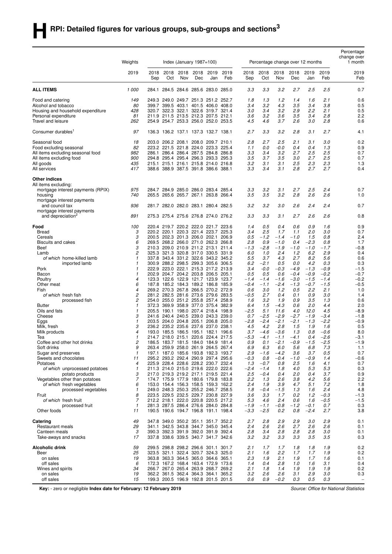|                                                               |                     |             |                                                                            |                               |             |             |             |                  |                  |                                  |                  |                  |                  | Percentage<br>change over       |
|---------------------------------------------------------------|---------------------|-------------|----------------------------------------------------------------------------|-------------------------------|-------------|-------------|-------------|------------------|------------------|----------------------------------|------------------|------------------|------------------|---------------------------------|
|                                                               | Weights             |             |                                                                            | Index (January $1987 = 100$ ) |             |             |             |                  |                  | Percentage change over 12 months |                  |                  |                  | 1 month                         |
|                                                               | 2019                | 2018<br>Sep | 2018<br>Oct                                                                | 2018<br>Nov                   | 2018<br>Dec | 2019<br>Jan | 2019<br>Feb | 2018<br>Sep      | 2018<br>Oct      | 2018<br>Nov                      | 2018<br>Dec      | 2019<br>Jan      | 2019<br>Feb      | 2019<br>Feb                     |
| <b>ALL ITEMS</b>                                              | 1 000               | 284.1       |                                                                            | 284.5 284.6 285.6 283.0       |             |             | 285.0       | 3.3              | 3.3              | 3.2                              | 2.7              | 2.5              | 2.5              | 0.7                             |
| Food and catering                                             | 149                 |             | 249.3 249.0 249.7 251.3 251.2 252.7                                        |                               |             |             |             | 1.8              | 1.3              | 1.2                              | 1.4              | 1.6              | 2.1              | 0.6                             |
| Alcohol and tobacco                                           | 80                  |             | 399.7 399.5 403.1 401.5 406.0 408.0                                        |                               |             |             |             | 3.4              | 3.2              | 4.3                              | 3.5              | 3.4              | 3.8              | 0.5                             |
| Housing and household expenditure                             | 428<br>81           |             | 320.7 322.3 322.1 322.6 319.7 321.4<br>211.9 211.5 213.5 212.3 207.5 212.1 |                               |             |             |             | 3.0              | 3.4<br>3.2       | 3.2<br>3.6                       | 2.9<br>3.5       | 2.2<br>3.4       | 2.1<br>2.8       | 0.5<br>2.2                      |
| Personal expenditure<br>Travel and leisure                    | 262                 |             | 254.9 254.7 253.3 256.0 252.0 253.5                                        |                               |             |             |             | 3.6<br>4.5       | 4.6              | 3.7                              | 2.6              | 3.0              | 2.8              | 0.6                             |
| Consumer durables <sup>1</sup>                                | 97                  |             | 136.3 136.2 137.1 137.3 132.7 138.1                                        |                               |             |             |             | 2.7              | 3.3              | 3.2                              | 2.8              | 3.1              | 2.7              | 4.1                             |
| Seasonal food                                                 | 18                  |             | 203.0 206.2 208.1 208.0 209.7 210.1                                        |                               |             |             |             | 2.8              | 2.7              | 2.5                              | 2.1              | 3.1              | 3.0              | 0.2                             |
| Food excluding seasonal                                       | 82<br>982           |             | 223.2 221.5 221.8 224.0 223.3 225.4                                        |                               |             |             |             | 1.1<br>3.3       | 0.0<br>3.4       | -0.0<br>3.2                      | 0.4<br>2.7       | 0.4<br>2.5       | 1.3<br>2.5       | 0.9                             |
| All items excluding seasonal food<br>All items excluding food | 900                 |             | 286.1 286.4 286.4 287.5 284.8 286.8<br>294.8 295.4 295.4 296.3 293.3 295.3 |                               |             |             |             | 3.5              | 3.7              | 3.5                              | 3.0              | 2.7              | 2.5              | 0.7<br>0.7                      |
| All goods                                                     | 435                 |             | 215.1 215.1 216.1 215.8 214.0 216.8                                        |                               |             |             |             | 3.2              | 3.1              | 3.1                              | 2.5              | 2.3              | 2.3              | 1.3                             |
| All services                                                  | 417                 |             | 388.6 388.9 387.5 391.8 386.6 388.1                                        |                               |             |             |             | 3.3              | 3.4              | 3.1                              | 2.8              | 2.7              | 2.7              | 0.4                             |
| <b>Other indices</b>                                          |                     |             |                                                                            |                               |             |             |             |                  |                  |                                  |                  |                  |                  |                                 |
| All items excluding:<br>mortgage interest payments (RPIX)     | 975                 |             | 284.7 284.9 285.0 286.0 283.4 285.4                                        |                               |             |             |             | 3.3              | 3.2              | 3.1                              | 2.7              | 2.5              | 2.4              | 0.7                             |
| housing                                                       | 740                 |             | 265.5 265.6 265.7 267.1 263.8 266.4                                        |                               |             |             |             | 3.5              | 3.5              | 3.2                              | 2.8              | 2.6              | 2.6              | 1.0                             |
| mortgage interest payments<br>and council tax                 | 936                 |             | 281.7 282.0 282.0 283.1 280.4 282.5                                        |                               |             |             |             | 3.2              | 3.2              | 3.0                              | 2.6              | 2.4              | 2.4              | 0.7                             |
| mortgage interest payments<br>and depreciation <sup>2</sup>   | 891                 |             | 275.3 275.4 275.6 276.8 274.0 276.2                                        |                               |             |             |             | 3.3              | 3.3              | 3.1                              | 2.7              | 2.6              | 2.6              | 0.8                             |
| Food                                                          | 100                 |             | 220.4 219.7 220.2 222.0 221.7 223.6                                        |                               |             |             |             | 1.4              | 0.5              | 0.4                              | 0.6              | 0.9              | 1.6              | 0.9                             |
| <b>Bread</b>                                                  | 3                   |             | 220.2 220.1 220.3 221.4 223.7 225.3                                        |                               |             |             |             | 3.4              | 2.5              | 1.7                              | 1.1              | 2.0              | 3.0              | 0.7                             |
| Cereals                                                       | 3                   |             | 200.5 202.3 201.3 206.0 202.1 206.9                                        |                               |             |             |             | 0.5              | $-1.2$           | $-1.4$                           | $-1.0$           | 1.5              | 0.8              | 2.4                             |
| <b>Biscuits and cakes</b><br>Beef                             | 6<br>3              |             | 269.5 268.2 266.0 271.0 262.3 266.8<br>210.3 209.0 210.9 211.2 213.1 211.4 |                               |             |             |             | 2.8<br>$-1.3$    | 0.9<br>$-2.8$    | $-1.0$<br>$-1.9$                 | 0.4<br>$-1.0$    | $-2.3$<br>$-1.0$ | 0.8<br>-1.7      | 1.7<br>$-0.8$                   |
| Lamb                                                          | 2                   |             | 325.3 321.3 320.8 317.0 330.5 331.9                                        |                               |             |             |             | 6.0              | 1.0              | 2.4                              | 1.2              | 6.2              | 2.9              | 0.4                             |
| of which home-killed lamb                                     | $\mathbf{1}$        |             | 337.8 343.4 331.2 322.6 343.2 345.2                                        |                               |             |             |             | 5.5              | 3.7              | 4.3                              | 2.7              | 8.2              | 5.6              | 0.6                             |
| imported lamb                                                 | $\mathbf{1}$        |             | 300.9 288.2 298.5 299.3 305.6 306.5                                        |                               |             |             |             | 6.2              | $-2.1$           | 0.5                              | 0.0              | 4.2              | 0.3              | 0.3                             |
| Pork                                                          | $\mathbf{1}$        |             | 222.9 223.0 222.1 215.3 217.2 213.9                                        |                               |             |             |             | 3.4              | $-0.0$           | $-0.3$                           | $-4.9$           | $-1.3$           | $-0.9$           | $-1.5$                          |
| Bacon                                                         | $\mathbf{1}$        |             | 202.9 204.7 204.2 203.8 206.5 205.1                                        |                               |             |             |             | 0.5              | 0.5              | 0.6                              | $-0.4$           | $-0.9$           | $-0.2$           | $-0.7$                          |
| Poultry<br>Other meat                                         | $\overline{4}$<br>6 |             | 123.3 122.6 122.9 121.7 123.9 123.7<br>187.8 185.2 184.3 189.2 186.8 185.9 |                               |             |             |             | $-1.4$<br>$-0.4$ | $-1.4$<br>$-1.1$ | $-1.6$<br>$-2.4$                 | $-3.0$<br>$-1.3$ | $-1.5$<br>$-0.7$ | $-1.4$<br>$-1.5$ | $-0.2$<br>$-0.5$                |
| Fish                                                          | 4                   |             | 269.2 270.3 267.8 266.5 270.2 272.9                                        |                               |             |             |             | 0.6              | 3.0              | 1.2                              | 0.5              | 2.2              | 2.1              | 1.0                             |
| of which fresh fish                                           | 2                   |             | 281.2 282.5 281.6 273.6 279.6 283.5                                        |                               |             |             |             | $-0.5$           | 2.7              | 0.4                              | 0.1              | 0.9              | 3.0              | 1.4                             |
| processed fish                                                | 2                   |             | 254.0 255.0 251.2 255.8 257.4 258.9                                        |                               |             |             |             | 1.6              | 3.2              | 1.9                              | 0.9              | 3.5              | 1.3              | 0.6                             |
| <b>Butter</b>                                                 | 1                   |             | 372.3 369.9 358.9 377.0 375.4 382.9                                        |                               |             |             |             | 6.4              | 1.5              | $-4.3$                           | 0.6              | 2.0              | 4.4              | 2.0                             |
| Oils and fats<br>Cheese                                       | $\mathbf{1}$<br>3   |             | 205.5 190.1 198.0 207.4 218.4 198.9<br>241.6 240.4 240.5 239.0 243.3 239.0 |                               |             |             |             | $-2.5$<br>0.7    | 5.1<br>$-2.5$    | 11.6<br>$-2.9$                   | 4.0<br>$-2.7$    | 12.0<br>$-1.9$   | 4.5<br>$-3.4$    | $-8.9$<br>$-1.8$                |
| Eggs                                                          | 1                   |             | 203.5 204.0 204.8 205.1 206.8 205.0                                        |                               |             |             |             | $-2.8$           | $-2.4$           | $-2.1$                           | $-2.1$           | $-1.3$           | $-2.2$           | $-0.9$                          |
| Milk, fresh                                                   | 3                   |             | 236.2 235.2 235.6 237.6 237.0                                              |                               |             |             | 238.1       | 4.5              | 4.2              | 2.8                              | 1.5              | 1.9              | 1.6              | 0.5                             |
| Milk products                                                 | 4                   |             | 193.0 185.5 186.5 195.1 182.1 196.6                                        |                               |             |             |             | 3.7              | $-4.6$           | $-3.6$                           | 1.3              | 0.8              | $-0.6$           | 8.0                             |
| Tea                                                           | $\mathbf{1}$        |             | 214.7 218.0 215.1 220.6 224.4 217.5                                        |                               |             |             |             | $-5.3$           | $-4.1$           | $-1.1$                           | $-4.1$           | 0.4              | $-2.6$           | $-3.1$                          |
| Coffee and other hot drinks                                   | 2<br>9              |             | 186.5 183.7 181.5 184.0 184.9 181.4<br>263.4 259.9 258.0 261.9 264.5 267.4 |                               |             |             |             | 0.9              | 0.1<br>6.3       | 2.1<br>6.0                       | 0.9<br>5.6       | $-1.5$           | 2.5<br>7.3       | -1.9                            |
| Soft drinks<br>Sugar and preserves                            | 1                   |             | 197.1 187.0 185.6 193.8 192.3 193.7                                        |                               |             |             |             | 6.9<br>2.9       | $-1.6$           | $-4.2$                           | 3.6              | 6.8<br>3.7       | 0.5              | 1.1<br>0.7                      |
| Sweets and chocolates                                         | 11                  |             | 295.2 293.2 292.4 290.9 297.4 295.6                                        |                               |             |             |             | $-0.3$           | 0.8              | $-0.4$                           | $-1.0$           | $-0.9$           | 1.4              | -0.6                            |
| Potatoes                                                      | 4                   |             | 225.9 228.4 228.6 228.2 230.7 232.4                                        |                               |             |             |             | 1.3              | $-0.7$           | 0.8                              | 2.5              | 1.6              | 4.1              | 0.7                             |
| of which unprocessed potatoes                                 | 1                   |             | 211.3 214.0 215.0 219.6 222.0 222.6                                        |                               |             |             |             | $-2.4$           | $-1.4$           | 1.8                              | 4.0              | 5.3              | 5.3              | 0.3                             |
| potato products                                               | З<br>7              |             | 217.0 219.3 219.2 217.1 219.5 221.4                                        |                               |             |             |             | 2.5<br>2.2       | $-0.4$<br>1.3    | 0.4<br>2.6                       | 2.0<br>3.8       | 0.4<br>4.2       | 3.7              | 0.9<br>2.2                      |
| Vegetables other than potatoes<br>of which fresh vegetables   | 6                   |             | 174.7 175.9 177.9 180.6 179.8 183.8<br>153.0 154.4 156.3 158.5 159.3 162.2 |                               |             |             |             | 2.4              | 1.9              | 3.9                              | 4.7              | 5.1              | 5.6<br>7.2       | 1.8                             |
| processed vegetables                                          | 1                   |             | 249.0 248.3 250.3 255.2 246.7 258.5                                        |                               |             |             |             | 1.8              | $-0.4$           | $-1.5$                           | 1.3              | 1.6              | 2.4              | 4.8                             |
| Fruit                                                         | 8                   |             | 223.5 229.5 232.5 229.7 230.8 227.9                                        |                               |             |             |             | 3.6              | 3.3              | 1.7                              | 0.2              | 1.2              | $-0.3$           | $-1.3$                          |
| of which fresh fruit                                          | 7                   |             | 212.2 218.1 222.0 220.8 220.5 217.2                                        |                               |             |             |             | 5.3              | 4.6              | 2.4                              | 0.6              | 1.6              | $-0.5$           | $-1.5$                          |
| processed fruit<br>Other foods                                | $\mathcal I$<br>11  |             | 281.3 287.5 286.4 276.6 284.0 284.8<br>190.5 190.6 194.7 196.8 191.1 198.4 |                               |             |             |             | $-1.9$<br>-3.3   | $-1.1$<br>$-2.5$ | $-0.8$<br>0.2                    | $-1.2$<br>0.8    | $-0.1$<br>$-2.4$ | 0.7<br>2.7       | 0.3<br>3.8                      |
| Catering                                                      | 49                  |             | 347.8 349.0 350.2 351.1 351.7 352.2                                        |                               |             |             |             | 2.7              | 2.8              | 2.9                              | 2.9              | 3.0              | 2.9              | 0.1                             |
| Restaurant meals                                              | 29                  |             | 341.1 342.5 343.8 344.7 345.0 345.4                                        |                               |             |             |             | 2.4              | 2.6              | 2.6                              | 2.7              | 2.6              | 2.6              | 0.1                             |
| Canteen meals<br>Take-aways and snacks                        | 3<br>17             |             | 390.3 392.3 391.9 392.0 391.9 392.4<br>337.8 338.6 339.5 340.7 341.7 342.6 |                               |             |             |             | 2.8<br>3.2       | 3.4<br>3.2       | 2.8<br>3.3                       | 2.8<br>3.3       | 2.8<br>3.5       | 3.0<br>3.5       | 0.1<br>0.3                      |
| Alcoholic drink                                               | 59                  |             | 299.5 298.8 298.2 296.6 301.1 301.7                                        |                               |             |             |             | 2.1              | 1.7              | 1.7                              | 1.8              | 1.8              | 1.9              | 0.2                             |
| Beer                                                          | 25                  |             | 323.5 321.1 322.4 320.7 324.3 325.0                                        |                               |             |             |             | 2.1              | 1.6              | 2.2                              | 1.7              | 1.7              | 1.9              | 0.2                             |
| on sales                                                      | 19                  |             | 363.8 363.3 364.5 365.0 364.6 365.1                                        |                               |             |             |             | 2.3              | 1.9              | 2.1                              | 1.9              | 1.7              | 1.6              | 0.1                             |
| off sales                                                     | 6                   |             | 172.3 167.2 168.4 163.4 172.9 173.6                                        |                               |             |             |             | 1.4              | 0.4              | 2.8                              | 1.0              | 1.6              | 3.1              | 0.4                             |
| Wines and spirits                                             | 34                  |             | 266.7 267.0 265.4 263.9 268.7 269.2                                        |                               |             |             |             | 2.1              | 1.8              | 1.4                              | 1.9              | 1.9              | 1.9              | 0.2                             |
| on sales<br>off sales                                         | 19<br>15            |             | 362.2 361.5 362.4 364.3 364.1 365.2<br>199.3 200.5 196.9 192.8 201.5 201.5 |                               |             |             |             | 3.2<br>0.6       | 2.6<br>0.9       | 2.6<br>$-0.2$                    | 3.1<br>0.3       | 2.9<br>0.5       | 3.0<br>0.3       | 0.3<br>$\overline{\phantom{a}}$ |
|                                                               |                     |             |                                                                            |                               |             |             |             |                  |                  |                                  |                  |                  |                  |                                 |

**Key:** - zero or negligible **Index date for February: 12 February 2019** *Source: Office for National Statistics*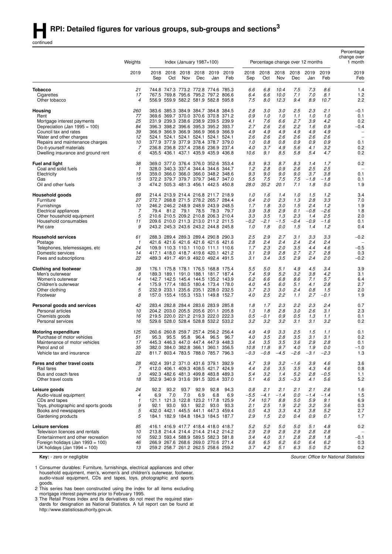continued

|                                                  |                |             |             |             |                               |                                                                            |             | Percentage change over 12 months |               |             |               |               |               | Percentage<br>change over                            |
|--------------------------------------------------|----------------|-------------|-------------|-------------|-------------------------------|----------------------------------------------------------------------------|-------------|----------------------------------|---------------|-------------|---------------|---------------|---------------|------------------------------------------------------|
|                                                  | Weights        |             |             |             | Index (January $1987 = 100$ ) |                                                                            |             |                                  |               |             |               |               |               | 1 month                                              |
|                                                  | 2019           | 2018<br>Sep | 2018<br>Oct | 2018<br>Nov | 2018<br>Dec                   | 2019<br>Jan                                                                | 2019<br>Feb | 2018<br>Sep                      | 2018<br>Oct   | 2018<br>Nov | 2018<br>Dec   | 2019<br>Jan   | 2019<br>Feb   | 2019<br>Feb                                          |
| <b>Tobacco</b>                                   | 21             |             |             |             |                               | 744.8 747.3 773.2 772.8 774.6 785.3                                        |             | 6.6                              | 6.8           | 10.4        | 7.5           | 7.3           | 8.6           | 1.4                                                  |
| Cigarettes                                       | 17             | 767.5       |             |             |                               | 769.8 795.6 795.2 797.2 806.6                                              |             | 6.4                              | 6.6           | 10.0        | 7.1           | 7.0           | 8.1           | 1.2                                                  |
| Other tobacco                                    | $\overline{4}$ |             |             |             |                               | 556.9 559.9 582.2 581.9 582.8 595.8                                        |             | 7.5                              | 8.0           | 12.3        | 9.4           | 8.9           | 10.7          | 2.2                                                  |
| Housing                                          | <i>260</i>     | 383.6       |             |             |                               | 385.3 384.9 384.7 384.8 384.5                                              |             | 2.8                              | 3.0           | 3.0         | 2.5           | 2.3           | 2.1           | -0.1                                                 |
| Rent                                             | 77             |             |             |             |                               | 369.6 369.7 370.0 370.6 370.8 371.2                                        |             | 0.9                              | 1.0           | 1.0         | 1.1           | 1.0           | 1.0           | 0.1                                                  |
| Mortgage interest payments                       | 25             |             |             |             |                               | 231.9 239.3 238.6 238.9 239.5 239.9                                        |             | 4.1                              | 7.6           | 6.6         | 2.7           | 3.9           | 4.2           | 0.2                                                  |
| Depreciation (Jan 1995 = 100)                    | 84<br>39       |             |             |             |                               | 396.3 398.2 396.6 395.3 395.2 393.7                                        |             | 2.7                              | 2.6<br>4.9    | 2.6         | 2.2<br>4.9    | 1.6           | 0.9<br>4.9    | -0.4                                                 |
| Council tax and rates<br>Water and other charges | 12             |             |             |             |                               | 366.9 366.9 366.9 366.9 366.9 366.9<br>524.1 524.1 524.1 524.1 524.1 524.1 |             | 4.9<br>2.6                       | 2.6           | 4.9<br>2.6  | 2.6           | 4.9<br>2.6    | 2.6           | $\overline{\phantom{m}}$<br>$\overline{\phantom{0}}$ |
| Repairs and maintenance charges                  | 10             |             |             |             |                               | 377.9 377.9 377.9 378.4 378.7 379.0                                        |             | 1.0                              | 0.8           | 0.8         | 0.9           | 0.9           | 0.9           | 0.1                                                  |
| Do-it-yourself materials                         | 7              |             |             |             |                               | 236.8 236.8 237.4 238.6 236.9 237.4                                        |             | 4.0                              | 3.7           | 4.9         | 5.6           | 4.1           | 3.2           | 0.2                                                  |
| Dwelling insurance and ground rent               | 6              |             |             |             |                               | 435.5 436.1 437.1 435.9 435.9 436.8                                        |             | 10.6                             | 9.1           | 8.5         | 5.8           | 5.4           | 4.7           | 0.2                                                  |
| <b>Fuel and light</b>                            | 38             |             |             |             |                               | 369.0 377.0 376.4 376.0 352.6 353.4                                        |             | 8.3                              | 9.3           | 8.7         | 8.3           | 1.4           | 1.7           | 0.2                                                  |
| Coal and solid fuels                             | 1              |             |             |             |                               | 328.0 340.3 337.4 344.4 344.6 344.7                                        |             | 1.2                              | 2.8           | 0.9         | 2.6           | 2.5           | 2.5           |                                                      |
| Electricity                                      | 19             |             |             |             |                               | 359.0 366.0 366.0 366.0 348.2 348.6                                        |             | 9.3                              | 9.0           | 9.0         | 9.0           | 3.7           | 3.8           | 0.1                                                  |
| Gas<br>Oil and other fuels                       | 15<br>3        |             |             |             |                               | 372.2 379.7 379.7 379.7 346.7 347.0<br>474.2 505.3 481.3 456.1 442.5 450.8 |             | 5.5<br>28.0                      | 7.5<br>35.2   | 7.5<br>20.1 | 7.5<br>7.1    | $-1.8$<br>1.8 | $-1.8$<br>5.0 | 0.1<br>1.9                                           |
|                                                  |                |             |             |             |                               |                                                                            |             |                                  |               |             |               |               |               |                                                      |
| Household goods                                  | 69             |             |             |             |                               | 214.4 213.9 214.4 216.8 211.7 218.9                                        |             | 1.0                              | 1.6           | 1.4         | 1.0           | 1.5           | 1.2           | 3.4                                                  |
| Furniture                                        | 27             |             |             |             |                               | 272.7 268.8 271.5 278.2 265.7 284.4                                        |             | 0.4                              | 2.0           | 2.3         | 1.3           | 2.8           | 3.3           | 7.0                                                  |
| Furnishings<br>Electrical appliances             | 10<br>7        | 79.4        | 81.2        | 79.1        | 78.5                          | 246.2 246.2 248.9 248.9 243.9 248.5<br>78.3                                | 79.7        | 1.7<br>3.9                       | 1.8<br>3.8    | 3.0<br>2.9  | 1.5<br>0.1    | 2.4<br>$-0.8$ | 1.2<br>$-2.6$ | 1.9<br>1.8                                           |
| Other household equipment                        | 5              |             |             |             |                               | 210.6 210.5 209.2 210.8 206.3 210.4                                        |             | 3.3                              | 3.5           | 1.3         | 2.3           | 1.4           | 2.5           | 2.0                                                  |
| Household consumables                            | 11             |             |             |             |                               | 209.6 210.0 211.3 213.0 211.2 211.5                                        |             | $-0.2$                           | $-2.1$        | $-1.5$      | $-0.4$        | $-0.9$        | $-1.6$        | 0.1                                                  |
| Pet care                                         | 9              |             |             |             |                               | 243.2 245.3 243.6 243.2 244.8 245.8                                        |             | 1.0                              | 1.8           | 0.0         | 1.5           | 1.4           | 1.2           | 0.4                                                  |
| <b>Household services</b>                        | 61             |             |             |             |                               | 288.3 289.4 289.3 289.4 290.8 290.3                                        |             | 2.5                              | 2.9           | 2.7         | 3.1           | 3.3           | 3.3           | $-0.2$                                               |
| Postage                                          | $\mathbf{1}$   |             |             |             |                               | 421.6 421.6 421.6 421.6 421.6 421.6                                        |             | 2.8                              | 2.4           | 2.4         | 2.4           | 2.4           | 2.4           | $\overline{\phantom{a}}$                             |
| Telephones, telemessages, etc                    | 24             |             |             |             |                               | 109.9 110.3 110.1 110.0 111.1 110.6                                        |             | 1.7                              | 2.3           | 2.0         | 3.5           | 4.4           | 4.6           | $-0.5$                                               |
| Domestic services<br>Fees and subscriptions      | 14<br>22       |             |             |             |                               | 417.1 418.0 418.7 419.6 420.1 421.2<br>489.3 491.7 491.9 492.0 492.4 491.5 |             | 3.1<br>3.1                       | 2.9<br>3.4    | 2.8<br>3.5  | 2.7<br>2.9    | 2.7<br>2.4    | 2.8<br>2.0    | 0.3<br>$-0.2$                                        |
| <b>Clothing and footwear</b>                     | 39             |             |             |             |                               | 176.1 175.8 178.1 176.5 168.8 175.4                                        |             | 5.5                              | 5.0           | 5.1         | 4.9           | 4.5           | 3.4           | 3.9                                                  |
| Men's outerwear                                  | 8              |             |             |             |                               | 189.3 189.1 191.0 188.1 181.7 187.4                                        |             | 7.4                              | 5.9           | 5.2         | 3.2           | 3.8           | 4.2           | 3.1                                                  |
| Women's outerwear                                | 14             |             |             |             |                               | 142.7 142.5 145.4 144.5 135.2 143.9                                        |             | 6.2                              | 6.6           | 6.8         | 8.6           | 7.1           | 5.7           | 6.4                                                  |
| Children's outerwear                             | 4              |             |             |             |                               | 175.9 177.4 180.5 180.4 173.4 178.0                                        |             | 4.0                              | 4.5           | 6.0         | 5.1           | 4.1           | 2.8           | 2.7                                                  |
| Other clothing                                   | 5              |             |             |             |                               | 232.9 233.1 235.6 235.1 228.0 232.5                                        |             | 3.7                              | 2.3           | 3.0         | 2.4           | 0.8           | 1.5           | 2.0                                                  |
| Footwear                                         | 8              |             |             |             |                               | 157.0 155.4 155.3 153.1 149.8 152.7                                        |             | 4.0                              | 2.5           | 2.2         | 1.1           | 2.7           | $-0.1$        | 1.9                                                  |
| Personal goods and services                      | 42             |             |             |             |                               | 283.4 282.8 284.4 283.6 283.9 285.8                                        |             | 1.8                              | 1.7           | 2.3         | 2.2           | 2.3           | 2.4           | 0.7                                                  |
| Personal articles                                | 10<br>16       |             |             |             |                               | 204.2 203.0 205.5 205.6 201.1 205.8<br>219.5 220.0 221.2 219.3 222.0 222.3 |             | 1.3<br>0.5                       | 1.8<br>$-0.1$ | 2.8<br>0.9  | 3.0<br>0.5    | 2.6<br>1.3    | 3.1<br>1.1    | 2.3<br>0.1                                           |
| Chemists goods<br>Personal services              | 16             |             |             |             |                               | 529.6 528.0 528.4 528.8 532.2 533.2                                        |             | 3.2                              | 3.2           | 3.2         | 3.1           | 3.1           | 3.2           | 0.2                                                  |
| <b>Motoring expenditure</b>                      | 125            |             |             |             |                               | 260.6 260.8 259.7 257.4 256.2 256.4                                        |             | 4.9                              | 4.9           | 3.3         | 2.5           | 1.5           | 1.1           | 0.1                                                  |
| Purchase of motor vehicles                       | 51             | 95.3        | 95.5        | 95.8        | 96.4                          | 96.5                                                                       | 96.7        | 4.0                              | 3.5           | 2.8         | 3.5           | 3.1           | 3.1           | 0.2                                                  |
| Maintenance of motor vehicles                    | 17             |             |             |             |                               | 445.3 446.3 447.0 447.4 447.9 448.3                                        |             | 3.4                              | 3.5           | 3.5         | 3.6           | 2.9           | 2.8           | 0.1                                                  |
| Petrol and oil                                   | 35             |             |             |             |                               | 382.0 384.0 382.8 366.1 360.1 356.5                                        |             | 10.8                             | 11.8          | 9.7         | 4.0           | 1.9           | 0.0           | $-1.0$                                               |
| Vehicle tax and insurance                        | 22             |             |             |             |                               | 811.7 803.4 783.5 788.0 785.7 796.3                                        |             | $-0.3$                           | $-0.8$        | $-4.5$      | $-2.6$        | $-3.1$        | $-2.3$        | 1.3                                                  |
| Fares and other travel costs                     | 28             |             |             |             |                               | 402.4 391.2 371.0 431.6 379.1 392.9                                        |             | 4.7                              | 3.9           | 3.2         | $-1.6$        | 3.9           | 4.6           | 3.6                                                  |
| Rail fares<br>Bus and coach fares                | 7              |             |             |             |                               | 412.0 406.1 409.3 408.5 421.7 424.9                                        |             | 4.4                              | 2.6           | 3.5         | 3.5           | 4.3           | 4.6           | 0.8                                                  |
| Other travel costs                               | 3<br>18        |             |             |             |                               | 492.3 482.6 481.3 499.8 483.8 489.3<br>352.9 340.9 313.6 391.5 320.4 337.0 |             | 5.4<br>5.1                       | 3.2<br>4.6    | 1.4<br>3.5  | 5.2<br>$-3.3$ | 2.8<br>4.1    | $-0.5$<br>5.6 | 1.1<br>5.2                                           |
| Leisure goods                                    | 24             | 92.2        | 93.2        | 93.7        | 92.9                          | 92.8                                                                       | 94.3        | 0.8                              | 2.1           | 2.1         | 2.1           | 2.1           | 2.6           | 1.6                                                  |
| Audio-visual equipment                           | 4              | 6.9         | 7.0         | 7.0         | 6.9                           | 6.8                                                                        | 6.9         | $-5.5$                           | $-4.1$        | $-1.4$      | 0.0           | $-1.4$        | $-1.4$        | 1.5                                                  |
| CDs and tapes                                    | $\mathbf{1}$   |             |             |             |                               | 121.1 121.3 122.8 123.2 117.8 125.9                                        |             | 7.4                              | 10.7          | 8.8         | 5.0           | 5.9           | 9.1           | 6.9                                                  |
| Toys, photographic and sports goods              | 9              | 92.1        | 93.0        | 93.1        | 92.2                          | 93.0                                                                       | 93.3        | 2.1                              | 2.5           | 1.9         | 2.2           | 3.2           | 3.6           | 0.3                                                  |
| Books and newspapers<br>Gardening products       | 5<br>5         |             |             |             |                               | 432.0 442.1 445.5 441.1 447.3 459.4<br>184.1 182.9 184.8 184.3 184.5 187.7 |             | 0.5<br>2.9                       | 4.3<br>1.5    | 3.3<br>2.0  | 4.3<br>0.4    | 3.8<br>0.9    | 5.2<br>0.7    | 2.7<br>1.7                                           |
| Leisure services                                 | 85             |             |             |             |                               | 416.1 416.9 417.7 418.4 418.0 418.7                                        |             | 5.2                              | 5.2           | 5.0         | 5.0           | 5.1           | 4.8           |                                                      |
| Television licences and rentals                  | 10             |             |             |             |                               | 213.8 214.4 214.4 214.4 214.2 214.2                                        |             | 2.9                              | 2.9           | 2.9         | 2.9           | 2.8           | 2.8           | 0.2                                                  |
| Entertainment and other recreation               | 16             |             |             |             |                               | 592.3 593.4 588.9 589.5 582.3 581.8                                        |             | 3.4                              | 4.0           | 3.1         | 2.8           | 2.8           | 1.8           | $-0.1$                                               |
| Foreign holidays (Jan 1993 = 100)                | 46             |             |             |             |                               | 266.9 267.6 268.6 269.0 270.6 271.4                                        |             | 6.8                              | 6.5           | 6.2         | 6.0           | 6.4           | 6.2           | 0.3                                                  |
| UK holidays (Jan 1994 = 100)                     | 13             |             |             |             |                               | 259.2 258.7 261.2 262.5 258.6 259.2                                        |             | 3.7                              | 4.2           | 5.1         | 6.3           | 5.0           | 5.2           | 0.2                                                  |

**Key:** - zero or negligible

1 Consumer durables: Furniture, fur nishings, electr ical appliances and other household equipment, men's, women's and children's outerwear, footwear, audio-visual equipment, CDs and tapes, toys, photographic and sports goods.

2 This series has been constructed using the index for all items excluding mortgage interest payments prior to February 1995.

3 The Retail Prices Index and its derivatives do not meet the required standards for designation as National Statistics. A full report can be found at http://www.statisticsauthority.gov.uk.